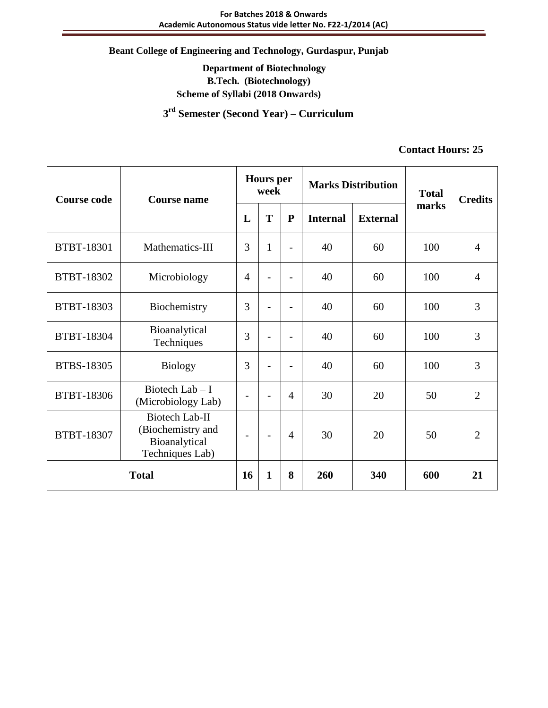# **Department of Biotechnology B.Tech. (Biotechnology) Scheme of Syllabi (2018 Onwards)**

 **3 rd Semester (Second Year) – Curriculum**

# **Contact Hours: 25**

| <b>Course code</b> | <b>Course name</b>                                                      | <b>Hours</b> per<br>week |                          | <b>Marks Distribution</b>    |                 | <b>Total</b>    | <b>Credits</b> |                |
|--------------------|-------------------------------------------------------------------------|--------------------------|--------------------------|------------------------------|-----------------|-----------------|----------------|----------------|
|                    |                                                                         | L                        | T                        | ${\bf P}$                    | <b>Internal</b> | <b>External</b> | marks          |                |
| <b>BTBT-18301</b>  | Mathematics-III                                                         | 3                        | $\mathbf{1}$             | $\overline{\phantom{0}}$     | 40              | 60              | 100            | $\overline{4}$ |
| BTBT-18302         | Microbiology                                                            | $\overline{4}$           | $\overline{a}$           | $\qquad \qquad \blacksquare$ | 40              | 60              | 100            | $\overline{4}$ |
| <b>BTBT-18303</b>  | Biochemistry                                                            | 3                        |                          | $\blacksquare$               | 40              | 60              | 100            | 3              |
| BTBT-18304         | Bioanalytical<br>Techniques                                             | 3                        |                          | $\overline{\phantom{a}}$     | 40              | 60              | 100            | 3              |
| <b>BTBS-18305</b>  | <b>Biology</b>                                                          | 3                        | $\blacksquare$           | $\overline{\phantom{0}}$     | 40              | 60              | 100            | 3              |
| <b>BTBT-18306</b>  | Biotech Lab $-$ I<br>(Microbiology Lab)                                 |                          | $\overline{\phantom{0}}$ | $\overline{4}$               | 30              | 20              | 50             | $\overline{2}$ |
| BTBT-18307         | Biotech Lab-II<br>(Biochemistry and<br>Bioanalytical<br>Techniques Lab) |                          | $\overline{\phantom{0}}$ | $\overline{4}$               | 30              | 20              | 50             | $\overline{2}$ |
| <b>Total</b>       |                                                                         | 16                       | $\mathbf{1}$             | 8                            | 260             | 340             | 600            | 21             |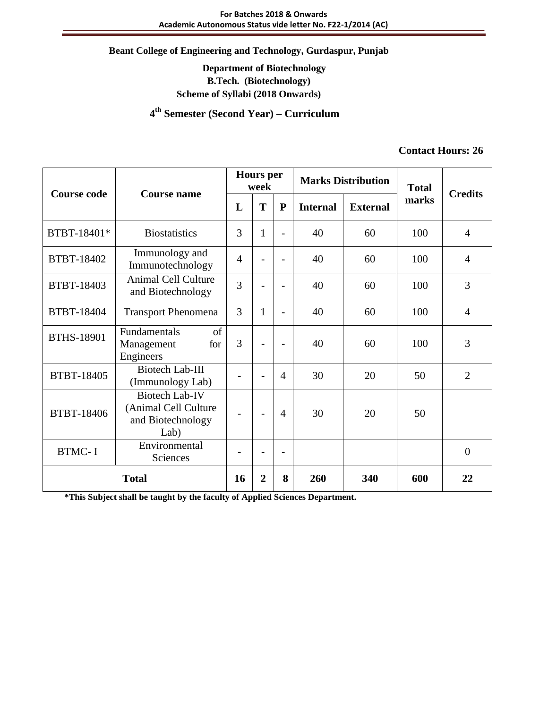## **Department of Biotechnology B.Tech. (Biotechnology) Scheme of Syllabi (2018 Onwards)**

 **4 th Semester (Second Year) – Curriculum**

#### **Contact Hours: 26**

| <b>Course code</b> | <b>Course name</b>                                                         |                        | <b>Hours</b> per<br>week |                          | <b>Marks Distribution</b> |       | <b>Total</b> | <b>Credits</b> |
|--------------------|----------------------------------------------------------------------------|------------------------|--------------------------|--------------------------|---------------------------|-------|--------------|----------------|
|                    |                                                                            | T<br>$\mathbf{P}$<br>L |                          | <b>Internal</b>          | <b>External</b>           | marks |              |                |
| BTBT-18401*        | <b>Biostatistics</b>                                                       | 3                      | 1                        | $\overline{a}$           | 40                        | 60    | 100          | $\overline{4}$ |
| BTBT-18402         | Immunology and<br>Immunotechnology                                         | $\overline{4}$         |                          | $\overline{a}$           | 40                        | 60    | 100          | $\overline{4}$ |
| BTBT-18403         | <b>Animal Cell Culture</b><br>and Biotechnology                            | 3                      |                          | $\overline{\phantom{0}}$ | 40                        | 60    | 100          | 3              |
| BTBT-18404         | <b>Transport Phenomena</b>                                                 | 3                      | $\mathbf{1}$             | $\overline{a}$           | 40                        | 60    | 100          | $\overline{4}$ |
| <b>BTHS-18901</b>  | of<br>Fundamentals<br>for<br>Management<br>Engineers                       | 3                      |                          | $\overline{\phantom{a}}$ | 40                        | 60    | 100          | 3              |
| BTBT-18405         | <b>Biotech Lab-III</b><br>(Immunology Lab)                                 |                        | $\overline{\phantom{0}}$ | $\overline{4}$           | 30                        | 20    | 50           | $\overline{2}$ |
| BTBT-18406         | <b>Biotech Lab-IV</b><br>(Animal Cell Culture<br>and Biotechnology<br>Lab) |                        | $\overline{\phantom{a}}$ | $\overline{4}$           | 30                        | 20    | 50           |                |
| <b>BTMC-I</b>      | Environmental<br>Sciences                                                  |                        |                          | $\overline{a}$           |                           |       |              | $\overline{0}$ |
| <b>Total</b>       |                                                                            | 16                     | $\overline{2}$           | 8                        | 260                       | 340   | 600          | 22             |

**\*This Subject shall be taught by the faculty of Applied Sciences Department.**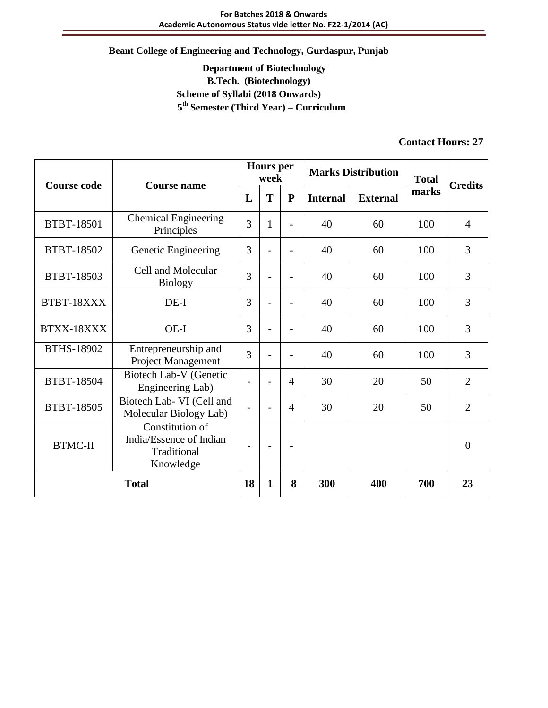# **Department of Biotechnology B.Tech. (Biotechnology) Scheme of Syllabi (2018 Onwards) 5 th Semester (Third Year) – Curriculum**

# **Contact Hours: 27**

| <b>Course code</b> | Course name                                                            |                          | <b>Hours</b> per<br>week |                          | <b>Marks Distribution</b> |                 | <b>Total</b> | <b>Credits</b> |
|--------------------|------------------------------------------------------------------------|--------------------------|--------------------------|--------------------------|---------------------------|-----------------|--------------|----------------|
|                    |                                                                        | L                        | T                        | ${\bf P}$                | <b>Internal</b>           | <b>External</b> | marks        |                |
| <b>BTBT-18501</b>  | <b>Chemical Engineering</b><br>Principles                              | 3                        | 1                        | $\overline{\phantom{0}}$ | 40                        | 60              | 100          | $\overline{4}$ |
| <b>BTBT-18502</b>  | Genetic Engineering                                                    | 3                        |                          | $\overline{a}$           | 40                        | 60              | 100          | 3              |
| <b>BTBT-18503</b>  | Cell and Molecular<br><b>Biology</b>                                   | 3                        |                          |                          | 40                        | 60              | 100          | 3              |
| BTBT-18XXX         | $DE-I$                                                                 | 3                        |                          |                          | 40                        | 60              | 100          | 3              |
| BTXX-18XXX         | OE-I                                                                   | 3                        |                          |                          | 40                        | 60              | 100          | 3              |
| <b>BTHS-18902</b>  | Entrepreneurship and<br>Project Management                             | 3                        |                          |                          | 40                        | 60              | 100          | 3              |
| BTBT-18504         | Biotech Lab-V (Genetic<br>Engineering Lab)                             |                          |                          | 4                        | 30                        | 20              | 50           | $\overline{2}$ |
| BTBT-18505         | Biotech Lab- VI (Cell and<br>Molecular Biology Lab)                    |                          |                          | 4                        | 30                        | 20              | 50           | $\overline{2}$ |
| <b>BTMC-II</b>     | Constitution of<br>India/Essence of Indian<br>Traditional<br>Knowledge | $\overline{\phantom{0}}$ |                          | ۰                        |                           |                 |              | $\Omega$       |
| <b>Total</b>       |                                                                        | 18                       | 1                        | 8                        | 300                       | 400             | 700          | 23             |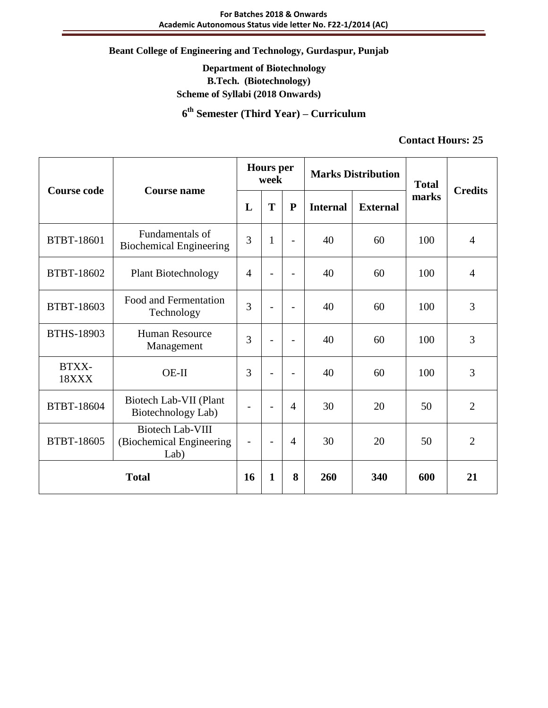# **Department of Biotechnology B.Tech. (Biotechnology) Scheme of Syllabi (2018 Onwards)**

**6 th Semester (Third Year) – Curriculum**

#### **Contact Hours: 25**

| <b>Course code</b><br><b>Course name</b> |                                                             |                          | <b>Hours</b> per<br>week |                          |                 | <b>Marks Distribution</b> | <b>Total</b> | <b>Credits</b> |
|------------------------------------------|-------------------------------------------------------------|--------------------------|--------------------------|--------------------------|-----------------|---------------------------|--------------|----------------|
|                                          |                                                             | L                        | T                        | ${\bf P}$                | <b>Internal</b> | <b>External</b>           | marks        |                |
| BTBT-18601                               | Fundamentals of<br><b>Biochemical Engineering</b>           | 3                        | $\mathbf{1}$             | $\overline{\phantom{0}}$ | 40              | 60                        | 100          | $\overline{4}$ |
| BTBT-18602                               | <b>Plant Biotechnology</b>                                  | $\overline{4}$           |                          |                          | 40              | 60                        | 100          | $\overline{4}$ |
| BTBT-18603                               | Food and Fermentation<br>Technology                         | 3                        |                          | $\overline{\phantom{0}}$ | 40              | 60                        | 100          | 3              |
| <b>BTHS-18903</b>                        | <b>Human Resource</b><br>Management                         | 3                        | -                        | $\overline{\phantom{0}}$ | 40              | 60                        | 100          | 3              |
| BTXX-<br>18XXX                           | $OE-II$                                                     | 3                        |                          |                          | 40              | 60                        | 100          | 3              |
| <b>BTBT-18604</b>                        | Biotech Lab-VII (Plant<br>Biotechnology Lab)                | $\overline{\phantom{a}}$ | $\overline{\phantom{0}}$ | $\overline{4}$           | 30              | 20                        | 50           | $\overline{2}$ |
| BTBT-18605                               | <b>Biotech Lab-VIII</b><br>(Biochemical Engineering<br>Lab) | $\overline{\phantom{a}}$ | $\overline{\phantom{0}}$ | $\overline{4}$           | 30              | 20                        | 50           | $\overline{2}$ |
| <b>Total</b>                             |                                                             | 16                       | 1                        | 8                        | 260             | 340                       | 600          | 21             |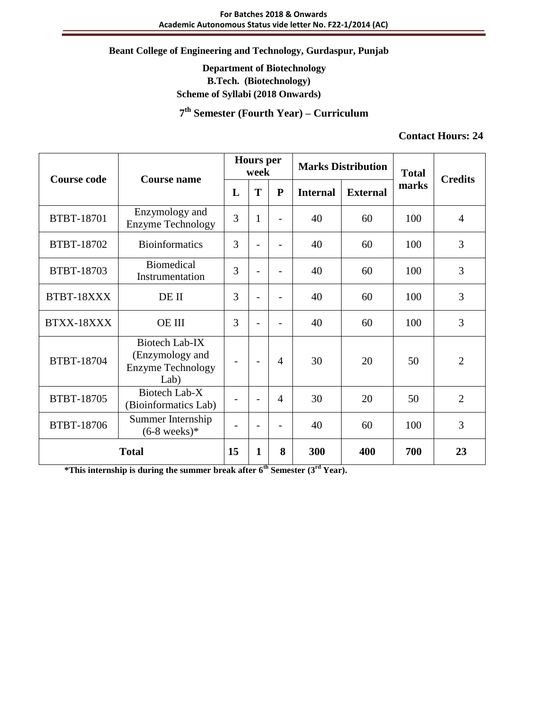# **Department of Biotechnology B.Tech. (Biotechnology) Scheme of Syllabi (2018 Onwards)**

**7 th Semester (Fourth Year) – Curriculum**

#### **Contact Hours: 24**

| <b>Course code</b> | <b>Hours</b> per<br>week<br><b>Course name</b>                        |    | <b>Marks Distribution</b> |                          | <b>Total</b>    | <b>Credits</b>  |       |                |
|--------------------|-----------------------------------------------------------------------|----|---------------------------|--------------------------|-----------------|-----------------|-------|----------------|
|                    |                                                                       | L  | T                         | $\mathbf{P}$             | <b>Internal</b> | <b>External</b> | marks |                |
| <b>BTBT-18701</b>  | Enzymology and<br><b>Enzyme Technology</b>                            | 3  | $\mathbf{1}$              |                          | 40              | 60              | 100   | $\overline{4}$ |
| BTBT-18702         | <b>Bioinformatics</b>                                                 | 3  |                           |                          | 40              | 60              | 100   | 3              |
| BTBT-18703         | <b>Biomedical</b><br>Instrumentation                                  | 3  |                           |                          | 40              | 60              | 100   | 3              |
| BTBT-18XXX         | DE II                                                                 | 3  |                           |                          | 40              | 60              | 100   | 3              |
| BTXX-18XXX         | <b>OE III</b>                                                         | 3  |                           |                          | 40              | 60              | 100   | 3              |
| BTBT-18704         | Biotech Lab-IX<br>(Enzymology and<br><b>Enzyme Technology</b><br>Lab) |    | $\overline{\phantom{0}}$  | 4                        | 30              | 20              | 50    | $\overline{2}$ |
| <b>BTBT-18705</b>  | Biotech Lab-X<br>(Bioinformatics Lab)                                 |    | $\overline{a}$            | $\overline{4}$           | 30              | 20              | 50    | $\overline{2}$ |
| <b>BTBT-18706</b>  | Summer Internship<br>$(6-8 \text{ weeks})$ *                          |    | $\overline{\phantom{0}}$  | $\overline{\phantom{0}}$ | 40              | 60              | 100   | 3              |
| <b>Total</b>       |                                                                       | 15 | $\mathbf{1}$              | 8                        | 300             | 400             | 700   | 23             |

**\*This internship is during the summer break after 6th Semester (3rd Year).**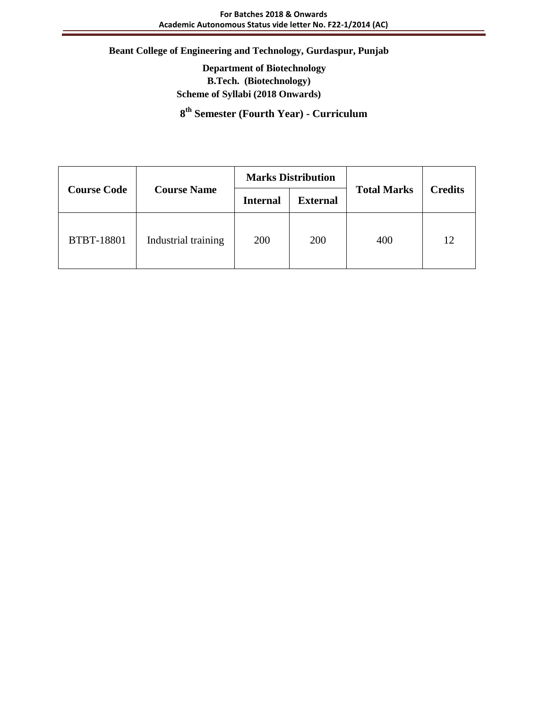**Department of Biotechnology B.Tech. (Biotechnology) Scheme of Syllabi (2018 Onwards)**

**8 th Semester (Fourth Year) - Curriculum**

|                    |                     | <b>Marks Distribution</b> |                 |                    |                |  |  |  |
|--------------------|---------------------|---------------------------|-----------------|--------------------|----------------|--|--|--|
| <b>Course Code</b> | <b>Course Name</b>  | <b>Internal</b>           | <b>External</b> | <b>Total Marks</b> | <b>Credits</b> |  |  |  |
| <b>BTBT-18801</b>  | Industrial training | 200                       | 200             | 400                | 12             |  |  |  |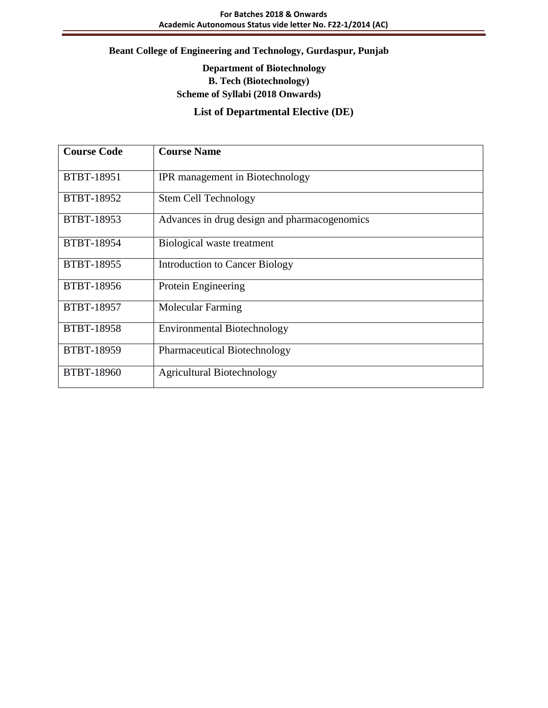# **Department of Biotechnology B. Tech (Biotechnology) Scheme of Syllabi (2018 Onwards)**

# **List of Departmental Elective (DE)**

| <b>Course Code</b> | <b>Course Name</b>                           |
|--------------------|----------------------------------------------|
| <b>BTBT-18951</b>  | IPR management in Biotechnology              |
| BTBT-18952         | <b>Stem Cell Technology</b>                  |
| <b>BTBT-18953</b>  | Advances in drug design and pharmacogenomics |
| BTBT-18954         | Biological waste treatment                   |
| <b>BTBT-18955</b>  | Introduction to Cancer Biology               |
| BTBT-18956         | Protein Engineering                          |
| <b>BTBT-18957</b>  | <b>Molecular Farming</b>                     |
| <b>BTBT-18958</b>  | <b>Environmental Biotechnology</b>           |
| BTBT-18959         | Pharmaceutical Biotechnology                 |
| <b>BTBT-18960</b>  | <b>Agricultural Biotechnology</b>            |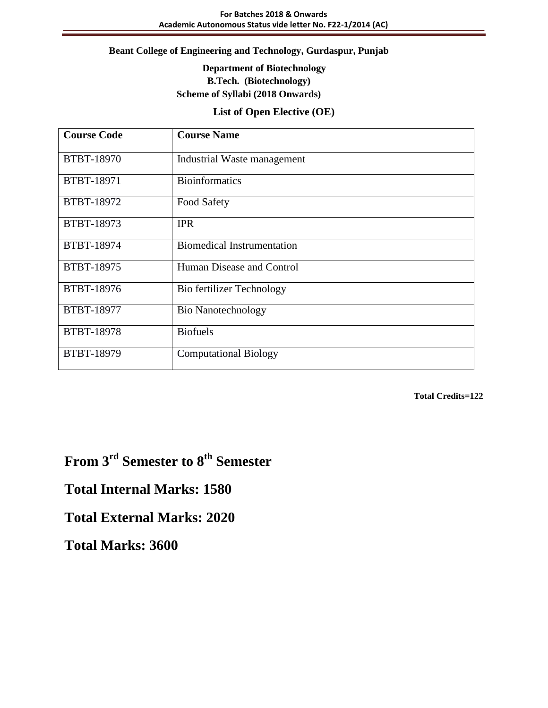# **Department of Biotechnology B.Tech. (Biotechnology) Scheme of Syllabi (2018 Onwards)**

#### **List of Open Elective (OE)**

| <b>Course Code</b> | <b>Course Name</b>                |
|--------------------|-----------------------------------|
| <b>BTBT-18970</b>  | Industrial Waste management       |
| BTBT-18971         | <b>Bioinformatics</b>             |
| BTBT-18972         | Food Safety                       |
| <b>BTBT-18973</b>  | <b>IPR</b>                        |
| BTBT-18974         | <b>Biomedical Instrumentation</b> |
| BTBT-18975         | Human Disease and Control         |
| <b>BTBT-18976</b>  | Bio fertilizer Technology         |
| BTBT-18977         | <b>Bio Nanotechnology</b>         |
| <b>BTBT-18978</b>  | <b>Biofuels</b>                   |
| BTBT-18979         | <b>Computational Biology</b>      |

**Total Credits=122**

# **From 3rd Semester to 8th Semester**

**Total Internal Marks: 1580**

# **Total External Marks: 2020**

**Total Marks: 3600**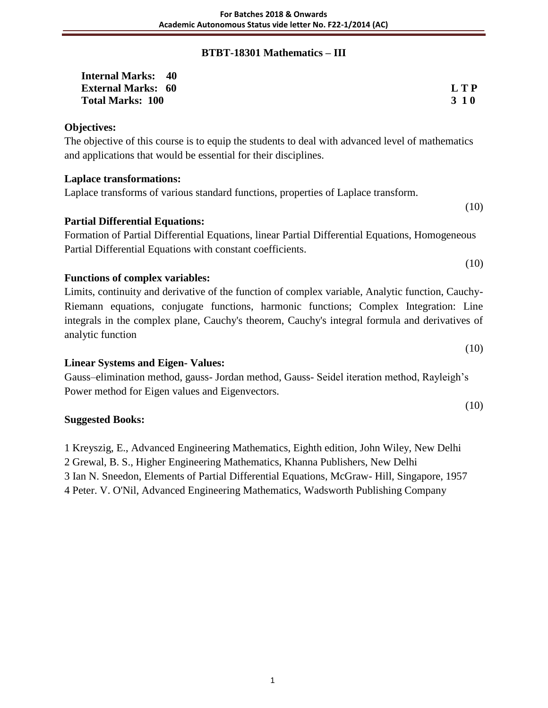## **BTBT-18301 Mathematics – III**

| <b>Internal Marks: 40</b> |            |
|---------------------------|------------|
| <b>External Marks: 60</b> | LTP        |
| <b>Total Marks: 100</b>   | <b>310</b> |

#### **Objectives:**

The objective of this course is to equip the students to deal with advanced level of mathematics and applications that would be essential for their disciplines.

#### **Laplace transformations:**

Laplace transforms of various standard functions, properties of Laplace transform.

#### **Partial Differential Equations:**

Formation of Partial Differential Equations, linear Partial Differential Equations, Homogeneous Partial Differential Equations with constant coefficients.

(10)

(10)

(10)

(10)

#### **Functions of complex variables:**

Limits, continuity and derivative of the function of complex variable, Analytic function, Cauchy-Riemann equations, conjugate functions, harmonic functions; Complex Integration: Line integrals in the complex plane, Cauchy's theorem, Cauchy's integral formula and derivatives of analytic function

#### **Linear Systems and Eigen- Values:**

Gauss–elimination method, gauss- Jordan method, Gauss- Seidel iteration method, Rayleigh's Power method for Eigen values and Eigenvectors.

#### **Suggested Books:**

1 Kreyszig, E., Advanced Engineering Mathematics, Eighth edition, John Wiley, New Delhi

2 Grewal, B. S., Higher Engineering Mathematics, Khanna Publishers, New Delhi

3 Ian N. Sneedon, Elements of Partial Differential Equations, McGraw- Hill, Singapore, 1957

4 Peter. V. O'Nil, Advanced Engineering Mathematics, Wadsworth Publishing Company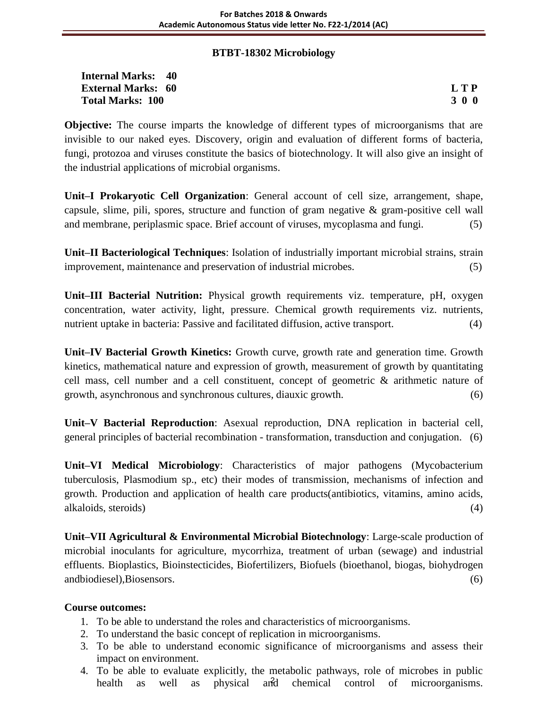#### **BTBT-18302 Microbiology**

| <b>Internal Marks: 40</b> |       |
|---------------------------|-------|
| <b>External Marks: 60</b> | L T P |
| <b>Total Marks: 100</b>   | 300   |

**Objective:** The course imparts the knowledge of different types of microorganisms that are invisible to our naked eyes. Discovery, origin and evaluation of different forms of bacteria, fungi, protozoa and viruses constitute the basics of biotechnology. It will also give an insight of the industrial applications of microbial organisms.

**Unit–I Prokaryotic Cell Organization**: General account of cell size, arrangement, shape, capsule, slime, pili, spores, structure and function of gram negative & gram-positive cell wall and membrane, periplasmic space. Brief account of viruses, mycoplasma and fungi. (5)

**Unit–II Bacteriological Techniques**: Isolation of industrially important microbial strains, strain improvement, maintenance and preservation of industrial microbes. (5)

**Unit–III Bacterial Nutrition:** Physical growth requirements viz. temperature, pH, oxygen concentration, water activity, light, pressure. Chemical growth requirements viz. nutrients, nutrient uptake in bacteria: Passive and facilitated diffusion, active transport. (4)

**Unit–IV Bacterial Growth Kinetics:** Growth curve, growth rate and generation time. Growth kinetics, mathematical nature and expression of growth, measurement of growth by quantitating cell mass, cell number and a cell constituent, concept of geometric & arithmetic nature of growth, asynchronous and synchronous cultures, diauxic growth. (6)

**Unit–V Bacterial Reproduction**: Asexual reproduction, DNA replication in bacterial cell, general principles of bacterial recombination - transformation, transduction and conjugation. (6)

**Unit–VI Medical Microbiology**: Characteristics of major pathogens (Mycobacterium tuberculosis, Plasmodium sp., etc) their modes of transmission, mechanisms of infection and growth. Production and application of health care products(antibiotics, vitamins, amino acids, alkaloids, steroids) (4)

**Unit–VII Agricultural & Environmental Microbial Biotechnology**: Large-scale production of microbial inoculants for agriculture, mycorrhiza, treatment of urban (sewage) and industrial effluents. Bioplastics, Bioinstecticides, Biofertilizers, Biofuels (bioethanol, biogas, biohydrogen andbiodiesel),Biosensors. (6)

#### **Course outcomes:**

- 1. To be able to understand the roles and characteristics of microorganisms.
- 2. To understand the basic concept of replication in microorganisms.
- 3. To be able to understand economic significance of microorganisms and assess their impact on environment.
- 4. To be able to evaluate explicitly, the metabolic pathways, role of microbes in public health as well as physical and chemical control of microorganisms. and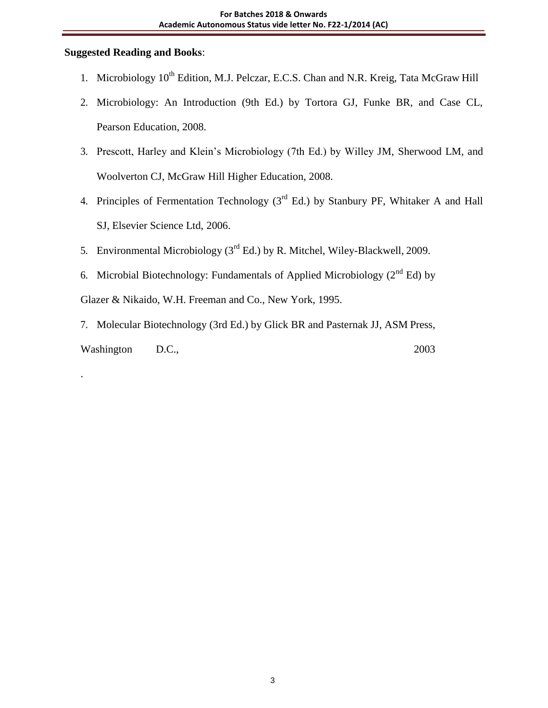# **Suggested Reading and Books**:

.

- 1. Microbiology  $10^{th}$  Edition, M.J. Pelczar, E.C.S. Chan and N.R. Kreig, Tata McGraw Hill
- 2. Microbiology: An Introduction (9th Ed.) by Tortora GJ, Funke BR, and Case CL, Pearson Education, 2008.
- 3. Prescott, Harley and Klein's Microbiology (7th Ed.) by Willey JM, Sherwood LM, and Woolverton CJ, McGraw Hill Higher Education, 2008.
- 4. Principles of Fermentation Technology  $(3<sup>rd</sup> Ed.)$  by Stanbury PF, Whitaker A and Hall SJ, Elsevier Science Ltd, 2006.
- 5. Environmental Microbiology  $(3<sup>rd</sup> Ed.)$  by R. Mitchel, Wiley-Blackwell, 2009.
- 6. Microbial Biotechnology: Fundamentals of Applied Microbiology  $(2^{nd} Ed)$  by

Glazer & Nikaido, W.H. Freeman and Co., New York, 1995.

7. Molecular Biotechnology (3rd Ed.) by Glick BR and Pasternak JJ, ASM Press, Washington D.C., 2003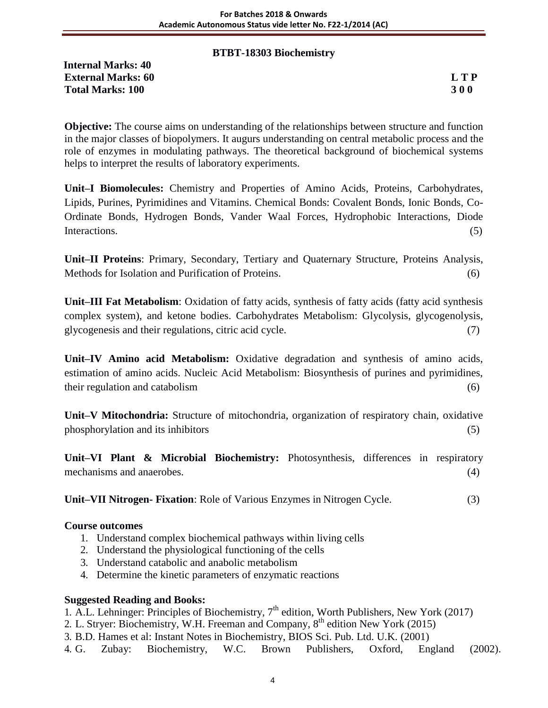#### **BTBT-18303 Biochemistry**

**Internal Marks: 40 External Marks: 60 L T P Total Marks: 100 3 0 0**

**Objective:** The course aims on understanding of the relationships between structure and function in the major classes of biopolymers. It augurs understanding on central metabolic process and the role of enzymes in modulating pathways. The theoretical background of biochemical systems helps to interpret the results of laboratory experiments.

**Unit–I Biomolecules:** Chemistry and Properties of Amino Acids, Proteins, Carbohydrates, Lipids, Purines, Pyrimidines and Vitamins. Chemical Bonds: Covalent Bonds, Ionic Bonds, Co-Ordinate Bonds, Hydrogen Bonds, Vander Waal Forces, Hydrophobic Interactions, Diode Interactions. (5)

**Unit–II Proteins**: Primary, Secondary, Tertiary and Quaternary Structure, Proteins Analysis, Methods for Isolation and Purification of Proteins. (6)

**Unit–III Fat Metabolism**: Oxidation of fatty acids, synthesis of fatty acids (fatty acid synthesis complex system), and ketone bodies. Carbohydrates Metabolism: Glycolysis, glycogenolysis, glycogenesis and their regulations, citric acid cycle. (7)

**Unit–IV Amino acid Metabolism:** Oxidative degradation and synthesis of amino acids, estimation of amino acids. Nucleic Acid Metabolism: Biosynthesis of purines and pyrimidines, their regulation and catabolism (6)

**Unit–V Mitochondria:** Structure of mitochondria, organization of respiratory chain, oxidative phosphorylation and its inhibitors (5)

**Unit–VI Plant & Microbial Biochemistry:** Photosynthesis, differences in respiratory mechanisms and anaerobes. (4)

**Unit–VII Nitrogen- Fixation**: Role of Various Enzymes in Nitrogen Cycle. (3)

#### **Course outcomes**

- 1. Understand complex biochemical pathways within living cells
- 2. Understand the physiological functioning of the cells
- 3. Understand catabolic and anabolic metabolism
- 4. Determine the kinetic parameters of enzymatic reactions

#### **Suggested Reading and Books:**

1. A.L. Lehninger: Principles of Biochemistry,  $7<sup>th</sup>$  edition, Worth Publishers, New York (2017)

- 2. L. Stryer: Biochemistry, W.H. Freeman and Company, 8<sup>th</sup> edition New York (2015)
- 3. B.D. Hames et al: Instant Notes in Biochemistry, BIOS Sci. Pub. Ltd. U.K. (2001)
- 4. G. Zubay: Biochemistry, W.C. Brown Publishers, Oxford, England (2002).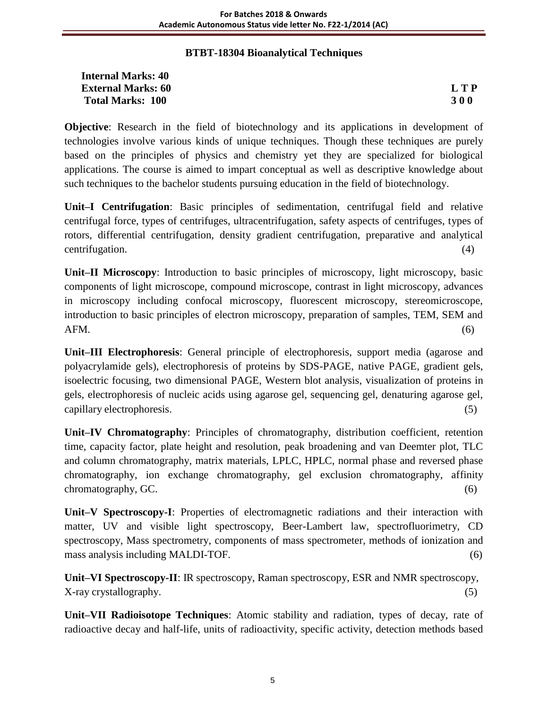# **BTBT-18304 Bioanalytical Techniques**

| <b>Internal Marks: 40</b> |            |
|---------------------------|------------|
| <b>External Marks: 60</b> | <b>LTP</b> |
| <b>Total Marks: 100</b>   | <b>300</b> |

**Objective**: Research in the field of biotechnology and its applications in development of technologies involve various kinds of unique techniques. Though these techniques are purely based on the principles of physics and chemistry yet they are specialized for biological applications. The course is aimed to impart conceptual as well as descriptive knowledge about such techniques to the bachelor students pursuing education in the field of biotechnology.

**Unit–I Centrifugation**: Basic principles of sedimentation, centrifugal field and relative centrifugal force, types of centrifuges, ultracentrifugation, safety aspects of centrifuges, types of rotors, differential centrifugation, density gradient centrifugation, preparative and analytical centrifugation. (4)

**Unit–II Microscopy**: Introduction to basic principles of microscopy, light microscopy, basic components of light microscope, compound microscope, contrast in light microscopy, advances in microscopy including confocal microscopy, fluorescent microscopy, stereomicroscope, introduction to basic principles of electron microscopy, preparation of samples, TEM, SEM and  $AFM.$  (6)

**Unit–III Electrophoresis**: General principle of electrophoresis, support media (agarose and polyacrylamide gels), electrophoresis of proteins by SDS-PAGE, native PAGE, gradient gels, isoelectric focusing, two dimensional PAGE, Western blot analysis, visualization of proteins in gels, electrophoresis of nucleic acids using agarose gel, sequencing gel, denaturing agarose gel, capillary electrophoresis. (5)

**Unit–IV Chromatography**: Principles of chromatography, distribution coefficient, retention time, capacity factor, plate height and resolution, peak broadening and van Deemter plot, TLC and column chromatography, matrix materials, LPLC, HPLC, normal phase and reversed phase chromatography, ion exchange chromatography, gel exclusion chromatography, affinity chromatography, GC. (6)

**Unit–V Spectroscopy-I**: Properties of electromagnetic radiations and their interaction with matter, UV and visible light spectroscopy, Beer-Lambert law, spectrofluorimetry, CD spectroscopy, Mass spectrometry, components of mass spectrometer, methods of ionization and mass analysis including MALDI-TOF. (6)

**Unit–VI Spectroscopy-II**: IR spectroscopy, Raman spectroscopy, ESR and NMR spectroscopy, X-ray crystallography. (5)

**Unit–VII Radioisotope Techniques**: Atomic stability and radiation, types of decay, rate of radioactive decay and half-life, units of radioactivity, specific activity, detection methods based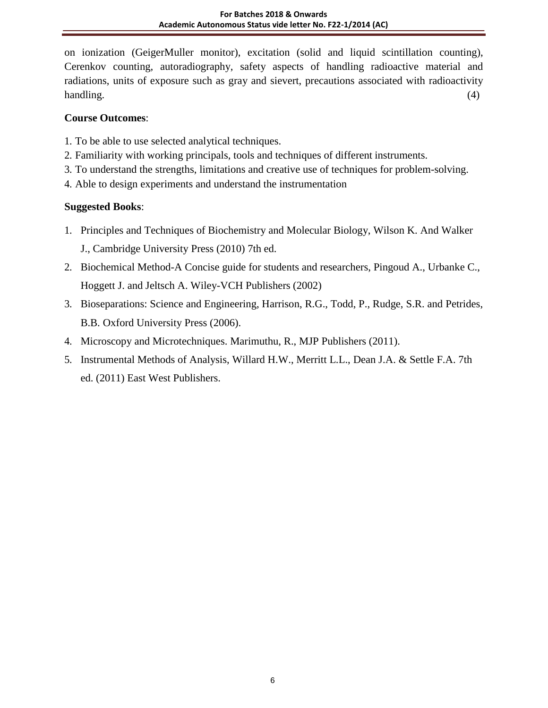on ionization (GeigerMuller monitor), excitation (solid and liquid scintillation counting), Cerenkov counting, autoradiography, safety aspects of handling radioactive material and radiations, units of exposure such as gray and sievert, precautions associated with radioactivity handling. (4)

# **Course Outcomes**:

- 1. To be able to use selected analytical techniques.
- 2. Familiarity with working principals, tools and techniques of different instruments.
- 3. To understand the strengths, limitations and creative use of techniques for problem-solving.
- 4. Able to design experiments and understand the instrumentation

# **Suggested Books**:

- 1. Principles and Techniques of Biochemistry and Molecular Biology, Wilson K. And Walker J., Cambridge University Press (2010) 7th ed.
- 2. Biochemical Method-A Concise guide for students and researchers, Pingoud A., Urbanke C., Hoggett J. and Jeltsch A. Wiley-VCH Publishers (2002)
- 3. Bioseparations: Science and Engineering, Harrison, R.G., Todd, P., Rudge, S.R. and Petrides, B.B. Oxford University Press (2006).
- 4. Microscopy and Microtechniques. Marimuthu, R., MJP Publishers (2011).
- 5. Instrumental Methods of Analysis, Willard H.W., Merritt L.L., Dean J.A. & Settle F.A. 7th ed. (2011) East West Publishers.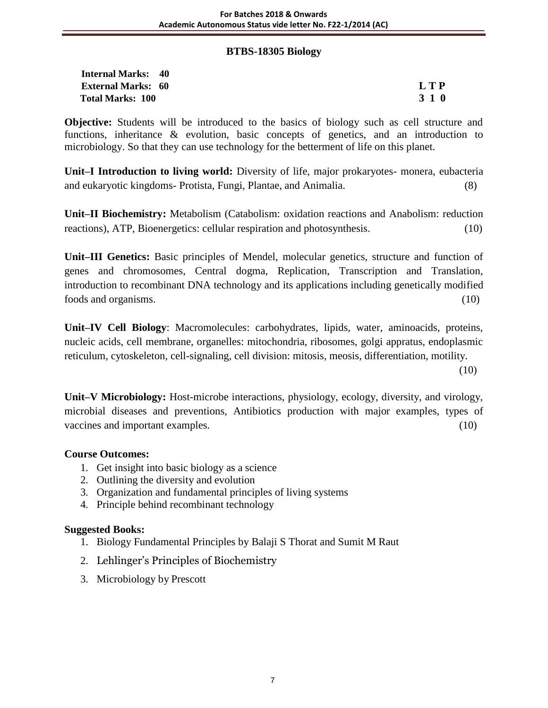#### **BTBS-18305 Biology**

| <b>Internal Marks: 40</b> |       |
|---------------------------|-------|
| <b>External Marks: 60</b> | L T P |
| <b>Total Marks: 100</b>   | 3 1 0 |

**Objective:** Students will be introduced to the basics of biology such as cell structure and functions, inheritance & evolution, basic concepts of genetics, and an introduction to microbiology. So that they can use technology for the betterment of life on this planet.

**Unit–I Introduction to living world:** Diversity of life, major prokaryotes- monera, eubacteria and eukaryotic kingdoms- Protista, Fungi, Plantae, and Animalia. (8)

**Unit–II Biochemistry:** Metabolism (Catabolism: oxidation reactions and Anabolism: reduction reactions), ATP, Bioenergetics: cellular respiration and photosynthesis. (10)

**Unit–III Genetics:** Basic principles of Mendel, molecular genetics, structure and function of genes and chromosomes, Central dogma, Replication, Transcription and Translation, introduction to recombinant DNA technology and its applications including genetically modified foods and organisms. (10)

**Unit–IV Cell Biology**: Macromolecules: carbohydrates, lipids, water, aminoacids, proteins, nucleic acids, cell membrane, organelles: mitochondria, ribosomes, golgi appratus, endoplasmic reticulum, cytoskeleton, cell-signaling, cell division: mitosis, meosis, differentiation, motility.

(10)

**Unit–V Microbiology:** Host-microbe interactions, physiology, ecology, diversity, and virology, microbial diseases and preventions, Antibiotics production with major examples, types of vaccines and important examples. (10)

# **Course Outcomes:**

- 1. Get insight into basic biology as a science
- 2. Outlining the diversity and evolution
- 3. Organization and fundamental principles of living systems
- 4. Principle behind recombinant technology

# **Suggested Books:**

- 1. Biology Fundamental Principles by Balaji S Thorat and Sumit M Raut
- 2. Lehlinger's Principles of Biochemistry
- 3. Microbiology by Prescott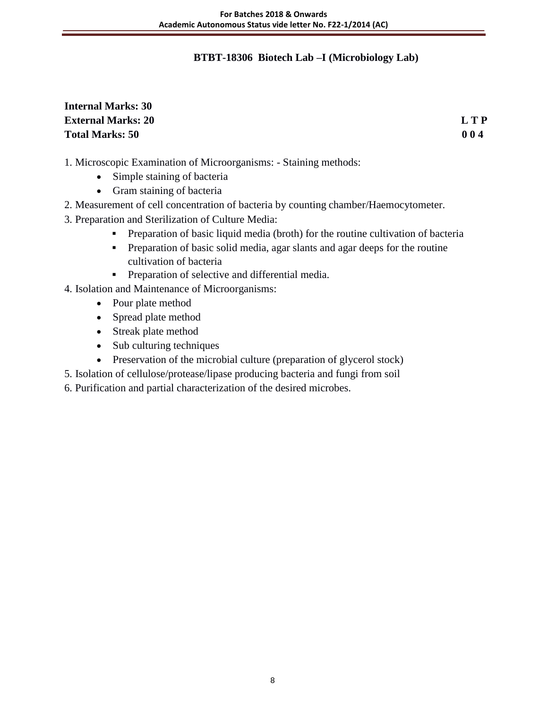# **BTBT-18306 Biotech Lab –I (Microbiology Lab)**

# **Internal Marks: 30 External Marks: 20 L T P Total Marks: 50 0 0 4**

- 1. Microscopic Examination of Microorganisms: Staining methods:
	- Simple staining of bacteria
	- Gram staining of bacteria
- 2. Measurement of cell concentration of bacteria by counting chamber/Haemocytometer.
- 3. Preparation and Sterilization of Culture Media:
	- **Preparation of basic liquid media (broth) for the routine cultivation of bacteria**
	- Preparation of basic solid media, agar slants and agar deeps for the routine cultivation of bacteria
	- **•** Preparation of selective and differential media.
- 4. Isolation and Maintenance of Microorganisms:
	- Pour plate method
	- Spread plate method
	- Streak plate method
	- Sub culturing techniques
	- Preservation of the microbial culture (preparation of glycerol stock)
- 5. Isolation of cellulose/protease/lipase producing bacteria and fungi from soil
- 6. Purification and partial characterization of the desired microbes.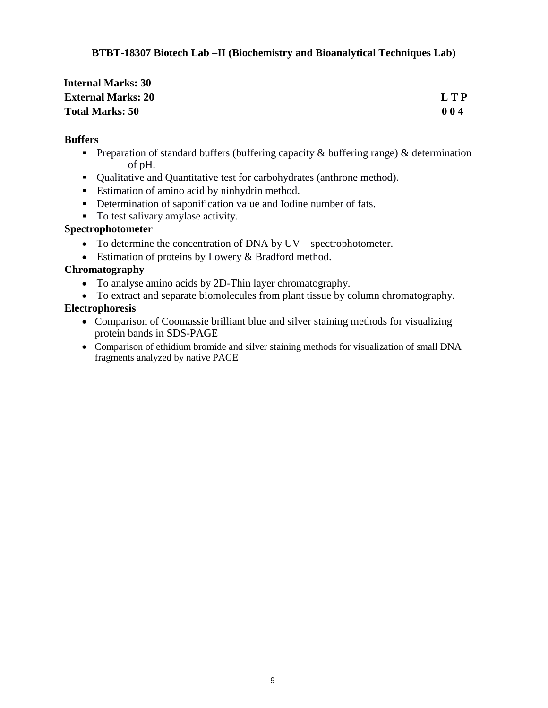# **BTBT-18307 Biotech Lab –II (Biochemistry and Bioanalytical Techniques Lab)**

| <b>Internal Marks: 30</b> |       |
|---------------------------|-------|
| <b>External Marks: 20</b> | L T P |
| <b>Total Marks: 50</b>    | 004   |

#### **Buffers**

- **Preparation of standard buffers (buffering capacity**  $\&$  **buffering range)**  $\&$  **determination** of pH.
- Qualitative and Quantitative test for carbohydrates (anthrone method).
- **Estimation of amino acid by ninhydrin method.**
- Determination of saponification value and Iodine number of fats.
- To test salivary amylase activity.

# **Spectrophotometer**

- To determine the concentration of DNA by UV spectrophotometer.
- Estimation of proteins by Lowery & Bradford method.

# **Chromatography**

- To analyse amino acids by 2D-Thin layer chromatography.
- To extract and separate biomolecules from plant tissue by column chromatography.

# **Electrophoresis**

- Comparison of Coomassie brilliant blue and silver staining methods for visualizing protein bands in SDS-PAGE
- Comparison of ethidium bromide and silver staining methods for visualization of small DNA fragments analyzed by native PAGE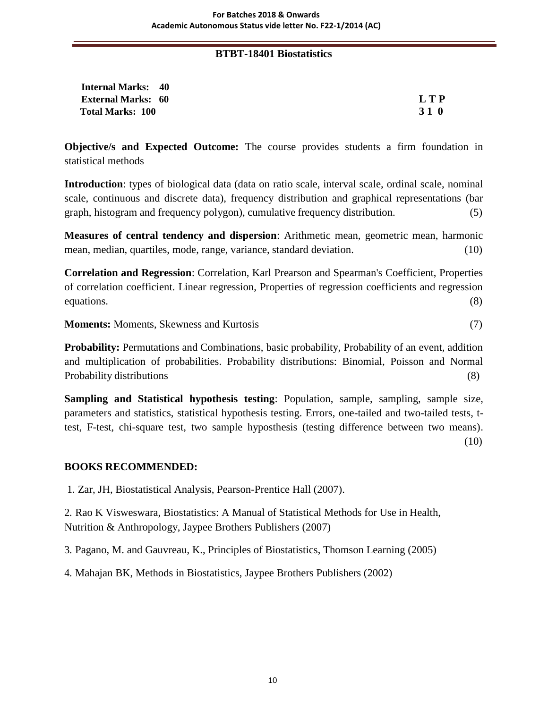#### **BTBT-18401 Biostatistics**

| <b>Internal Marks: 40</b> |                 |
|---------------------------|-----------------|
| <b>External Marks: 60</b> | <b>LTP</b>      |
| <b>Total Marks: 100</b>   | 31 <sub>0</sub> |

**Objective/s and Expected Outcome:** The course provides students a firm foundation in statistical methods

**Introduction**: types of biological data (data on ratio scale, interval scale, ordinal scale, nominal scale, continuous and discrete data), frequency distribution and graphical representations (bar graph, histogram and frequency polygon), cumulative frequency distribution. (5)

**Measures of central tendency and dispersion**: Arithmetic mean, geometric mean, harmonic mean, median, quartiles, mode, range, variance, standard deviation. (10)

**Correlation and Regression**: Correlation, Karl Prearson and Spearman's Coefficient, Properties of correlation coefficient. Linear regression, Properties of regression coefficients and regression equations. (8)

**Moments:** Moments, Skewness and Kurtosis (7)

**Probability:** Permutations and Combinations, basic probability, Probability of an event, addition and multiplication of probabilities. Probability distributions: Binomial, Poisson and Normal Probability distributions (8)

**Sampling and Statistical hypothesis testing:** Population, sample, sampling, sample size, parameters and statistics, statistical hypothesis testing. Errors, one-tailed and two-tailed tests, ttest, F-test, chi-square test, two sample hyposthesis (testing difference between two means). (10)

#### **BOOKS RECOMMENDED:**

1. Zar, JH, Biostatistical Analysis, Pearson-Prentice Hall (2007).

2. Rao K Visweswara, Biostatistics: A Manual of Statistical Methods for Use in Health, Nutrition & Anthropology, Jaypee Brothers Publishers (2007)

3. Pagano, M. and Gauvreau, K., Principles of Biostatistics, Thomson Learning (2005)

4. Mahajan BK, Methods in Biostatistics, Jaypee Brothers Publishers (2002)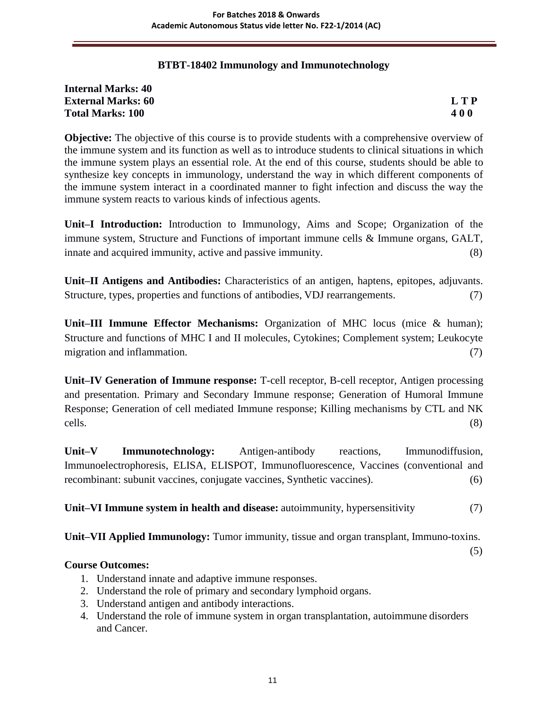# **BTBT-18402 Immunology and Immunotechnology**

| <b>Internal Marks: 40</b> |            |
|---------------------------|------------|
| <b>External Marks: 60</b> | L T P      |
| <b>Total Marks: 100</b>   | <b>400</b> |

**Objective:** The objective of this course is to provide students with a comprehensive overview of the immune system and its function as well as to introduce students to clinical situations in which the immune system plays an essential role. At the end of this course, students should be able to synthesize key concepts in immunology, understand the way in which different components of the immune system interact in a coordinated manner to fight infection and discuss the way the immune system reacts to various kinds of infectious agents.

**Unit–I Introduction:** Introduction to Immunology, Aims and Scope; Organization of the immune system, Structure and Functions of important immune cells & Immune organs, GALT, innate and acquired immunity, active and passive immunity. (8)

**Unit–II Antigens and Antibodies:** Characteristics of an antigen, haptens, epitopes, adjuvants. Structure, types, properties and functions of antibodies, VDJ rearrangements. (7)

**Unit–III Immune Effector Mechanisms:** Organization of MHC locus (mice & human); Structure and functions of MHC I and II molecules, Cytokines; Complement system; Leukocyte migration and inflammation. (7) (7)

**Unit–IV Generation of Immune response:** T-cell receptor, B-cell receptor, Antigen processing and presentation. Primary and Secondary Immune response; Generation of Humoral Immune Response; Generation of cell mediated Immune response; Killing mechanisms by CTL and NK cells. (8)

**Unit–V Immunotechnology:** Antigen-antibody reactions, Immunodiffusion, Immunoelectrophoresis, ELISA, ELISPOT, Immunofluorescence, Vaccines (conventional and recombinant: subunit vaccines, conjugate vaccines, Synthetic vaccines). (6)

**Unit–VI Immune system in health and disease:** autoimmunity, hypersensitivity (7)

**Unit–VII Applied Immunology:** Tumor immunity, tissue and organ transplant, Immuno-toxins.

(5)

# **Course Outcomes:**

- 1. Understand innate and adaptive immune responses.
- 2. Understand the role of primary and secondary lymphoid organs.
- 3. Understand antigen and antibody interactions.
- 4. Understand the role of immune system in organ transplantation, autoimmune disorders and Cancer.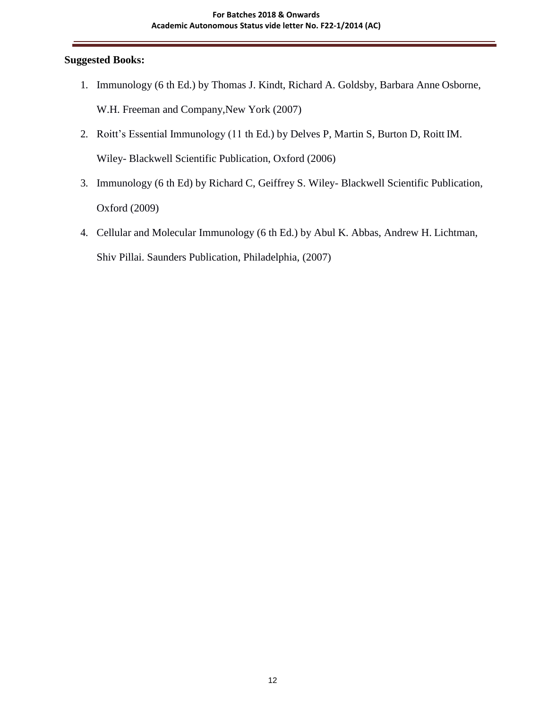#### **Suggested Books:**

- 1. Immunology (6 th Ed.) by Thomas J. Kindt, Richard A. Goldsby, Barbara Anne Osborne, W.H. Freeman and Company,New York (2007)
- 2. Roitt's Essential Immunology (11 th Ed.) by Delves P, Martin S, Burton D, Roitt IM. Wiley- Blackwell Scientific Publication, Oxford (2006)
- 3. Immunology (6 th Ed) by Richard C, Geiffrey S. Wiley- Blackwell Scientific Publication, Oxford (2009)
- 4. Cellular and Molecular Immunology (6 th Ed.) by Abul K. Abbas, Andrew H. Lichtman, Shiv Pillai. Saunders Publication, Philadelphia, (2007)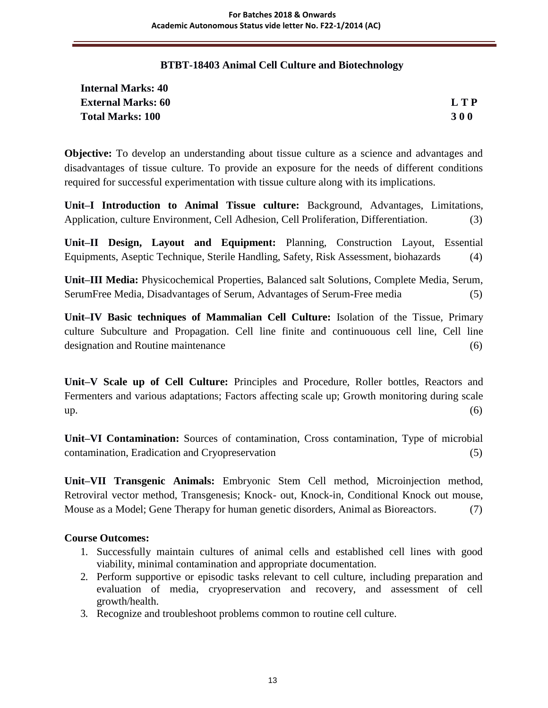# **BTBT-18403 Animal Cell Culture and Biotechnology**

| <b>Internal Marks: 40</b> |            |
|---------------------------|------------|
| <b>External Marks: 60</b> | L T P      |
| <b>Total Marks: 100</b>   | <b>300</b> |

**Objective:** To develop an understanding about tissue culture as a science and advantages and disadvantages of tissue culture. To provide an exposure for the needs of different conditions required for successful experimentation with tissue culture along with its implications.

**Unit–I Introduction to Animal Tissue culture:** Background, Advantages, Limitations, Application, culture Environment, Cell Adhesion, Cell Proliferation, Differentiation. (3)

**Unit–II Design, Layout and Equipment:** Planning, Construction Layout, Essential Equipments, Aseptic Technique, Sterile Handling, Safety, Risk Assessment, biohazards (4)

**Unit–III Media:** Physicochemical Properties, Balanced salt Solutions, Complete Media, Serum, SerumFree Media, Disadvantages of Serum, Advantages of Serum-Free media (5)

**Unit–IV Basic techniques of Mammalian Cell Culture:** Isolation of the Tissue, Primary culture Subculture and Propagation. Cell line finite and continuouous cell line, Cell line designation and Routine maintenance (6)

**Unit–V Scale up of Cell Culture:** Principles and Procedure, Roller bottles, Reactors and Fermenters and various adaptations; Factors affecting scale up; Growth monitoring during scale  $up.$  (6)

**Unit–VI Contamination:** Sources of contamination, Cross contamination, Type of microbial contamination, Eradication and Cryopreservation (5)

**Unit–VII Transgenic Animals:** Embryonic Stem Cell method, Microinjection method, Retroviral vector method, Transgenesis; Knock- out, Knock-in, Conditional Knock out mouse, Mouse as a Model; Gene Therapy for human genetic disorders, Animal as Bioreactors. (7)

# **Course Outcomes:**

- 1. Successfully maintain cultures of animal cells and established cell lines with good viability, minimal contamination and appropriate documentation.
- 2. Perform supportive or episodic tasks relevant to cell culture, including preparation and evaluation of media, cryopreservation and recovery, and assessment of cell growth/health.
- 3. Recognize and troubleshoot problems common to routine cell culture.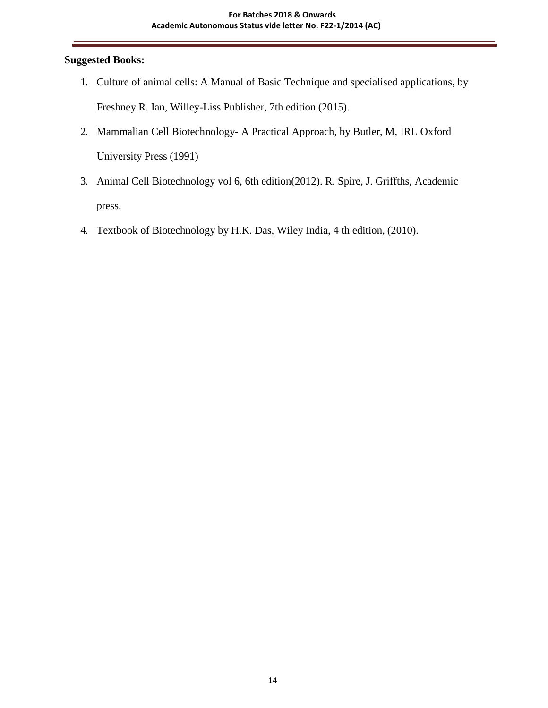# **Suggested Books:**

- 1. Culture of animal cells: A Manual of Basic Technique and specialised applications, by Freshney R. Ian, Willey-Liss Publisher, 7th edition (2015).
- 2. Mammalian Cell Biotechnology- A Practical Approach, by Butler, M, IRL Oxford University Press (1991)
- 3. Animal Cell Biotechnology vol 6, 6th edition(2012). R. Spire, J. Griffths, Academic press.
- 4. Textbook of Biotechnology by H.K. Das, Wiley India, 4 th edition, (2010).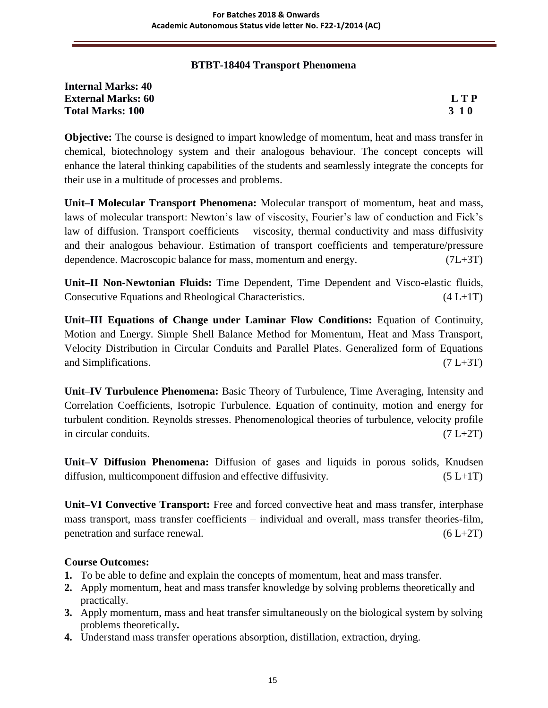# **BTBT-18404 Transport Phenomena**

| <b>Internal Marks: 40</b> |       |
|---------------------------|-------|
| <b>External Marks: 60</b> | L T P |
| <b>Total Marks: 100</b>   | 3 1 0 |

**Objective:** The course is designed to impart knowledge of momentum, heat and mass transfer in chemical, biotechnology system and their analogous behaviour. The concept concepts will enhance the lateral thinking capabilities of the students and seamlessly integrate the concepts for their use in a multitude of processes and problems.

**Unit–I Molecular Transport Phenomena:** Molecular transport of momentum, heat and mass, laws of molecular transport: Newton's law of viscosity, Fourier's law of conduction and Fick's law of diffusion. Transport coefficients – viscosity, thermal conductivity and mass diffusivity and their analogous behaviour. Estimation of transport coefficients and temperature/pressure dependence. Macroscopic balance for mass, momentum and energy. (7L+3T)

**Unit–II Non-Newtonian Fluids:** Time Dependent, Time Dependent and Visco-elastic fluids, Consecutive Equations and Rheological Characteristics. (4 L+1T)

**Unit–III Equations of Change under Laminar Flow Conditions:** Equation of Continuity, Motion and Energy. Simple Shell Balance Method for Momentum, Heat and Mass Transport, Velocity Distribution in Circular Conduits and Parallel Plates. Generalized form of Equations and Simplifications.  $(7 L+3T)$ 

**Unit–IV Turbulence Phenomena:** Basic Theory of Turbulence, Time Averaging, Intensity and Correlation Coefficients, Isotropic Turbulence. Equation of continuity, motion and energy for turbulent condition. Reynolds stresses. Phenomenological theories of turbulence, velocity profile in circular conduits.  $(7 L+2T)$ 

**Unit–V Diffusion Phenomena:** Diffusion of gases and liquids in porous solids, Knudsen diffusion, multicomponent diffusion and effective diffusivity.  $(5 L+1T)$ 

**Unit–VI Convective Transport:** Free and forced convective heat and mass transfer, interphase mass transport, mass transfer coefficients – individual and overall, mass transfer theories-film, penetration and surface renewal.  $(6 L+2T)$ 

# **Course Outcomes:**

- **1.** To be able to define and explain the concepts of momentum, heat and mass transfer.
- **2.** Apply momentum, heat and mass transfer knowledge by solving problems theoretically and practically.
- **3.** Apply momentum, mass and heat transfer simultaneously on the biological system by solving problems theoretically**.**
- **4.** Understand mass transfer operations absorption, distillation, extraction, drying.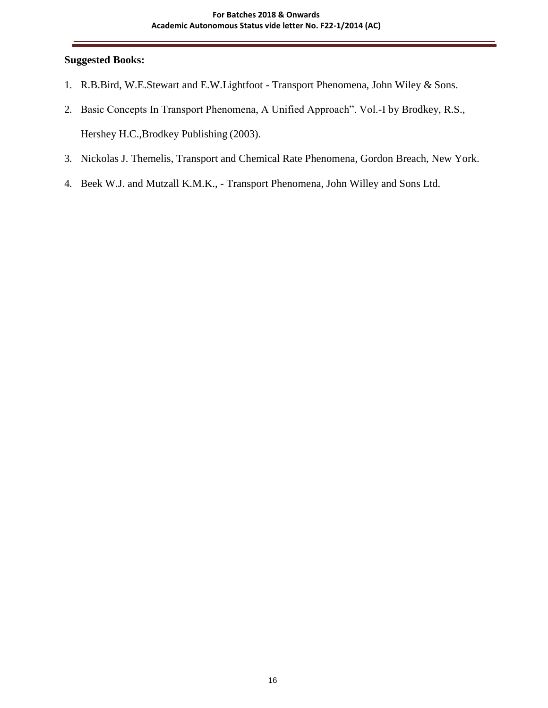#### **Suggested Books:**

- 1. R.B.Bird, W.E.Stewart and E.W.Lightfoot Transport Phenomena, John Wiley & Sons.
- 2. Basic Concepts In Transport Phenomena, A Unified Approach". Vol.-I by Brodkey, R.S., Hershey H.C.,Brodkey Publishing (2003).
- 3. Nickolas J. Themelis, Transport and Chemical Rate Phenomena, Gordon Breach, New York.
- 4. Beek W.J. and Mutzall K.M.K., Transport Phenomena, John Willey and Sons Ltd.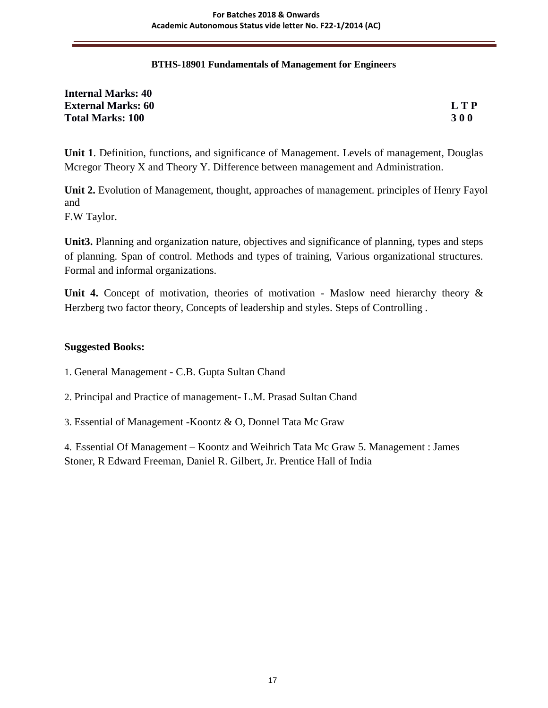#### **BTHS-18901 Fundamentals of Management for Engineers**

| <b>Internal Marks: 40</b> |            |
|---------------------------|------------|
| <b>External Marks: 60</b> | LTP        |
| <b>Total Marks: 100</b>   | <b>300</b> |

**Unit 1**. Definition, functions, and significance of Management. Levels of management, Douglas Mcregor Theory X and Theory Y. Difference between management and Administration.

**Unit 2.** Evolution of Management, thought, approaches of management. principles of Henry Fayol and

F.W Taylor.

**Unit3.** Planning and organization nature, objectives and significance of planning, types and steps of planning. Span of control. Methods and types of training, Various organizational structures. Formal and informal organizations.

Unit 4. Concept of motivation, theories of motivation - Maslow need hierarchy theory & Herzberg two factor theory, Concepts of leadership and styles. Steps of Controlling .

#### **Suggested Books:**

- 1. General Management C.B. Gupta Sultan Chand
- 2. Principal and Practice of management- L.M. Prasad Sultan Chand
- 3. Essential of Management -Koontz & O, Donnel Tata Mc Graw

4. Essential Of Management – Koontz and Weihrich Tata Mc Graw 5. Management : James Stoner, R Edward Freeman, Daniel R. Gilbert, Jr. Prentice Hall of India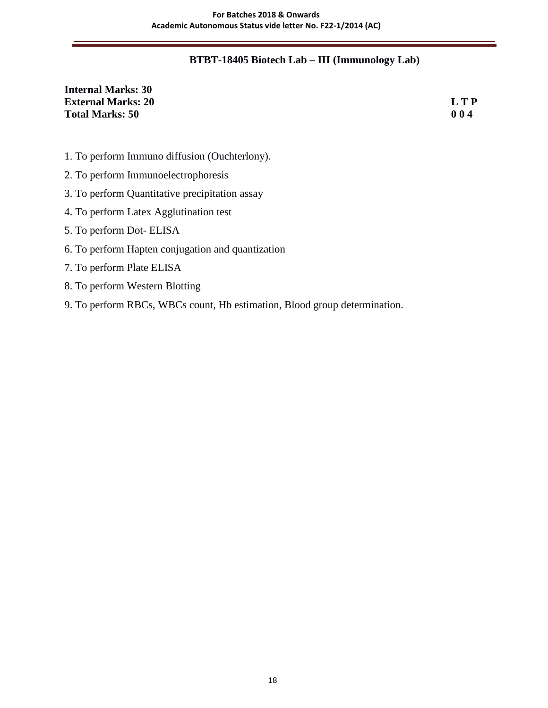# **BTBT-18405 Biotech Lab – III (Immunology Lab)**

# **Internal Marks: 30 External Marks: 20 L T P Total Marks: 50 0 0 4**

- 1. To perform Immuno diffusion (Ouchterlony).
- 2. To perform Immunoelectrophoresis
- 3. To perform Quantitative precipitation assay
- 4. To perform Latex Agglutination test
- 5. To perform Dot- ELISA
- 6. To perform Hapten conjugation and quantization
- 7. To perform Plate ELISA
- 8. To perform Western Blotting
- 9. To perform RBCs, WBCs count, Hb estimation, Blood group determination.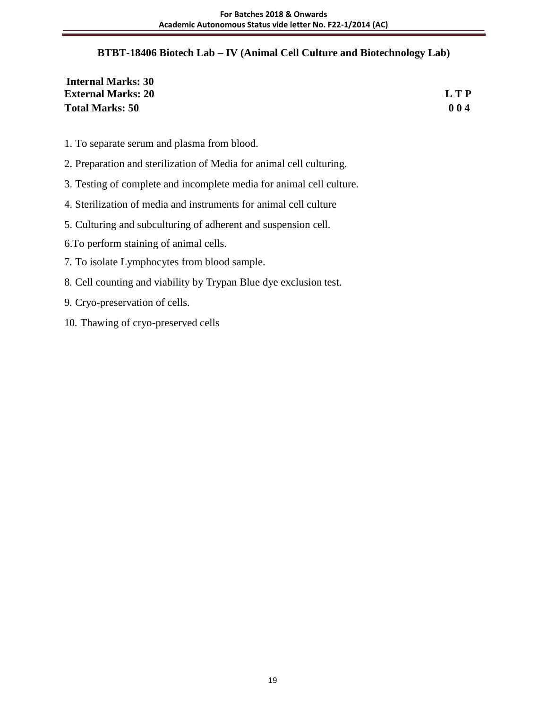# **BTBT-18406 Biotech Lab – IV (Animal Cell Culture and Biotechnology Lab)**

| <b>Internal Marks: 30</b> |            |
|---------------------------|------------|
| <b>External Marks: 20</b> | <b>LTP</b> |
| <b>Total Marks: 50</b>    | 004        |

- 1. To separate serum and plasma from blood.
- 2. Preparation and sterilization of Media for animal cell culturing.
- 3. Testing of complete and incomplete media for animal cell culture.
- 4. Sterilization of media and instruments for animal cell culture
- 5. Culturing and subculturing of adherent and suspension cell.
- 6.To perform staining of animal cells.
- 7. To isolate Lymphocytes from blood sample.
- 8. Cell counting and viability by Trypan Blue dye exclusion test.
- 9. Cryo-preservation of cells.
- 10. Thawing of cryo-preserved cells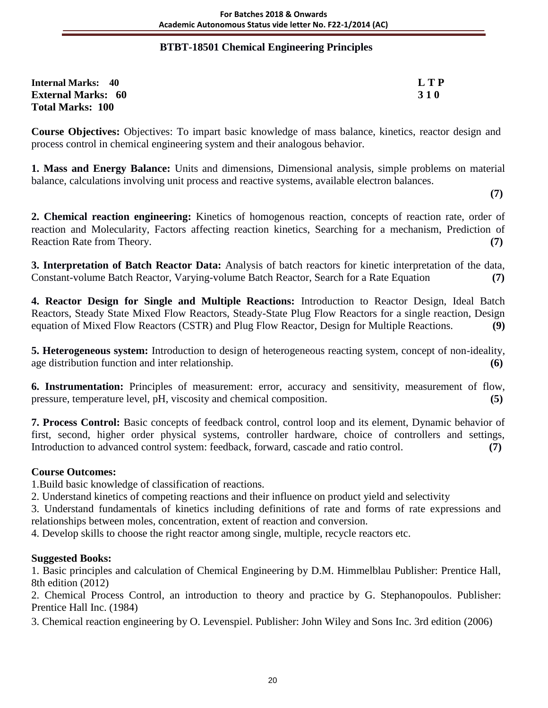# **BTBT-18501 Chemical Engineering Principles**

| <b>Internal Marks: 40</b> | L T P      |
|---------------------------|------------|
| <b>External Marks: 60</b> | <b>310</b> |
| <b>Total Marks: 100</b>   |            |

**Course Objectives:** Objectives: To impart basic knowledge of mass balance, kinetics, reactor design and process control in chemical engineering system and their analogous behavior.

**1. Mass and Energy Balance:** Units and dimensions, Dimensional analysis, simple problems on material balance, calculations involving unit process and reactive systems, available electron balances.

**(7)**

**2. Chemical reaction engineering:** Kinetics of homogenous reaction, concepts of reaction rate, order of reaction and Molecularity, Factors affecting reaction kinetics, Searching for a mechanism, Prediction of Reaction Rate from Theory. **(7)**

**3. Interpretation of Batch Reactor Data:** Analysis of batch reactors for kinetic interpretation of the data, Constant-volume Batch Reactor, Varying-volume Batch Reactor, Search for a Rate Equation **(7)**

**4. Reactor Design for Single and Multiple Reactions:** Introduction to Reactor Design, Ideal Batch Reactors, Steady State Mixed Flow Reactors, Steady-State Plug Flow Reactors for a single reaction, Design equation of Mixed Flow Reactors (CSTR) and Plug Flow Reactor, Design for Multiple Reactions. **(9)**

**5. Heterogeneous system:** Introduction to design of heterogeneous reacting system, concept of non-ideality, age distribution function and inter relationship. **(6)**

**6. Instrumentation:** Principles of measurement: error, accuracy and sensitivity, measurement of flow, pressure, temperature level, pH, viscosity and chemical composition. **(5)**

**7. Process Control:** Basic concepts of feedback control, control loop and its element, Dynamic behavior of first, second, higher order physical systems, controller hardware, choice of controllers and settings, Introduction to advanced control system: feedback, forward, cascade and ratio control. **(7)**

# **Course Outcomes:**

1.Build basic knowledge of classification of reactions.

2. Understand kinetics of competing reactions and their influence on product yield and selectivity

3. Understand fundamentals of kinetics including definitions of rate and forms of rate expressions and relationships between moles, concentration, extent of reaction and conversion.

4. Develop skills to choose the right reactor among single, multiple, recycle reactors etc.

# **Suggested Books:**

1. Basic principles and calculation of Chemical Engineering by D.M. Himmelblau Publisher: Prentice Hall, 8th edition (2012)

2. Chemical Process Control, an introduction to theory and practice by G. Stephanopoulos. Publisher: Prentice Hall Inc. (1984)

3. Chemical reaction engineering by O. Levenspiel. Publisher: John Wiley and Sons Inc. 3rd edition (2006)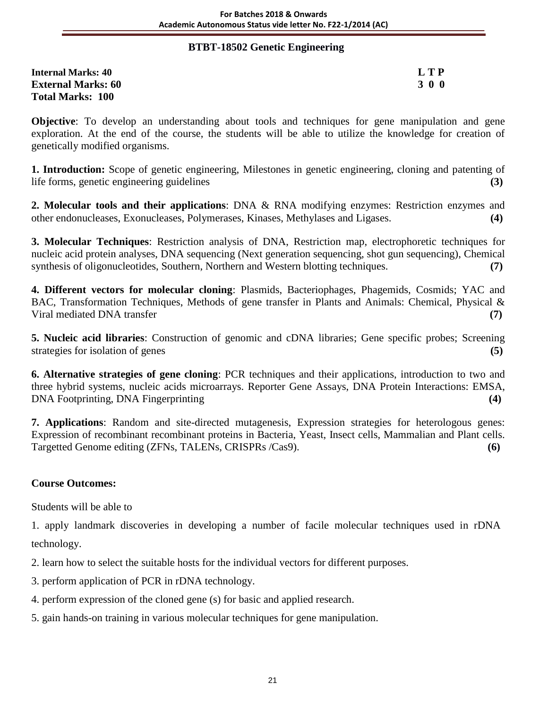#### **BTBT-18502 Genetic Engineering**

| <b>Internal Marks: 40</b> | LTP        |
|---------------------------|------------|
| <b>External Marks: 60</b> | <b>300</b> |
| <b>Total Marks: 100</b>   |            |

**Objective**: To develop an understanding about tools and techniques for gene manipulation and gene exploration. At the end of the course, the students will be able to utilize the knowledge for creation of genetically modified organisms.

**1. Introduction:** Scope of genetic engineering, Milestones in genetic engineering, cloning and patenting of life forms, genetic engineering guidelines **(3)**

**2. Molecular tools and their applications**: DNA & RNA modifying enzymes: Restriction enzymes and other endonucleases, Exonucleases, Polymerases, Kinases, Methylases and Ligases. **(4)**

**3. Molecular Techniques**: Restriction analysis of DNA, Restriction map, electrophoretic techniques for nucleic acid protein analyses, DNA sequencing (Next generation sequencing, shot gun sequencing), Chemical synthesis of oligonucleotides, Southern, Northern and Western blotting techniques. **(7)**

**4. Different vectors for molecular cloning**: Plasmids, Bacteriophages, Phagemids, Cosmids; YAC and BAC, Transformation Techniques, Methods of gene transfer in Plants and Animals: Chemical, Physical & Viral mediated DNA transfer **(7)**

**5. Nucleic acid libraries**: Construction of genomic and cDNA libraries; Gene specific probes; Screening strategies for isolation of genes **(5)**

**6. Alternative strategies of gene cloning**: PCR techniques and their applications, introduction to two and three hybrid systems, nucleic acids microarrays. Reporter Gene Assays, DNA Protein Interactions: EMSA, DNA Footprinting, DNA Fingerprinting **(4)**

**7. Applications**: Random and site-directed mutagenesis, Expression strategies for heterologous genes: Expression of recombinant recombinant proteins in Bacteria, Yeast, Insect cells, Mammalian and Plant cells. Targetted Genome editing (ZFNs, TALENs, CRISPRs /Cas9). **(6)**

# **Course Outcomes:**

Students will be able to

1. apply landmark discoveries in developing a number of facile molecular techniques used in rDNA technology.

2. learn how to select the suitable hosts for the individual vectors for different purposes.

3. perform application of PCR in rDNA technology.

4. perform expression of the cloned gene (s) for basic and applied research.

5. gain hands-on training in various molecular techniques for gene manipulation.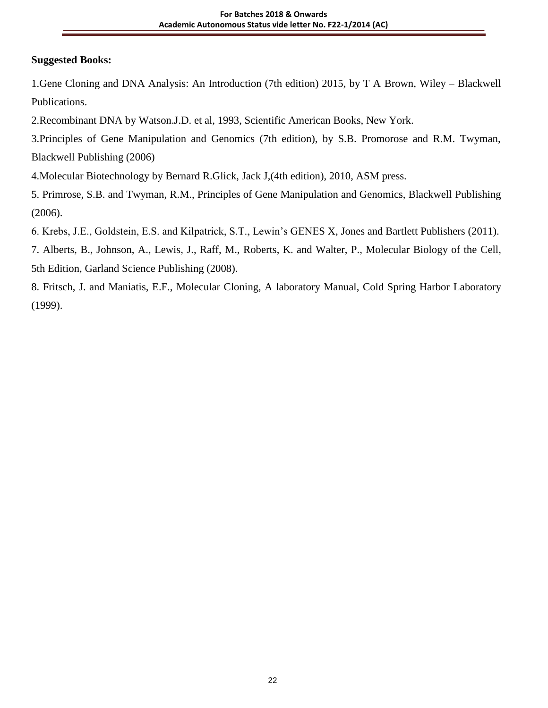# **Suggested Books:**

1.Gene Cloning and DNA Analysis: An Introduction (7th edition) 2015, by T A Brown, Wiley – Blackwell Publications.

2.Recombinant DNA by Watson.J.D. et al, 1993, Scientific American Books, New York.

3.Principles of Gene Manipulation and Genomics (7th edition), by S.B. Promorose and R.M. Twyman, Blackwell Publishing (2006)

4.Molecular Biotechnology by Bernard R.Glick, Jack J,(4th edition), 2010, ASM press.

5. Primrose, S.B. and Twyman, R.M., Principles of Gene Manipulation and Genomics, Blackwell Publishing (2006).

6. Krebs, J.E., Goldstein, E.S. and Kilpatrick, S.T., Lewin's GENES X, Jones and Bartlett Publishers (2011).

7. Alberts, B., Johnson, A., Lewis, J., Raff, M., Roberts, K. and Walter, P., Molecular Biology of the Cell, 5th Edition, Garland Science Publishing (2008).

8. Fritsch, J. and Maniatis, E.F., Molecular Cloning, A laboratory Manual, Cold Spring Harbor Laboratory (1999).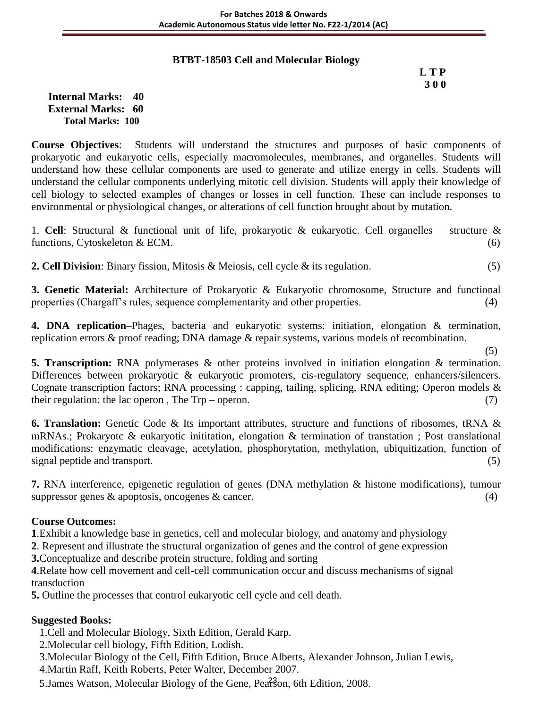# **BTBT-18503 Cell and Molecular Biology**

# **L T P 3 0 0**

**Internal Marks: 40 External Marks: 60 Total Marks: 100** 

**Course Objectives**: Students will understand the structures and purposes of basic components of prokaryotic and eukaryotic cells, especially macromolecules, membranes, and organelles. Students will understand how these cellular components are used to generate and utilize energy in cells. Students will understand the cellular components underlying mitotic cell division. Students will apply their knowledge of cell biology to selected examples of changes or losses in cell function. These can include responses to environmental or physiological changes, or alterations of cell function brought about by mutation.

1. **Cell**: Structural & functional unit of life, prokaryotic & eukaryotic. Cell organelles – structure & functions, Cytoskeleton  $& ECM.$  (6)

**2. Cell Division**: Binary fission, Mitosis & Meiosis, cell cycle & its regulation. (5)

**3. Genetic Material:** Architecture of Prokaryotic & Eukaryotic chromosome, Structure and functional properties (Chargaff's rules, sequence complementarity and other properties. (4)

**4. DNA replication**–Phages, bacteria and eukaryotic systems: initiation, elongation & termination, replication errors & proof reading; DNA damage & repair systems, various models of recombination.

(5)

**5. Transcription:** RNA polymerases & other proteins involved in initiation elongation & termination. Differences between prokaryotic & eukaryotic promoters, cis-regulatory sequence, enhancers/silencers. Cognate transcription factors; RNA processing : capping, tailing, splicing, RNA editing; Operon models & their regulation: the lac operon, The  $Trp - open$ . (7)

**6. Translation:** Genetic Code & Its important attributes, structure and functions of ribosomes, tRNA & mRNAs.; Prokaryotc & eukaryotic inititation, elongation & termination of transtation ; Post translational modifications: enzymatic cleavage, acetylation, phosphorytation, methylation, ubiquitization, function of signal peptide and transport. (5)

**7.** RNA interference, epigenetic regulation of genes (DNA methylation & histone modifications), tumour suppressor genes  $\&$  apoptosis, oncogenes  $\&$  cancer. (4)

#### **Course Outcomes:**

**1**.Exhibit a knowledge base in genetics, cell and molecular biology, and anatomy and physiology

**2**. Represent and illustrate the structural organization of genes and the control of gene expression

**3.**Conceptualize and describe protein structure, folding and sorting

**4**.Relate how cell movement and cell-cell communication occur and discuss mechanisms of signal transduction

**5.** Outline the processes that control eukaryotic cell cycle and cell death.

# **Suggested Books:**

1.Cell and Molecular Biology, Sixth Edition, Gerald Karp.

2.Molecular cell biology, Fifth Edition, Lodish.

3.Molecular Biology of the Cell, Fifth Edition, Bruce Alberts, Alexander Johnson, Julian Lewis, 4.Martin Raff, Keith Roberts, Peter Walter, December 2007.

5. James Watson, Molecular Biology of the Gene, Pearson, 6th Edition, 2008.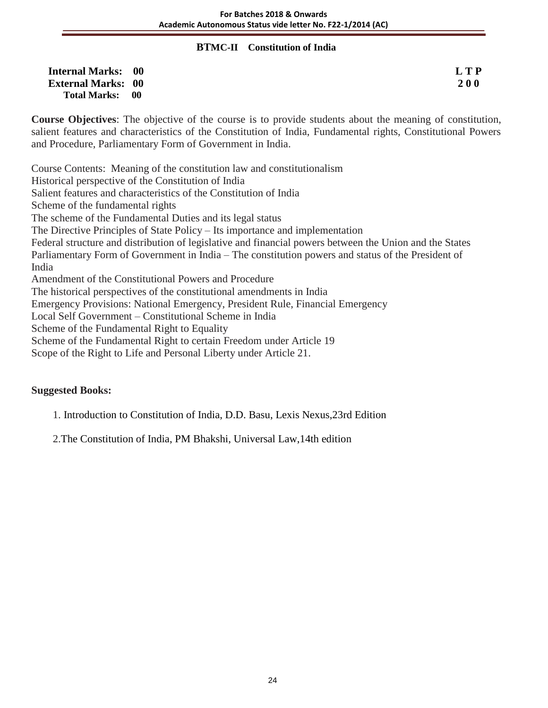#### **BTMC-II Constitution of India**

| <b>Internal Marks: 00</b> | L T P      |
|---------------------------|------------|
| <b>External Marks: 00</b> | <b>200</b> |
| Total Marks: 00           |            |

**Course Objectives**: The objective of the course is to provide students about the meaning of constitution, salient features and characteristics of the Constitution of India, Fundamental rights, Constitutional Powers and Procedure, Parliamentary Form of Government in India.

Course Contents: Meaning of the constitution law and constitutionalism Historical perspective of the Constitution of India Salient features and characteristics of the Constitution of India Scheme of the fundamental rights The scheme of the Fundamental Duties and its legal status The Directive Principles of State Policy – Its importance and implementation Federal structure and distribution of legislative and financial powers between the Union and the States Parliamentary Form of Government in India – The constitution powers and status of the President of India Amendment of the Constitutional Powers and Procedure The historical perspectives of the constitutional amendments in India Emergency Provisions: National Emergency, President Rule, Financial Emergency Local Self Government – Constitutional Scheme in India Scheme of the Fundamental Right to Equality Scheme of the Fundamental Right to certain Freedom under Article 19 Scope of the Right to Life and Personal Liberty under Article 21.

# **Suggested Books:**

1. Introduction to Constitution of India, D.D. Basu, Lexis Nexus,23rd Edition

2.The Constitution of India, PM Bhakshi, Universal Law,14th edition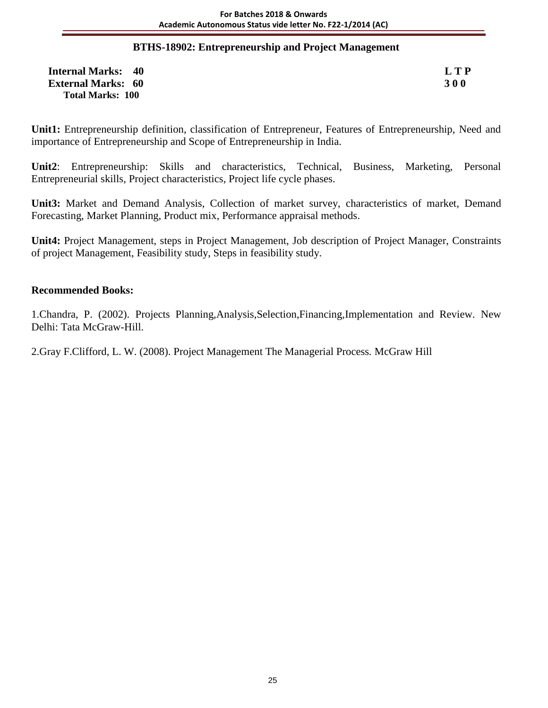#### **BTHS-18902: Entrepreneurship and Project Management**

| <b>Internal Marks: 40</b> | L T P      |
|---------------------------|------------|
| <b>External Marks: 60</b> | <b>300</b> |
| <b>Total Marks: 100</b>   |            |

**Unit1:** Entrepreneurship definition, classification of Entrepreneur, Features of Entrepreneurship, Need and importance of Entrepreneurship and Scope of Entrepreneurship in India.

**Unit2**: Entrepreneurship: Skills and characteristics, Technical, Business, Marketing, Personal Entrepreneurial skills, Project characteristics, Project life cycle phases.

**Unit3:** Market and Demand Analysis, Collection of market survey, characteristics of market, Demand Forecasting, Market Planning, Product mix, Performance appraisal methods.

**Unit4:** Project Management, steps in Project Management, Job description of Project Manager, Constraints of project Management, Feasibility study, Steps in feasibility study.

#### **Recommended Books:**

1.Chandra, P. (2002). Projects Planning,Analysis,Selection,Financing,Implementation and Review. New Delhi: Tata McGraw-Hill.

2.Gray F.Clifford, L. W. (2008). Project Management The Managerial Process*.* McGraw Hill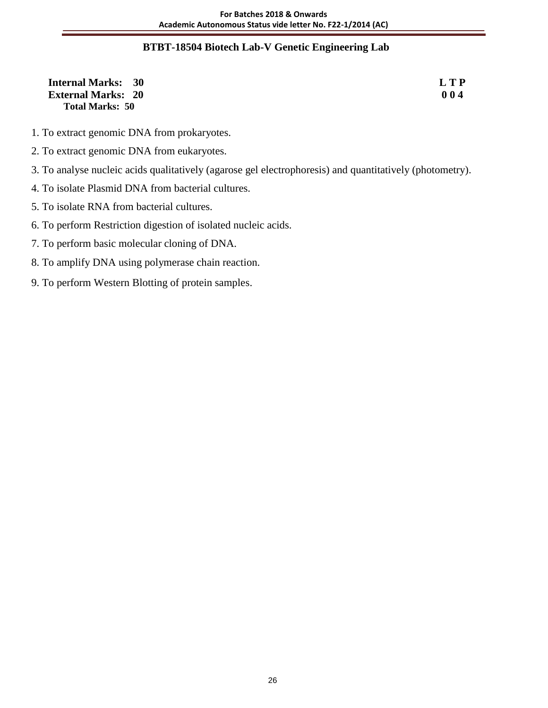# **BTBT-18504 Biotech Lab-V Genetic Engineering Lab**

| <b>Internal Marks: 30</b> | <b>LTP</b> |
|---------------------------|------------|
| <b>External Marks: 20</b> | 004        |
| <b>Total Marks: 50</b>    |            |

- 1. To extract genomic DNA from prokaryotes.
- 2. To extract genomic DNA from eukaryotes.
- 3. To analyse nucleic acids qualitatively (agarose gel electrophoresis) and quantitatively (photometry).
- 4. To isolate Plasmid DNA from bacterial cultures.
- 5. To isolate RNA from bacterial cultures.
- 6. To perform Restriction digestion of isolated nucleic acids.
- 7. To perform basic molecular cloning of DNA.
- 8. To amplify DNA using polymerase chain reaction.
- 9. To perform Western Blotting of protein samples.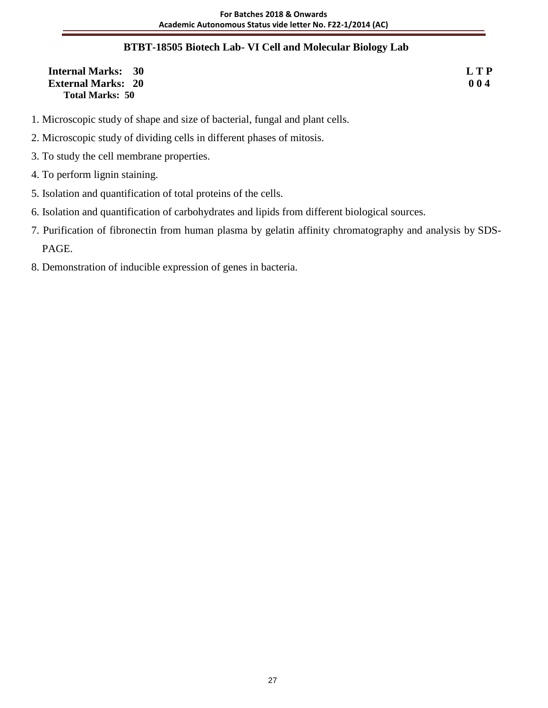# **BTBT-18505 Biotech Lab- VI Cell and Molecular Biology Lab**

| <b>Internal Marks: 30</b> | L T P |
|---------------------------|-------|
| <b>External Marks: 20</b> | 004   |
| <b>Total Marks: 50</b>    |       |

- 1. Microscopic study of shape and size of bacterial, fungal and plant cells.
- 2. Microscopic study of dividing cells in different phases of mitosis.
- 3. To study the cell membrane properties.
- 4. To perform lignin staining.
- 5. Isolation and quantification of total proteins of the cells.
- 6. Isolation and quantification of carbohydrates and lipids from different biological sources.
- 7. Purification of fibronectin from human plasma by gelatin affinity chromatography and analysis by SDS- PAGE.
- 8. Demonstration of inducible expression of genes in bacteria.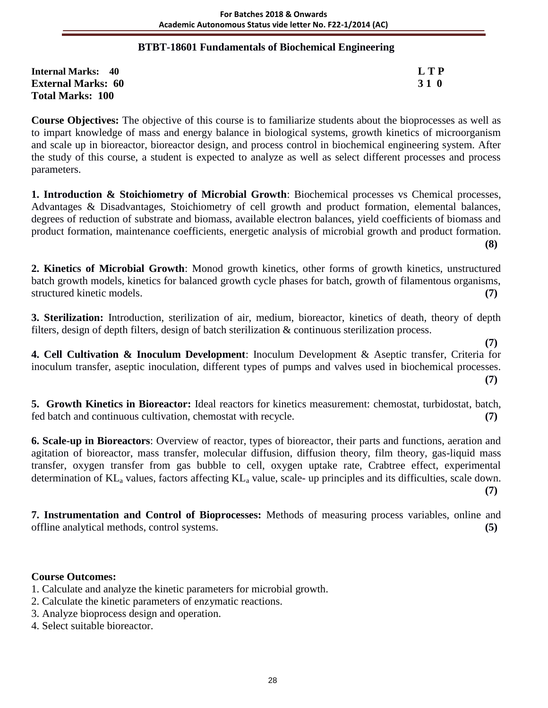# **BTBT-18601 Fundamentals of Biochemical Engineering**

| <b>Internal Marks: 40</b> | L T P |
|---------------------------|-------|
| <b>External Marks: 60</b> | 31 O  |
| <b>Total Marks: 100</b>   |       |

**Course Objectives:** The objective of this course is to familiarize students about the bioprocesses as well as to impart knowledge of mass and energy balance in biological systems, growth kinetics of microorganism and scale up in bioreactor, bioreactor design, and process control in biochemical engineering system. After the study of this course, a student is expected to analyze as well as select different processes and process parameters.

**1. Introduction & Stoichiometry of Microbial Growth**: Biochemical processes vs Chemical processes, Advantages & Disadvantages, Stoichiometry of cell growth and product formation, elemental balances, degrees of reduction of substrate and biomass, available electron balances, yield coefficients of biomass and product formation, maintenance coefficients, energetic analysis of microbial growth and product formation. **(8)**

**2. Kinetics of Microbial Growth**: Monod growth kinetics, other forms of growth kinetics, unstructured batch growth models, kinetics for balanced growth cycle phases for batch, growth of filamentous organisms, structured kinetic models. **(7)**

**3. Sterilization:** Introduction, sterilization of air, medium, bioreactor, kinetics of death, theory of depth filters, design of depth filters, design of batch sterilization & continuous sterilization process.

 **(7) 4. Cell Cultivation & Inoculum Development**: Inoculum Development & Aseptic transfer, Criteria for inoculum transfer, aseptic inoculation, different types of pumps and valves used in biochemical processes. **(7)**

**5. Growth Kinetics in Bioreactor:** Ideal reactors for kinetics measurement: chemostat, turbidostat, batch, fed batch and continuous cultivation, chemostat with recycle. **(7)**

**6. Scale-up in Bioreactors**: Overview of reactor, types of bioreactor, their parts and functions, aeration and agitation of bioreactor, mass transfer, molecular diffusion, diffusion theory, film theory, gas-liquid mass transfer, oxygen transfer from gas bubble to cell, oxygen uptake rate, Crabtree effect, experimental determination of  $KL_a$  values, factors affecting  $KL_a$  value, scale- up principles and its difficulties, scale down. **(7)**

**7. Instrumentation and Control of Bioprocesses:** Methods of measuring process variables, online and offline analytical methods, control systems. **(5)**

# **Course Outcomes:**

- 1. Calculate and analyze the kinetic parameters for microbial growth.
- 2. Calculate the kinetic parameters of enzymatic reactions.
- 3. Analyze bioprocess design and operation.
- 4. Select suitable bioreactor.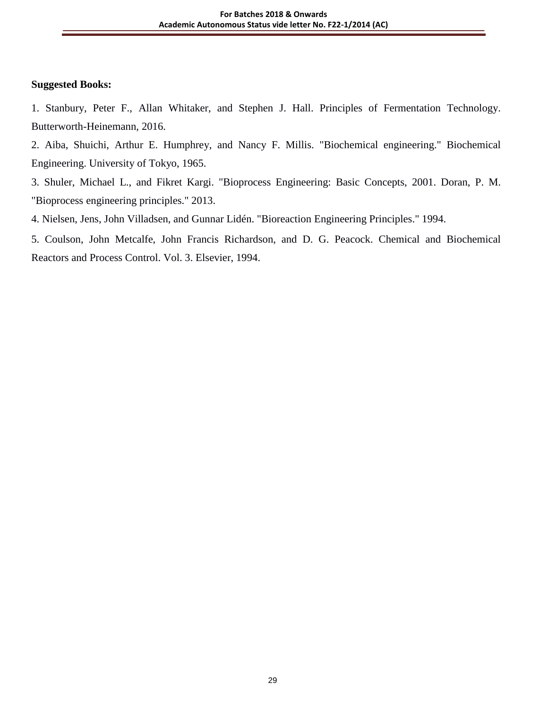#### **Suggested Books:**

1. Stanbury, Peter F., Allan Whitaker, and Stephen J. Hall. Principles of Fermentation Technology. Butterworth-Heinemann, 2016.

2. Aiba, Shuichi, Arthur E. Humphrey, and Nancy F. Millis. "Biochemical engineering." Biochemical Engineering. University of Tokyo, 1965.

3. Shuler, Michael L., and Fikret Kargi. "Bioprocess Engineering: Basic Concepts, 2001. Doran, P. M. "Bioprocess engineering principles." 2013.

4. Nielsen, Jens, John Villadsen, and Gunnar Lidén. "Bioreaction Engineering Principles." 1994.

5. Coulson, John Metcalfe, John Francis Richardson, and D. G. Peacock. Chemical and Biochemical Reactors and Process Control. Vol. 3. Elsevier, 1994.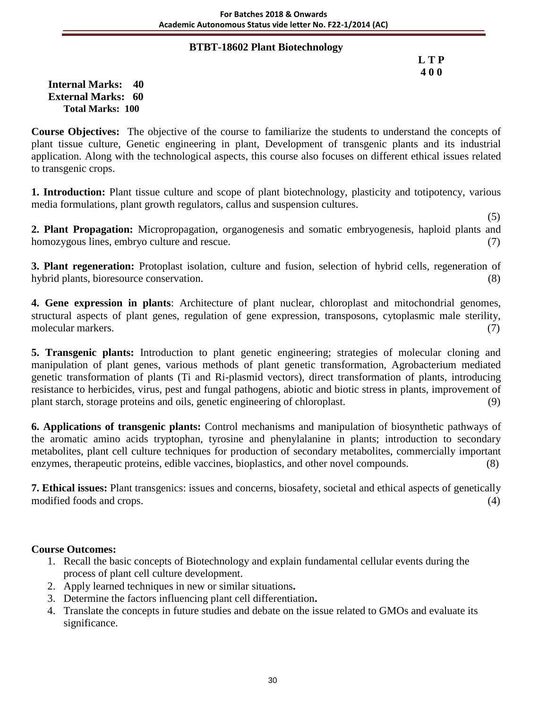### **BTBT-18602 Plant Biotechnology**

 **L T P 4 0 0**

**Internal Marks: 40 External Marks: 60 Total Marks: 100** 

**Course Objectives:** The objective of the course to familiarize the students to understand the concepts of plant tissue culture, Genetic engineering in plant, Development of transgenic plants and its industrial application. Along with the technological aspects, this course also focuses on different ethical issues related to transgenic crops.

**1. Introduction:** Plant tissue culture and scope of plant biotechnology, plasticity and totipotency, various media formulations, plant growth regulators, callus and suspension cultures.

 $(5)$ **2. Plant Propagation:** Micropropagation, organogenesis and somatic embryogenesis, haploid plants and homozygous lines, embryo culture and rescue. (7)

**3. Plant regeneration:** Protoplast isolation, culture and fusion, selection of hybrid cells, regeneration of hybrid plants, bioresource conservation. (8)  $(8)$ 

**4. Gene expression in plants**: Architecture of plant nuclear, chloroplast and mitochondrial genomes, structural aspects of plant genes, regulation of gene expression, transposons, cytoplasmic male sterility, molecular markers. (7)

**5. Transgenic plants:** Introduction to plant genetic engineering; strategies of molecular cloning and manipulation of plant genes, various methods of plant genetic transformation, Agrobacterium mediated genetic transformation of plants (Ti and Ri-plasmid vectors), direct transformation of plants, introducing resistance to herbicides, virus, pest and fungal pathogens, abiotic and biotic stress in plants, improvement of plant starch, storage proteins and oils, genetic engineering of chloroplast. (9)

**6. Applications of transgenic plants:** Control mechanisms and manipulation of biosynthetic pathways of the aromatic amino acids tryptophan, tyrosine and phenylalanine in plants; introduction to secondary metabolites, plant cell culture techniques for production of secondary metabolites, commercially important enzymes, therapeutic proteins, edible vaccines, bioplastics, and other novel compounds. (8)

**7. Ethical issues:** Plant transgenics: issues and concerns, biosafety, societal and ethical aspects of genetically modified foods and crops. (4) (3) and crops (4) and contact the contact of the contact of the contact of the contact of the contact of the contact of the contact of the contact of the contact of the contact of the contact

### **Course Outcomes:**

- 1. Recall the basic concepts of Biotechnology and explain fundamental cellular events during the process of plant cell culture development.
- 2. Apply learned techniques in new or similar situations**.**
- 3. Determine the factors influencing plant cell differentiation**.**
- 4. Translate the concepts in future studies and debate on the issue related to GMOs and evaluate its significance.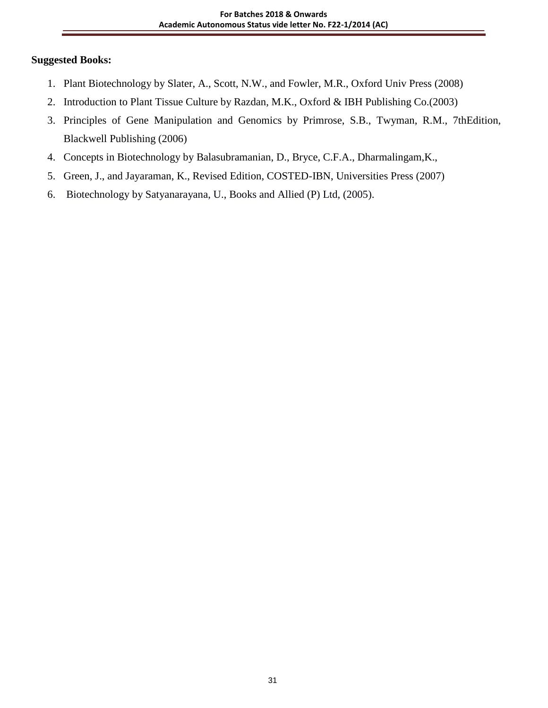- 1. Plant Biotechnology by Slater, A., Scott, N.W., and Fowler, M.R., Oxford Univ Press (2008)
- 2. Introduction to Plant Tissue Culture by Razdan, M.K., Oxford & IBH Publishing Co.(2003)
- 3. Principles of Gene Manipulation and Genomics by Primrose, S.B., Twyman, R.M., 7thEdition, Blackwell Publishing (2006)
- 4. Concepts in Biotechnology by Balasubramanian, D., Bryce, C.F.A., Dharmalingam,K.,
- 5. Green, J., and Jayaraman, K., Revised Edition, COSTED-IBN, Universities Press (2007)
- 6. Biotechnology by Satyanarayana, U., Books and Allied (P) Ltd, (2005).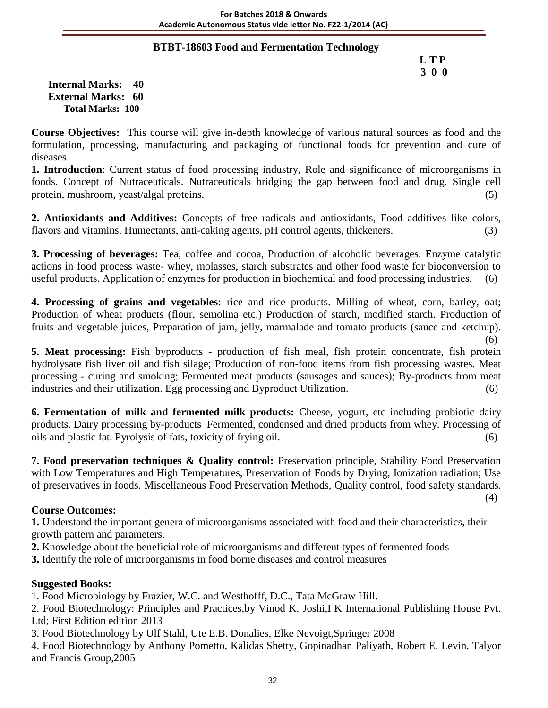### **BTBT-18603 Food and Fermentation Technology**

### **L T P 3 0 0**

**Internal Marks: 40 External Marks: 60 Total Marks: 100** 

**Course Objectives:** This course will give in-depth knowledge of various natural sources as food and the formulation, processing, manufacturing and packaging of functional foods for prevention and cure of diseases.

**1. Introduction**: Current status of food processing industry, Role and significance of microorganisms in foods. Concept of Nutraceuticals. Nutraceuticals bridging the gap between food and drug. Single cell protein, mushroom, yeast/algal proteins. (5)

**2. Antioxidants and Additives:** Concepts of free radicals and antioxidants, Food additives like colors, flavors and vitamins. Humectants, anti-caking agents, pH control agents, thickeners. (3)

**3. Processing of beverages:** Tea, coffee and cocoa, Production of alcoholic beverages. Enzyme catalytic actions in food process waste- whey, molasses, starch substrates and other food waste for bioconversion to useful products. Application of enzymes for production in biochemical and food processing industries. (6)

**4. Processing of grains and vegetables**: rice and rice products. Milling of wheat, corn, barley, oat; Production of wheat products (flour, semolina etc.) Production of starch, modified starch. Production of fruits and vegetable juices, Preparation of jam, jelly, marmalade and tomato products (sauce and ketchup). (6)

**5. Meat processing:** Fish byproducts - production of fish meal, fish protein concentrate, fish protein hydrolysate fish liver oil and fish silage; Production of non-food items from fish processing wastes. Meat processing - curing and smoking; Fermented meat products (sausages and sauces); By-products from meat industries and their utilization. Egg processing and Byproduct Utilization. (6)

**6. Fermentation of milk and fermented milk products:** Cheese, yogurt, etc including probiotic dairy products. Dairy processing by-products–Fermented, condensed and dried products from whey. Processing of oils and plastic fat. Pyrolysis of fats, toxicity of frying oil. (6)

**7. Food preservation techniques & Quality control:** Preservation principle, Stability Food Preservation with Low Temperatures and High Temperatures, Preservation of Foods by Drying, Ionization radiation; Use of preservatives in foods. Miscellaneous Food Preservation Methods, Quality control, food safety standards. (4)

### **Course Outcomes:**

**1.** Understand the important genera of microorganisms associated with food and their characteristics, their growth pattern and parameters.

**2.** Knowledge about the beneficial role of microorganisms and different types of fermented foods

**3.** Identify the role of microorganisms in food borne diseases and control measures

# **Suggested Books:**

1. Food Microbiology by Frazier, W.C. and Westhofff, D.C., Tata McGraw Hill.

2. Food Biotechnology: Principles and Practices,by Vinod K. Joshi,I K International Publishing House Pvt. Ltd; First Edition edition 2013

3. Food Biotechnology by Ulf Stahl, Ute E.B. Donalies, Elke Nevoigt,Springer 2008

4. Food Biotechnology by Anthony Pometto, Kalidas Shetty, Gopinadhan Paliyath, Robert E. Levin, Talyor and Francis Group,2005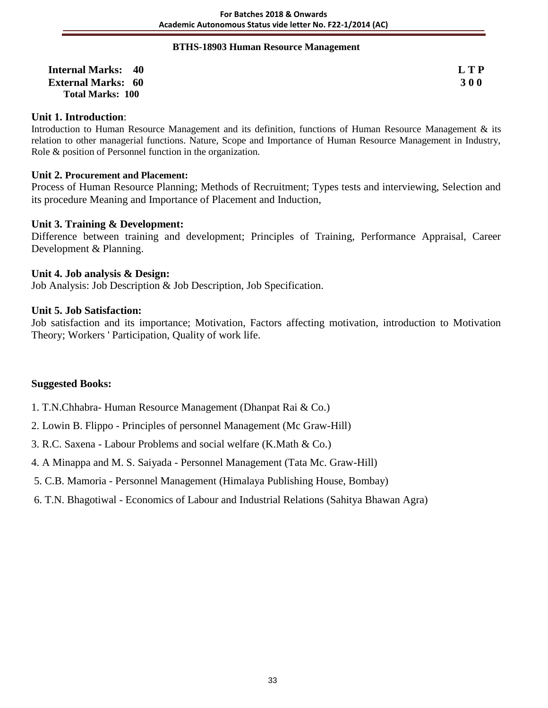#### **BTHS-18903 Human Resource Management**

| <b>Internal Marks: 40</b> | L T P      |
|---------------------------|------------|
| <b>External Marks: 60</b> | <b>300</b> |
| Total Marks: 100          |            |

#### **Unit 1. Introduction**:

Introduction to Human Resource Management and its definition, functions of Human Resource Management & its relation to other managerial functions. Nature, Scope and Importance of Human Resource Management in Industry, Role & position of Personnel function in the organization.

#### **Unit 2. Procurement and Placement:**

Process of Human Resource Planning; Methods of Recruitment; Types tests and interviewing, Selection and its procedure Meaning and Importance of Placement and Induction,

#### **Unit 3. Training & Development:**

Difference between training and development; Principles of Training, Performance Appraisal, Career Development & Planning.

#### **Unit 4. Job analysis & Design:**

Job Analysis: Job Description & Job Description, Job Specification.

#### **Unit 5. Job Satisfaction:**

Job satisfaction and its importance; Motivation, Factors affecting motivation, introduction to Motivation Theory; Workers ' Participation, Quality of work life.

- 1. T.N.Chhabra- Human Resource Management (Dhanpat Rai & Co.)
- 2. Lowin B. Flippo Principles of personnel Management (Mc Graw-Hill)
- 3. R.C. Saxena Labour Problems and social welfare (K.Math & Co.)
- 4. A Minappa and M. S. Saiyada Personnel Management (Tata Mc. Graw-Hill)
- 5. C.B. Mamoria Personnel Management (Himalaya Publishing House, Bombay)
- 6. T.N. Bhagotiwal Economics of Labour and Industrial Relations (Sahitya Bhawan Agra)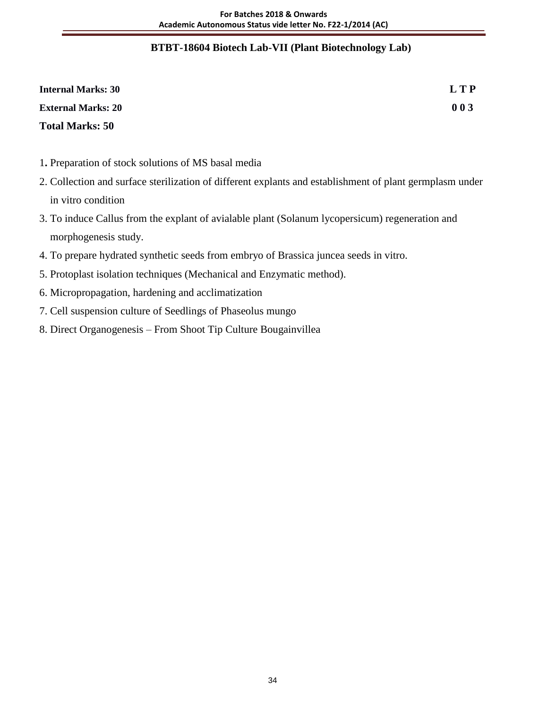### **BTBT-18604 Biotech Lab-VII (Plant Biotechnology Lab)**

| <b>Internal Marks: 30</b> | L T P |
|---------------------------|-------|
| <b>External Marks: 20</b> | 003   |
| <b>Total Marks: 50</b>    |       |

- 1**.** Preparation of stock solutions of MS basal media
- 2. Collection and surface sterilization of different explants and establishment of plant germplasm under in vitro condition
- 3. To induce Callus from the explant of avialable plant (Solanum lycopersicum) regeneration and morphogenesis study.
- 4. To prepare hydrated synthetic seeds from embryo of Brassica juncea seeds in vitro.
- 5. Protoplast isolation techniques (Mechanical and Enzymatic method).
- 6. Micropropagation, hardening and acclimatization
- 7. Cell suspension culture of Seedlings of Phaseolus mungo
- 8. Direct Organogenesis From Shoot Tip Culture Bougainvillea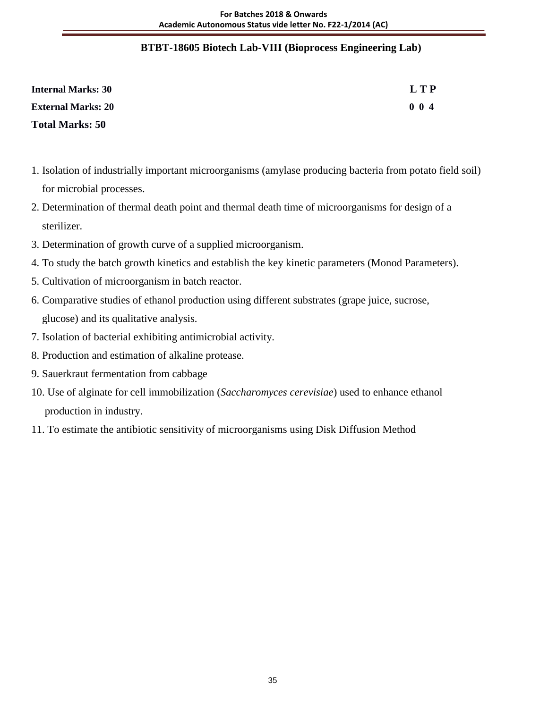### **BTBT-18605 Biotech Lab-VIII (Bioprocess Engineering Lab)**

| <b>Internal Marks: 30</b> | L T P       |
|---------------------------|-------------|
| <b>External Marks: 20</b> | $0 \t0 \t4$ |
| <b>Total Marks: 50</b>    |             |

- 1. Isolation of industrially important microorganisms (amylase producing bacteria from potato field soil) for microbial processes.
- 2. Determination of thermal death point and thermal death time of microorganisms for design of a sterilizer.
- 3. Determination of growth curve of a supplied microorganism.
- 4. To study the batch growth kinetics and establish the key kinetic parameters (Monod Parameters).
- 5. Cultivation of microorganism in batch reactor.
- 6. Comparative studies of ethanol production using different substrates (grape juice, sucrose, glucose) and its qualitative analysis.
- 7. Isolation of bacterial exhibiting antimicrobial activity.
- 8. Production and estimation of alkaline protease.
- 9. Sauerkraut fermentation from cabbage
- 10. Use of alginate for cell immobilization (*Saccharomyces cerevisiae*) used to enhance ethanol production in industry.
- 11. To estimate the antibiotic sensitivity of microorganisms using Disk Diffusion Method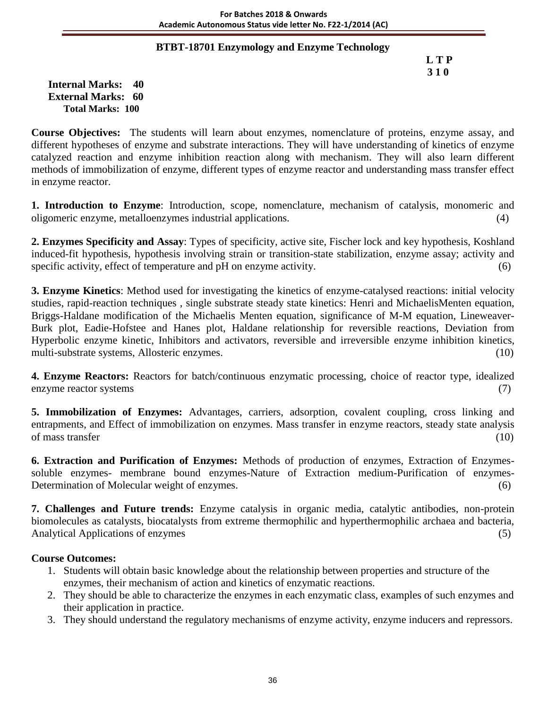### **BTBT-18701 Enzymology and Enzyme Technology**

 **L T P 3 1 0**

**Internal Marks: 40 External Marks: 60 Total Marks: 100** 

**Course Objectives:** The students will learn about enzymes, nomenclature of proteins, enzyme assay, and different hypotheses of enzyme and substrate interactions. They will have understanding of kinetics of enzyme catalyzed reaction and enzyme inhibition reaction along with mechanism. They will also learn different methods of immobilization of enzyme, different types of enzyme reactor and understanding mass transfer effect in enzyme reactor.

**1. Introduction to Enzyme**: Introduction, scope, nomenclature, mechanism of catalysis, monomeric and oligomeric enzyme, metalloenzymes industrial applications. (4)

**2. Enzymes Specificity and Assay**: Types of specificity, active site, Fischer lock and key hypothesis, Koshland induced-fit hypothesis, hypothesis involving strain or transition-state stabilization, enzyme assay; activity and specific activity, effect of temperature and pH on enzyme activity. (6)

**3. Enzyme Kinetics**: Method used for investigating the kinetics of enzyme-catalysed reactions: initial velocity studies, rapid-reaction techniques , single substrate steady state kinetics: Henri and MichaelisMenten equation, Briggs-Haldane modification of the Michaelis Menten equation, significance of M-M equation, Lineweaver-Burk plot, Eadie-Hofstee and Hanes plot, Haldane relationship for reversible reactions, Deviation from Hyperbolic enzyme kinetic, Inhibitors and activators, reversible and irreversible enzyme inhibition kinetics, multi-substrate systems, Allosteric enzymes. (10)

**4. Enzyme Reactors:** Reactors for batch/continuous enzymatic processing, choice of reactor type, idealized enzyme reactor systems (7)

**5. Immobilization of Enzymes:** Advantages, carriers, adsorption, covalent coupling, cross linking and entrapments, and Effect of immobilization on enzymes. Mass transfer in enzyme reactors, steady state analysis of mass transfer (10)

**6. Extraction and Purification of Enzymes:** Methods of production of enzymes, Extraction of Enzymessoluble enzymes- membrane bound enzymes-Nature of Extraction medium-Purification of enzymes-Determination of Molecular weight of enzymes. (6)

**7. Challenges and Future trends:** Enzyme catalysis in organic media, catalytic antibodies, non-protein biomolecules as catalysts, biocatalysts from extreme thermophilic and hyperthermophilic archaea and bacteria, Analytical Applications of enzymes (5) (5)

### **Course Outcomes:**

- 1. Students will obtain basic knowledge about the relationship between properties and structure of the enzymes, their mechanism of action and kinetics of enzymatic reactions.
- 2. They should be able to characterize the enzymes in each enzymatic class, examples of such enzymes and their application in practice.
- 3. They should understand the regulatory mechanisms of enzyme activity, enzyme inducers and repressors.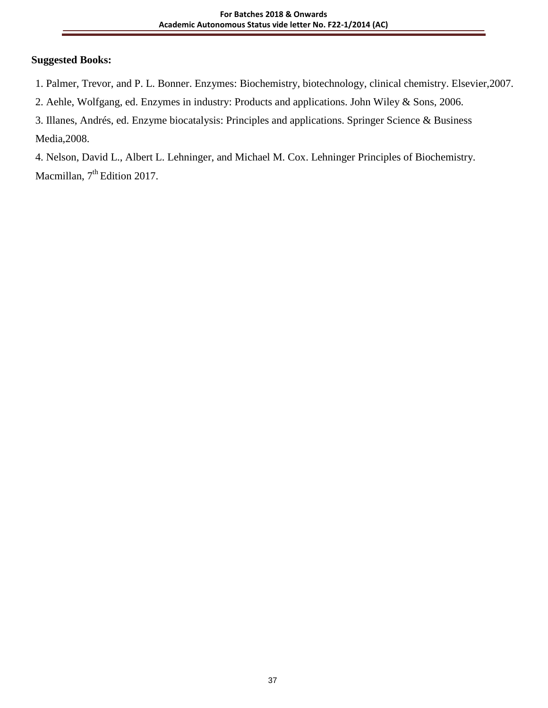### **Suggested Books:**

1. Palmer, Trevor, and P. L. Bonner. Enzymes: Biochemistry, biotechnology, clinical chemistry. Elsevier,2007.

2. Aehle, Wolfgang, ed. Enzymes in industry: Products and applications. John Wiley & Sons, 2006.

3. Illanes, Andrés, ed. Enzyme biocatalysis: Principles and applications. Springer Science & Business Media,2008.

4. Nelson, David L., Albert L. Lehninger, and Michael M. Cox. Lehninger Principles of Biochemistry. Macmillan, 7<sup>th</sup> Edition 2017.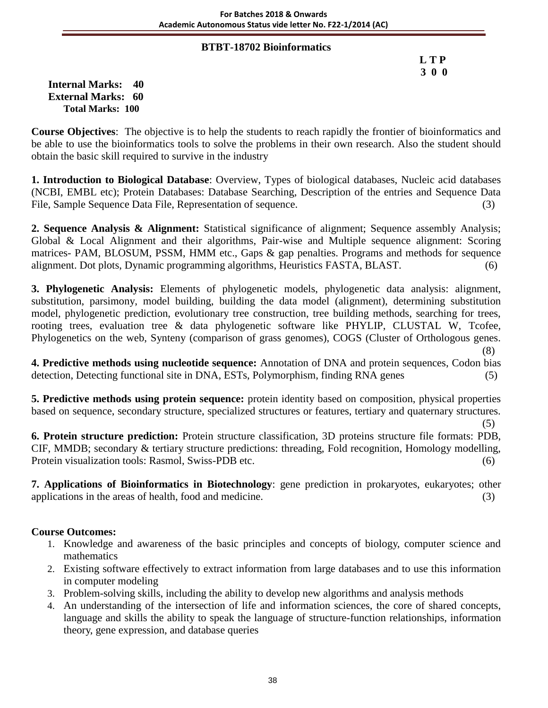### **BTBT-18702 Bioinformatics**

 **L T P 3 0 0**

**Internal Marks: 40 External Marks: 60 Total Marks: 100** 

**Course Objectives**: The objective is to help the students to reach rapidly the frontier of bioinformatics and be able to use the bioinformatics tools to solve the problems in their own research. Also the student should obtain the basic skill required to survive in the industry

**1. Introduction to Biological Database**: Overview, Types of biological databases, Nucleic acid databases (NCBI, EMBL etc); Protein Databases: Database Searching, Description of the entries and Sequence Data File, Sample Sequence Data File, Representation of sequence. (3)

**2. Sequence Analysis & Alignment:** Statistical significance of alignment; Sequence assembly Analysis; Global & Local Alignment and their algorithms, Pair-wise and Multiple sequence alignment: Scoring matrices- PAM, BLOSUM, PSSM, HMM etc., Gaps & gap penalties. Programs and methods for sequence alignment. Dot plots, Dynamic programming algorithms, Heuristics FASTA, BLAST. (6)

**3. Phylogenetic Analysis:** Elements of phylogenetic models, phylogenetic data analysis: alignment, substitution, parsimony, model building, building the data model (alignment), determining substitution model, phylogenetic prediction, evolutionary tree construction, tree building methods, searching for trees, rooting trees, evaluation tree & data phylogenetic software like PHYLIP, CLUSTAL W, Tcofee, Phylogenetics on the web, Synteny (comparison of grass genomes), COGS (Cluster of Orthologous genes. (8)

**4. Predictive methods using nucleotide sequence:** Annotation of DNA and protein sequences, Codon bias detection, Detecting functional site in DNA, ESTs, Polymorphism, finding RNA genes (5)

**5. Predictive methods using protein sequence:** protein identity based on composition, physical properties based on sequence, secondary structure, specialized structures or features, tertiary and quaternary structures.

 $(5)$ 

**6. Protein structure prediction:** Protein structure classification, 3D proteins structure file formats: PDB, CIF, MMDB; secondary & tertiary structure predictions: threading, Fold recognition, Homology modelling, Protein visualization tools: Rasmol, Swiss-PDB etc. (6)

**7. Applications of Bioinformatics in Biotechnology**: gene prediction in prokaryotes, eukaryotes; other applications in the areas of health, food and medicine. (3)

### **Course Outcomes:**

- 1. Knowledge and awareness of the basic principles and concepts of biology, computer science and mathematics
- 2. Existing software effectively to extract information from large databases and to use this information in computer modeling
- 3. Problem-solving skills, including the ability to develop new algorithms and analysis methods
- 4. An understanding of the intersection of life and information sciences, the core of shared concepts, language and skills the ability to speak the language of structure-function relationships, information theory, gene expression, and database queries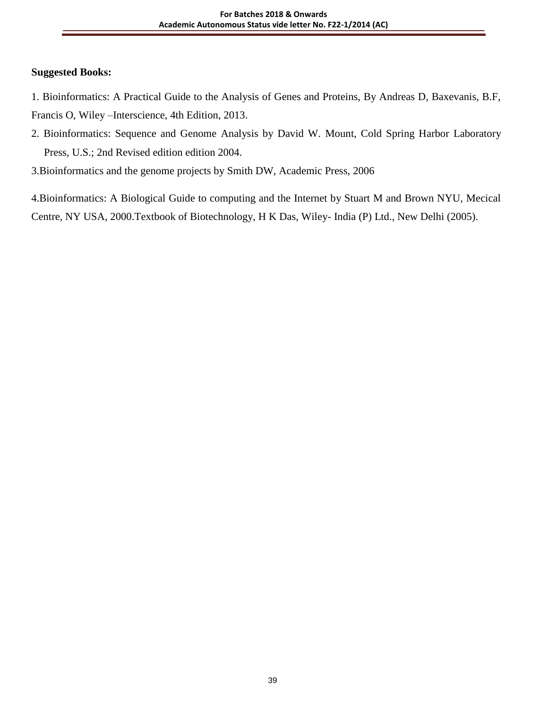### **Suggested Books:**

- 1. Bioinformatics: A Practical Guide to the Analysis of Genes and Proteins, By Andreas D, Baxevanis, B.F, Francis O, Wiley –Interscience, 4th Edition, 2013.
- 2. Bioinformatics: Sequence and Genome Analysis by David W. Mount, Cold Spring Harbor Laboratory Press, U.S.; 2nd Revised edition edition 2004.
- 3.Bioinformatics and the genome projects by Smith DW, Academic Press, 2006

4.Bioinformatics: A Biological Guide to computing and the Internet by Stuart M and Brown NYU, Mecical Centre, NY USA, 2000.Textbook of Biotechnology, H K Das, Wiley- India (P) Ltd., New Delhi (2005).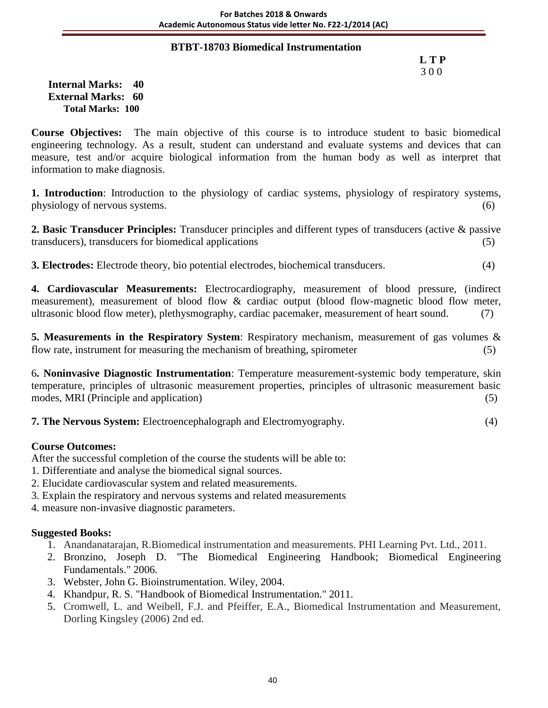#### **BTBT-18703 Biomedical Instrumentation**

# **L T P** 3 0 0

**Internal Marks: 40 External Marks: 60 Total Marks: 100** 

**Course Objectives:** The main objective of this course is to introduce student to basic biomedical engineering technology. As a result, student can understand and evaluate systems and devices that can measure, test and/or acquire biological information from the human body as well as interpret that information to make diagnosis.

**1. Introduction**: Introduction to the physiology of cardiac systems, physiology of respiratory systems, physiology of nervous systems. (6)

**2. Basic Transducer Principles:** Transducer principles and different types of transducers (active & passive transducers), transducers for biomedical applications (5)

**3. Electrodes:** Electrode theory, bio potential electrodes, biochemical transducers. (4)

**4. Cardiovascular Measurements:** Electrocardiography, measurement of blood pressure, (indirect measurement), measurement of blood flow & cardiac output (blood flow-magnetic blood flow meter, ultrasonic blood flow meter), plethysmography, cardiac pacemaker, measurement of heart sound. (7)

**5. Measurements in the Respiratory System**: Respiratory mechanism, measurement of gas volumes & flow rate, instrument for measuring the mechanism of breathing, spirometer (5)

6**. Noninvasive Diagnostic Instrumentation**: Temperature measurement-systemic body temperature, skin temperature, principles of ultrasonic measurement properties, principles of ultrasonic measurement basic modes, MRI (Principle and application) (5)

**7. The Nervous System:** Electroencephalograph and Electromyography. (4)

#### **Course Outcomes:**

After the successful completion of the course the students will be able to:

- 1. Differentiate and analyse the biomedical signal sources.
- 2. Elucidate cardiovascular system and related measurements.
- 3. Explain the respiratory and nervous systems and related measurements
- 4. measure non-invasive diagnostic parameters.

- 1. Anandanatarajan, R.Biomedical instrumentation and measurements. PHI Learning Pvt. Ltd., 2011.
- 2. Bronzino, Joseph D. "The Biomedical Engineering Handbook; Biomedical Engineering Fundamentals." 2006.
- 3. Webster, John G. Bioinstrumentation. Wiley, 2004.
- 4. Khandpur, R. S. "Handbook of Biomedical Instrumentation." 2011.
- 5. Cromwell, L. and Weibell, F.J. and Pfeiffer, E.A., Biomedical Instrumentation and Measurement, Dorling Kingsley (2006) 2nd ed.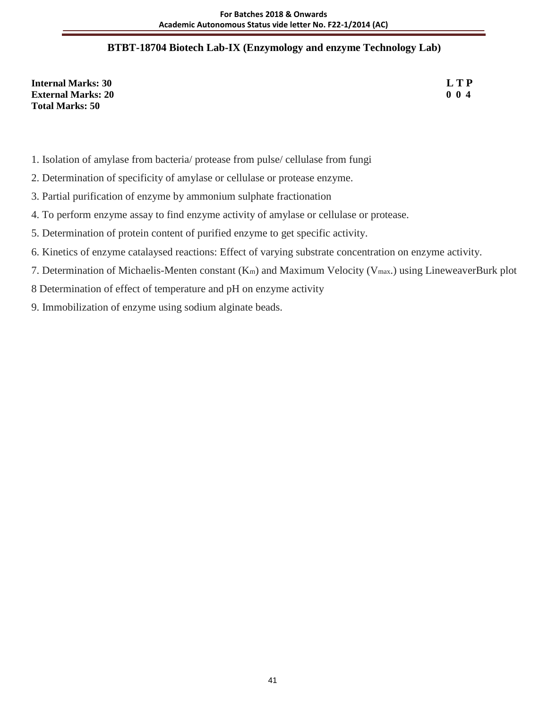## **BTBT-18704 Biotech Lab-IX (Enzymology and enzyme Technology Lab)**

**Internal Marks: 30 L T P**<br>**External Marks: 20 0 1 External Marks: 20 Total Marks: 50**

- 1. Isolation of amylase from bacteria/ protease from pulse/ cellulase from fungi
- 2. Determination of specificity of amylase or cellulase or protease enzyme.
- 3. Partial purification of enzyme by ammonium sulphate fractionation
- 4. To perform enzyme assay to find enzyme activity of amylase or cellulase or protease.
- 5. Determination of protein content of purified enzyme to get specific activity.
- 6. Kinetics of enzyme catalaysed reactions: Effect of varying substrate concentration on enzyme activity.
- 7. Determination of Michaelis-Menten constant (Km) and Maximum Velocity (Vmax.) using LineweaverBurk plot
- 8 Determination of effect of temperature and pH on enzyme activity
- 9. Immobilization of enzyme using sodium alginate beads.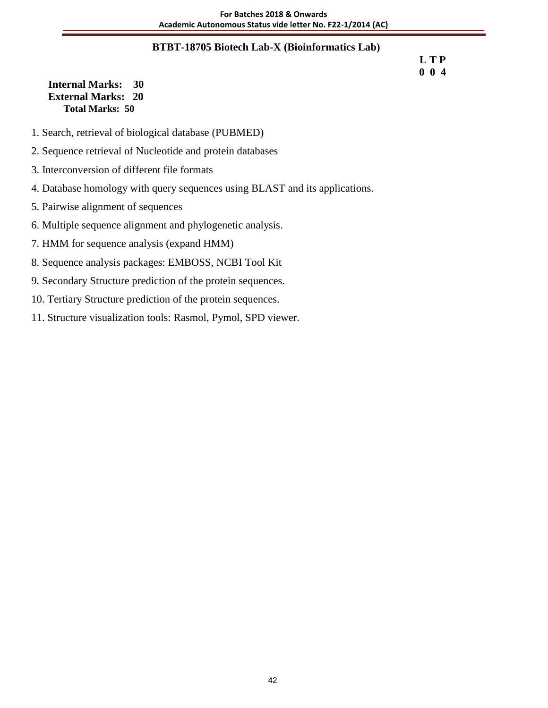### **BTBT-18705 Biotech Lab-X (Bioinformatics Lab)**

#### **L T P 0 0 4**

### **Internal Marks: 30 External Marks: 20 Total Marks: 50**

- 1. Search, retrieval of biological database (PUBMED)
- 2. Sequence retrieval of Nucleotide and protein databases
- 3. Interconversion of different file formats
- 4. Database homology with query sequences using BLAST and its applications.
- 5. Pairwise alignment of sequences
- 6. Multiple sequence alignment and phylogenetic analysis.
- 7. HMM for sequence analysis (expand HMM)
- 8. Sequence analysis packages: EMBOSS, NCBI Tool Kit
- 9. Secondary Structure prediction of the protein sequences.
- 10. Tertiary Structure prediction of the protein sequences.
- 11. Structure visualization tools: Rasmol, Pymol, SPD viewer.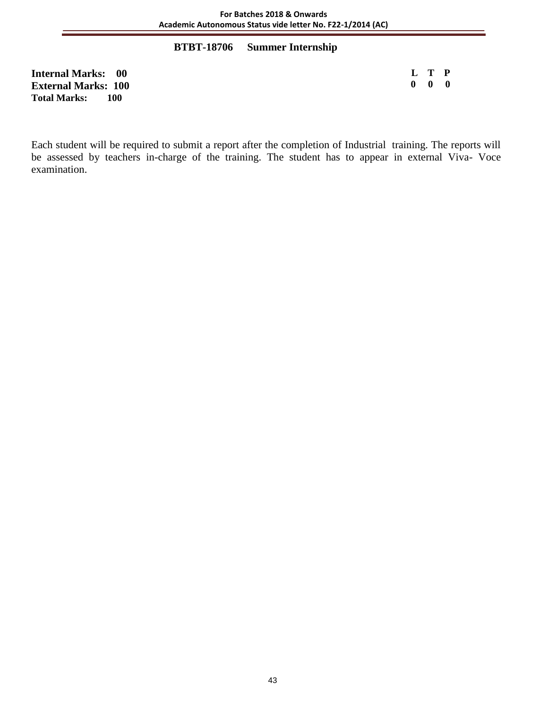### **BTBT-18706 Summer Internship**

**Internal Marks: 00 External Marks: 100 Total Marks: 100**

**L T P 0 0 0**

Each student will be required to submit a report after the completion of Industrial training. The reports will be assessed by teachers in-charge of the training. The student has to appear in external Viva- Voce examination.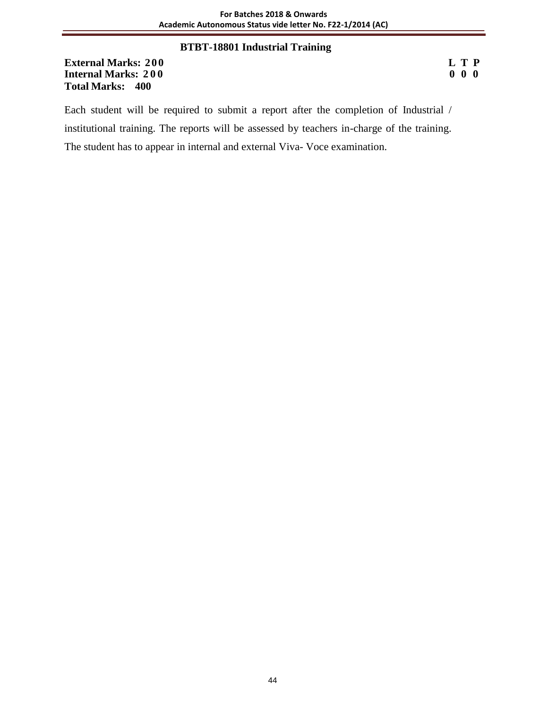### **BTBT-18801 Industrial Training**

**External Marks: 200 L T P Internal Marks: 200 Total Marks: 400**

Each student will be required to submit a report after the completion of Industrial / institutional training. The reports will be assessed by teachers in-charge of the training. The student has to appear in internal and external Viva- Voce examination.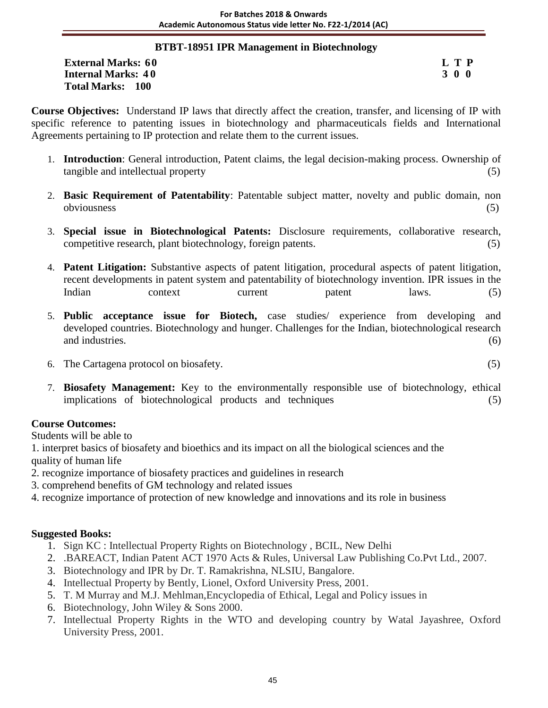### **BTBT-18951 IPR Management in Biotechnology**

**External Marks:** 60 **L T P**<br> **Internal Marks:** 40 **S** 3 0 0 **Internal Marks: 40 Total Marks: 100**

**Course Objectives:** Understand IP laws that directly affect the creation, transfer, and licensing of IP with specific reference to patenting issues in biotechnology and pharmaceuticals fields and International Agreements pertaining to IP protection and relate them to the current issues.

- 1. **Introduction**: General introduction, Patent claims, the legal decision-making process. Ownership of tangible and intellectual property (5)
- 2. **Basic Requirement of Patentability**: Patentable subject matter, novelty and public domain, non obviousness (5)
- 3. **Special issue in Biotechnological Patents:** Disclosure requirements, collaborative research, competitive research, plant biotechnology, foreign patents. (5)
- 4. **Patent Litigation:** Substantive aspects of patent litigation, procedural aspects of patent litigation, recent developments in patent system and patentability of biotechnology invention. IPR issues in the Indian context current patent laws. (5)
- 5. **Public acceptance issue for Biotech,** case studies/ experience from developing and developed countries. Biotechnology and hunger. Challenges for the Indian, biotechnological research and industries. (6)  $(6)$
- 6. The Cartagena protocol on biosafety. (5)
- 7. **Biosafety Management:** Key to the environmentally responsible use of biotechnology, ethical implications of biotechnological products and techniques (5)

# **Course Outcomes:**

Students will be able to

1. interpret basics of biosafety and bioethics and its impact on all the biological sciences and the quality of human life

- 2. recognize importance of biosafety practices and guidelines in research
- 3. comprehend benefits of GM technology and related issues
- 4. recognize importance of protection of new knowledge and innovations and its role in business

- 1. Sign KC : Intellectual Property Rights on Biotechnology , BCIL, New Delhi
- 2. .BAREACT, Indian Patent ACT 1970 Acts & Rules, Universal Law Publishing Co.Pvt Ltd., 2007.
- 3. Biotechnology and IPR by Dr. T. Ramakrishna, NLSIU, Bangalore.
- 4. Intellectual Property by Bently, Lionel, Oxford University Press, 2001.
- 5. T. M Murray and M.J. Mehlman,Encyclopedia of Ethical, Legal and Policy issues in
- 6. Biotechnology, John Wiley & Sons 2000.
- 7. Intellectual Property Rights in the WTO and developing country by Watal Jayashree, Oxford University Press, 2001.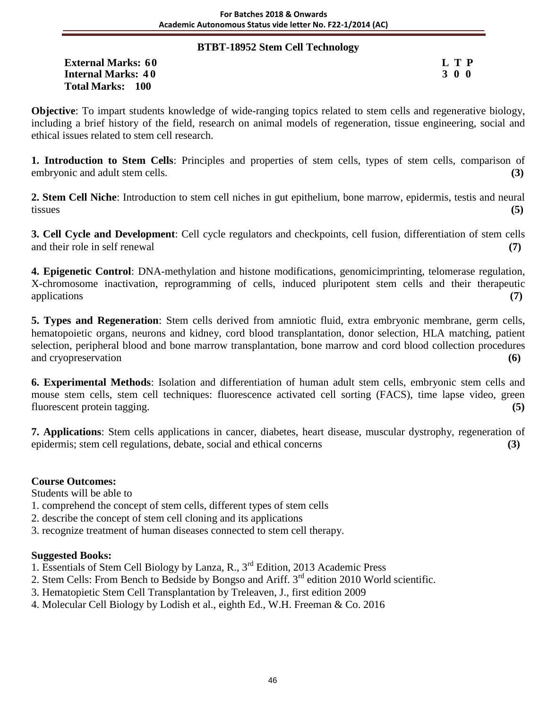#### **BTBT-18952 Stem Cell Technology**

**External Marks:** 60 **L T P**<br> **Internal Marks:** 40 **S** 3 0 0 **Internal Marks: 40 Total Marks: 100**

**Objective**: To impart students knowledge of wide-ranging topics related to stem cells and regenerative biology, including a brief history of the field, research on animal models of regeneration, tissue engineering, social and ethical issues related to stem cell research.

**1. Introduction to Stem Cells**: Principles and properties of stem cells, types of stem cells, comparison of embryonic and adult stem cells. **(3)**

**2. Stem Cell Niche**: Introduction to stem cell niches in gut epithelium, bone marrow, epidermis, testis and neural tissues **(5)**

**3. Cell Cycle and Development**: Cell cycle regulators and checkpoints, cell fusion, differentiation of stem cells and their role in self renewal **(7)**

**4. Epigenetic Control**: DNA-methylation and histone modifications, genomicimprinting, telomerase regulation, X-chromosome inactivation, reprogramming of cells, induced pluripotent stem cells and their therapeutic applications **(7)**

**5. Types and Regeneration**: Stem cells derived from amniotic fluid, extra embryonic membrane, germ cells, hematopoietic organs, neurons and kidney, cord blood transplantation, donor selection, HLA matching, patient selection, peripheral blood and bone marrow transplantation, bone marrow and cord blood collection procedures and cryopreservation **(6)**

**6. Experimental Methods**: Isolation and differentiation of human adult stem cells, embryonic stem cells and mouse stem cells, stem cell techniques: fluorescence activated cell sorting (FACS), time lapse video, green fluorescent protein tagging. **(5)**

**7. Applications**: Stem cells applications in cancer, diabetes, heart disease, muscular dystrophy, regeneration of epidermis; stem cell regulations, debate, social and ethical concerns **(3)**

### **Course Outcomes:**

Students will be able to

- 1. comprehend the concept of stem cells, different types of stem cells
- 2. describe the concept of stem cell cloning and its applications
- 3. recognize treatment of human diseases connected to stem cell therapy.

- 1. Essentials of Stem Cell Biology by Lanza, R., 3rd Edition, 2013 Academic Press
- 2. Stem Cells: From Bench to Bedside by Bongso and Ariff. 3<sup>rd</sup> edition 2010 World scientific.
- 3. Hematopietic Stem Cell Transplantation by Treleaven, J., first edition 2009
- 4. Molecular Cell Biology by Lodish et al., eighth Ed., W.H. Freeman & Co. 2016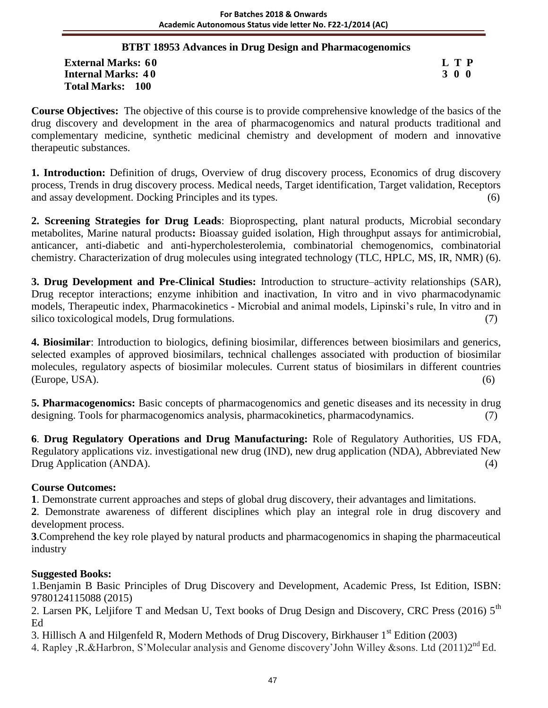# **BTBT 18953 Advances in Drug Design and Pharmacogenomics**

**External Marks:** 60 **L T P**<br> **Internal Marks:** 40 **S** 3 0 0 **Internal Marks: 40 Total Marks: 100**

**Course Objectives:** The objective of this course is to provide comprehensive knowledge of the basics of the drug discovery and development in the area of pharmacogenomics and natural products traditional and complementary medicine, synthetic medicinal chemistry and development of modern and innovative therapeutic substances.

**1. Introduction:** Definition of drugs, Overview of drug discovery process, Economics of drug discovery process, Trends in drug discovery process. Medical needs, Target identification, Target validation, Receptors and assay development. Docking Principles and its types. (6)

**2. Screening Strategies for Drug Leads**: Bioprospecting, plant natural products, Microbial secondary metabolites, Marine natural products**:** Bioassay guided isolation, High throughput assays for antimicrobial, anticancer, anti-diabetic and anti-hypercholesterolemia, combinatorial chemogenomics, combinatorial chemistry. Characterization of drug molecules using integrated technology (TLC, HPLC, MS, IR, NMR) (6).

**3. Drug Development and Pre-Clinical Studies:** Introduction to structure–activity relationships (SAR), Drug receptor interactions; enzyme inhibition and inactivation, In vitro and in vivo pharmacodynamic models, Therapeutic index, Pharmacokinetics - Microbial and animal models, Lipinski's rule, In vitro and in silico toxicological models, Drug formulations. (7)

**4. Biosimilar**: Introduction to biologics, defining biosimilar, differences between biosimilars and generics, selected examples of approved biosimilars, technical challenges associated with production of biosimilar molecules, regulatory aspects of biosimilar molecules. Current status of biosimilars in different countries (Europe, USA). (6)

**5. Pharmacogenomics:** Basic concepts of pharmacogenomics and genetic diseases and its necessity in drug designing. Tools for pharmacogenomics analysis, pharmacokinetics, pharmacodynamics. (7)

**6**. **Drug Regulatory Operations and Drug Manufacturing:** Role of Regulatory Authorities, US FDA, Regulatory applications viz. investigational new drug (IND), new drug application (NDA), Abbreviated New Drug Application (ANDA). (4)

# **Course Outcomes:**

**1**. Demonstrate current approaches and steps of global drug discovery, their advantages and limitations.

**2**. Demonstrate awareness of different disciplines which play an integral role in drug discovery and development process.

**3**.Comprehend the key role played by natural products and pharmacogenomics in shaping the pharmaceutical industry

# **Suggested Books:**

1.Benjamin B Basic Principles of Drug Discovery and Development, Academic Press, Ist Edition, ISBN: 9780124115088 (2015)

2. Larsen PK, Leljifore T and Medsan U, Text books of Drug Design and Discovery, CRC Press (2016) 5<sup>th</sup> Ed

3. Hillisch A and Hilgenfeld R, Modern Methods of Drug Discovery, Birkhauser 1st Edition (2003)

4. Rapley ,R.&Harbron, S'Molecular analysis and Genome discovery'John Willey &sons. Ltd (2011)2<sup>nd</sup> Ed.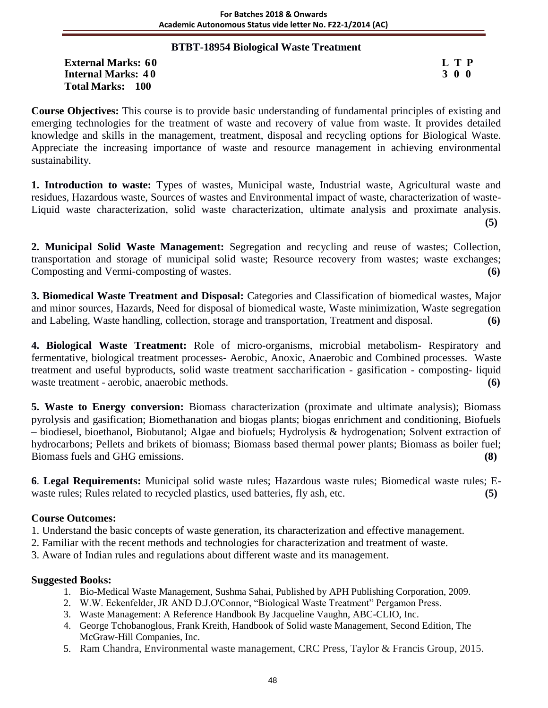### **BTBT-18954 Biological Waste Treatment**

External Marks: 60 L T P<br> **Internal Marks: 40** 3 0 0 **Internal Marks: 40 Total Marks: 100**

**Course Objectives:** This course is to provide basic understanding of fundamental principles of existing and emerging technologies for the treatment of waste and recovery of value from waste. It provides detailed knowledge and skills in the management, treatment, disposal and recycling options for Biological Waste. Appreciate the increasing importance of waste and resource management in achieving environmental sustainability.

**1. Introduction to waste:** Types of wastes, Municipal waste, Industrial waste, Agricultural waste and residues, Hazardous waste, Sources of wastes and Environmental impact of waste, characterization of waste-Liquid waste characterization, solid waste characterization, ultimate analysis and proximate analysis. **(5)**

**2. Municipal Solid Waste Management:** Segregation and recycling and reuse of wastes; Collection, transportation and storage of municipal solid waste; Resource recovery from wastes; waste exchanges; Composting and Vermi-composting of wastes. **(6)**

**3. Biomedical Waste Treatment and Disposal:** Categories and Classification of biomedical wastes, Major and minor sources, Hazards, Need for disposal of biomedical waste, Waste minimization, Waste segregation and Labeling, Waste handling, collection, storage and transportation, Treatment and disposal. **(6)**

**4. Biological Waste Treatment:** Role of micro-organisms, microbial metabolism- Respiratory and fermentative, biological treatment processes- Aerobic, Anoxic, Anaerobic and Combined processes. Waste treatment and useful byproducts, solid waste treatment saccharification - gasification - composting- liquid waste treatment - aerobic, anaerobic methods. **(6)** 

**5. Waste to Energy conversion:** Biomass characterization (proximate and ultimate analysis); Biomass pyrolysis and gasification; Biomethanation and biogas plants; biogas enrichment and conditioning, Biofuels – biodiesel, bioethanol, Biobutanol; Algae and biofuels; Hydrolysis & hydrogenation; Solvent extraction of hydrocarbons; Pellets and brikets of biomass; Biomass based thermal power plants; Biomass as boiler fuel; Biomass fuels and GHG emissions. **(8)**

**6**. **Legal Requirements:** Municipal solid waste rules; Hazardous waste rules; Biomedical waste rules; Ewaste rules; Rules related to recycled plastics, used batteries, fly ash, etc. **(5)**

### **Course Outcomes:**

- 1. Understand the basic concepts of waste generation, its characterization and effective management.
- 2. Familiar with the recent methods and technologies for characterization and treatment of waste.
- 3. Aware of Indian rules and regulations about different waste and its management.

- 1. Bio-Medical Waste Management, Sushma Sahai, Published by APH Publishing Corporation, 2009.
- 2. W.W. Eckenfelder, JR AND D.J.O'Connor, "Biological Waste Treatment" Pergamon Press.
- 3. Waste Management: A Reference Handbook By Jacqueline Vaughn, ABC-CLIO, Inc.
- 4. George Tchobanoglous, Frank Kreith, Handbook of Solid waste Management, Second Edition, The McGraw-Hill Companies, Inc.
- 5. Ram Chandra, Environmental waste management, CRC Press, Taylor & Francis Group, 2015.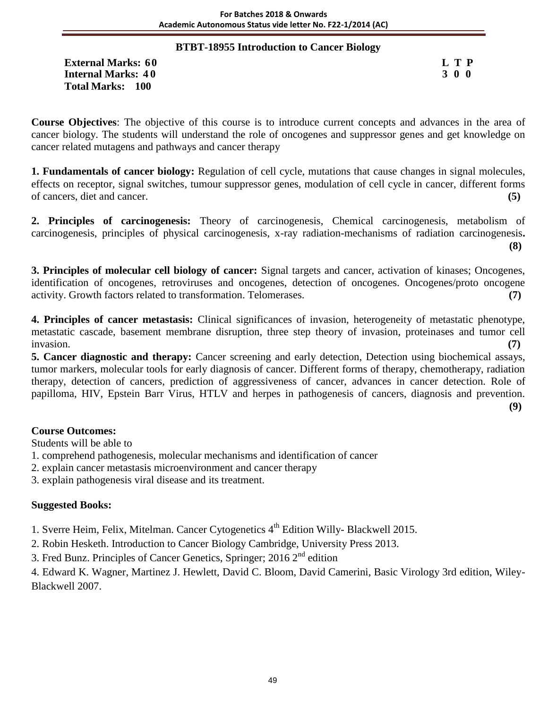### **BTBT-18955 Introduction to Cancer Biology**

**External Marks:** 60 **L T P**<br> **Internal Marks:** 40 **S Internal Marks: 40 Total Marks: 100**

**Course Objectives**: The objective of this course is to introduce current concepts and advances in the area of cancer biology. The students will understand the role of oncogenes and suppressor genes and get knowledge on cancer related mutagens and pathways and cancer therapy

**1. Fundamentals of cancer biology:** Regulation of cell cycle, mutations that cause changes in signal molecules, effects on receptor, signal switches, tumour suppressor genes, modulation of cell cycle in cancer, different forms of cancers, diet and cancer. **(5)**

**2. Principles of carcinogenesis:** Theory of carcinogenesis, Chemical carcinogenesis, metabolism of carcinogenesis, principles of physical carcinogenesis, x-ray radiation-mechanisms of radiation carcinogenesis**. (8)**

**3. Principles of molecular cell biology of cancer:** Signal targets and cancer, activation of kinases; Oncogenes, identification of oncogenes, retroviruses and oncogenes, detection of oncogenes. Oncogenes/proto oncogene activity. Growth factors related to transformation. Telomerases. **(7)**

**4. Principles of cancer metastasis:** Clinical significances of invasion, heterogeneity of metastatic phenotype, metastatic cascade, basement membrane disruption, three step theory of invasion, proteinases and tumor cell invasion. **(7)**

**5. Cancer diagnostic and therapy:** Cancer screening and early detection, Detection using biochemical assays, tumor markers, molecular tools for early diagnosis of cancer. Different forms of therapy, chemotherapy, radiation therapy, detection of cancers, prediction of aggressiveness of cancer, advances in cancer detection. Role of papilloma, HIV, Epstein Barr Virus, HTLV and herpes in pathogenesis of cancers, diagnosis and prevention.

**(9)**

### **Course Outcomes:**

Students will be able to

- 1. comprehend pathogenesis, molecular mechanisms and identification of cancer
- 2. explain cancer metastasis microenvironment and cancer therapy

3. explain pathogenesis viral disease and its treatment.

#### **Suggested Books:**

1. Sverre Heim, Felix, Mitelman. Cancer Cytogenetics 4<sup>th</sup> Edition Willy- Blackwell 2015.

2. Robin Hesketh. Introduction to Cancer Biology Cambridge, University Press 2013.

3. Fred Bunz. Principles of Cancer Genetics, Springer; 2016  $2<sup>nd</sup>$  edition

4. Edward K. Wagner, Martinez J. Hewlett, David C. Bloom, David Camerini, Basic Virology 3rd edition, Wiley-Blackwell 2007.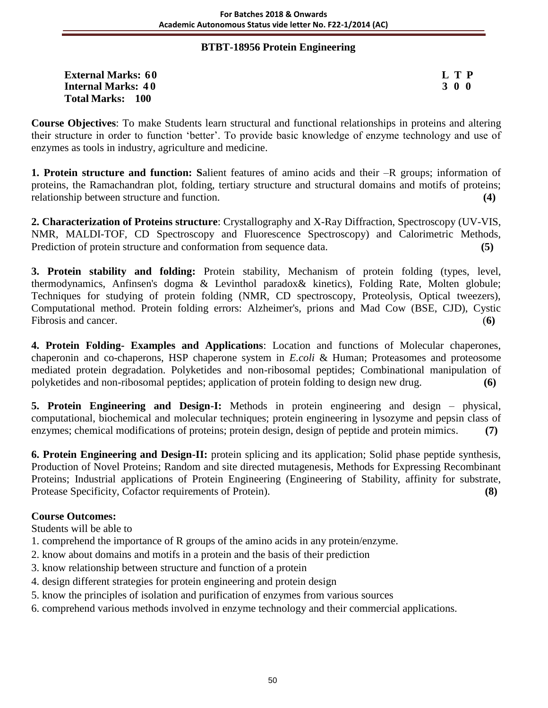### **BTBT-18956 Protein Engineering**

| <b>External Marks: 60</b> | L T P |
|---------------------------|-------|
| <b>Internal Marks: 40</b> | 300   |
| <b>Total Marks: 100</b>   |       |

**Course Objectives**: To make Students learn structural and functional relationships in proteins and altering their structure in order to function 'better'. To provide basic knowledge of enzyme technology and use of enzymes as tools in industry, agriculture and medicine.

**1. Protein structure and function: S**alient features of amino acids and their –R groups; information of proteins, the Ramachandran plot, folding, tertiary structure and structural domains and motifs of proteins; relationship between structure and function. **(4)**

**2. Characterization of Proteins structure**: Crystallography and X-Ray Diffraction, Spectroscopy (UV-VIS, NMR, MALDI-TOF, CD Spectroscopy and Fluorescence Spectroscopy) and Calorimetric Methods, Prediction of protein structure and conformation from sequence data. **(5)** 

**3. Protein stability and folding:** Protein stability, Mechanism of protein folding (types, level, thermodynamics, Anfinsen's dogma & Levinthol paradox& kinetics), Folding Rate, Molten globule; Techniques for studying of protein folding (NMR, CD spectroscopy, Proteolysis, Optical tweezers), Computational method. Protein folding errors: Alzheimer's, prions and Mad Cow (BSE, CJD), Cystic Fibrosis and cancer. (**6)**

**4. Protein Folding- Examples and Applications**: Location and functions of Molecular chaperones, chaperonin and co-chaperons, HSP chaperone system in *E.coli* & Human; Proteasomes and proteosome mediated protein degradation. Polyketides and non-ribosomal peptides; Combinational manipulation of polyketides and non-ribosomal peptides; application of protein folding to design new drug. **(6)**

**5. Protein Engineering and Design-I:** Methods in protein engineering and design – physical, computational, biochemical and molecular techniques; protein engineering in lysozyme and pepsin class of enzymes; chemical modifications of proteins; protein design, design of peptide and protein mimics. **(7)**

**6. Protein Engineering and Design-II:** protein splicing and its application; Solid phase peptide synthesis, Production of Novel Proteins; Random and site directed mutagenesis, Methods for Expressing Recombinant Proteins; Industrial applications of Protein Engineering (Engineering of Stability, affinity for substrate, Protease Specificity, Cofactor requirements of Protein). **(8)**

### **Course Outcomes:**

Students will be able to

- 1. comprehend the importance of R groups of the amino acids in any protein/enzyme.
- 2. know about domains and motifs in a protein and the basis of their prediction
- 3. know relationship between structure and function of a protein
- 4. design different strategies for protein engineering and protein design
- 5. know the principles of isolation and purification of enzymes from various sources
- 6. comprehend various methods involved in enzyme technology and their commercial applications.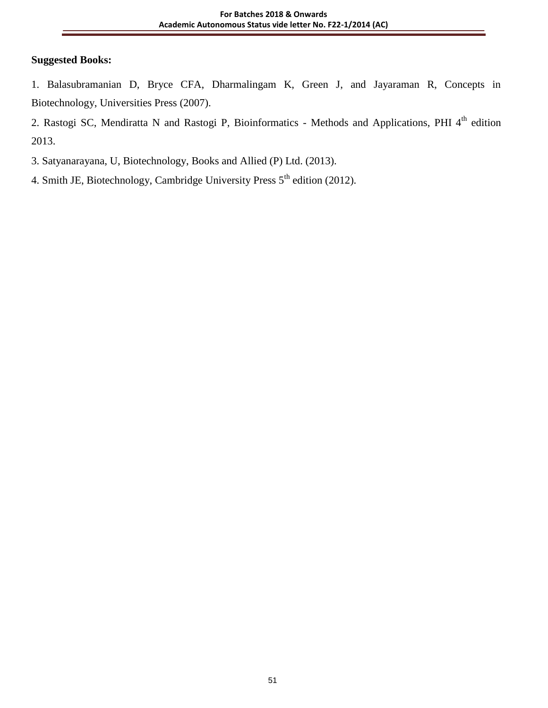# **Suggested Books:**

1. Balasubramanian D, Bryce CFA, Dharmalingam K, Green J, and Jayaraman R, Concepts in Biotechnology, Universities Press (2007).

2. Rastogi SC, Mendiratta N and Rastogi P, Bioinformatics - Methods and Applications, PHI 4<sup>th</sup> edition 2013.

3. Satyanarayana, U, Biotechnology, Books and Allied (P) Ltd. (2013).

4. Smith JE, Biotechnology, Cambridge University Press 5<sup>th</sup> edition (2012).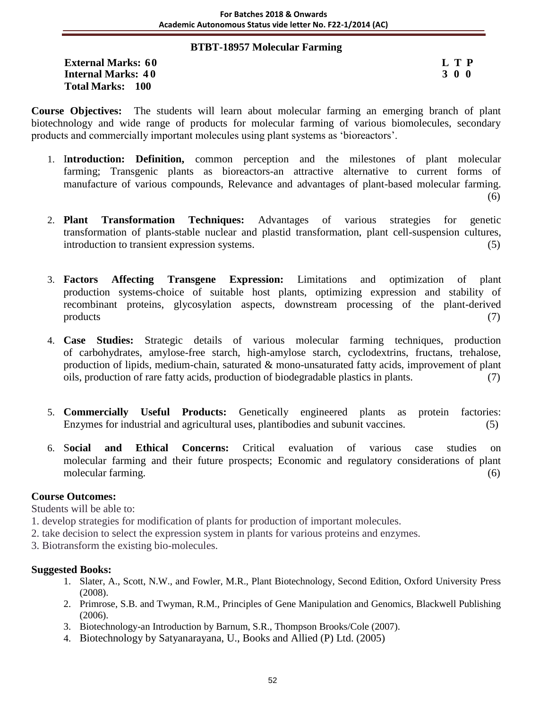#### **BTBT-18957 Molecular Farming**

**External Marks:** 60 **L T P**<br> **Internal Marks:** 40 **S** 3 0 0 **Internal Marks: 40 Total Marks: 100**

**Course Objectives:** The students will learn about molecular farming an emerging branch of plant biotechnology and wide range of products for molecular farming of various biomolecules, secondary products and commercially important molecules using plant systems as 'bioreactors'.

- 1. I**ntroduction: Definition,** common perception and the milestones of plant molecular farming; Transgenic plants as bioreactors-an attractive alternative to current forms of manufacture of various compounds, Relevance and advantages of plant-based molecular farming. (6)
- 2. **Plant Transformation Techniques:** Advantages of various strategies for genetic transformation of plants-stable nuclear and plastid transformation, plant cell-suspension cultures, introduction to transient expression systems. (5)
- 3. **Factors Affecting Transgene Expression:** Limitations and optimization of plant production systems-choice of suitable host plants, optimizing expression and stability of recombinant proteins, glycosylation aspects, downstream processing of the plant-derived products (7)
- 4. **Case Studies:** Strategic details of various molecular farming techniques, production of carbohydrates, amylose-free starch, high-amylose starch, cyclodextrins, fructans, trehalose, production of lipids, medium-chain, saturated & mono-unsaturated fatty acids, improvement of plant oils, production of rare fatty acids, production of biodegradable plastics in plants. (7)
- 5. **Commercially Useful Products:** Genetically engineered plants as protein factories: Enzymes for industrial and agricultural uses, plantibodies and subunit vaccines. (5)
- 6. S**ocial and Ethical Concerns:** Critical evaluation of various case studies on molecular farming and their future prospects; Economic and regulatory considerations of plant molecular farming. (6)

### **Course Outcomes:**

Students will be able to:

- 1. develop strategies for modification of plants for production of important molecules.
- 2. take decision to select the expression system in plants for various proteins and enzymes.
- 3. Biotransform the existing bio-molecules.

- 1. Slater, A., Scott, N.W., and Fowler, M.R., Plant Biotechnology, Second Edition, Oxford University Press (2008).
- 2. Primrose, S.B. and Twyman, R.M., Principles of Gene Manipulation and Genomics, Blackwell Publishing (2006).
- 3. Biotechnology-an Introduction by Barnum, S.R., Thompson Brooks/Cole (2007).
- 4. Biotechnology by Satyanarayana, U., Books and Allied (P) Ltd. (2005)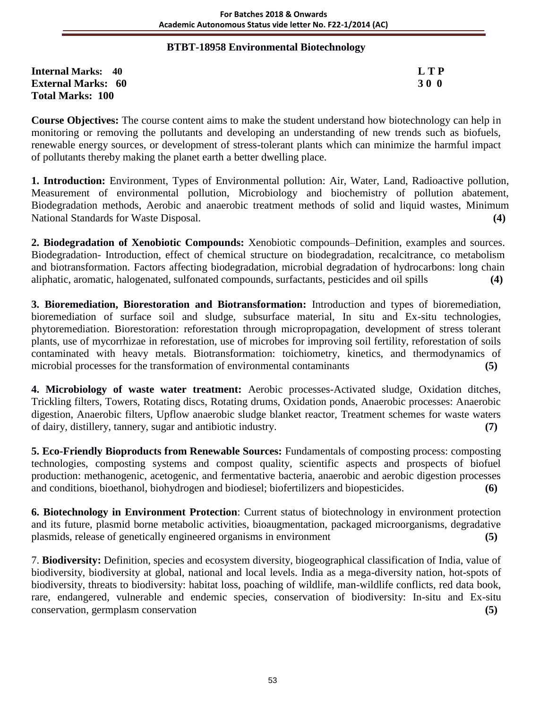### **BTBT-18958 Environmental Biotechnology**

**Internal Marks: 40 L T P External Marks: 60 3 0 0** 3 0 0 3 0 0 3 0 0 3 0 0  $\overline{300}$ **Total Marks: 100** 

**Course Objectives:** The course content aims to make the student understand how biotechnology can help in monitoring or removing the pollutants and developing an understanding of new trends such as biofuels, renewable energy sources, or development of stress-tolerant plants which can minimize the harmful impact of pollutants thereby making the planet earth a better dwelling place.

**1. Introduction:** Environment, Types of Environmental pollution: Air, Water, Land, Radioactive pollution, Measurement of environmental pollution, Microbiology and biochemistry of pollution abatement, Biodegradation methods, Aerobic and anaerobic treatment methods of solid and liquid wastes, Minimum National Standards for Waste Disposal. **(4)**

**2. Biodegradation of Xenobiotic Compounds:** Xenobiotic compounds–Definition, examples and sources. Biodegradation- Introduction, effect of chemical structure on biodegradation, recalcitrance, co metabolism and biotransformation. Factors affecting biodegradation, microbial degradation of hydrocarbons: long chain aliphatic, aromatic, halogenated, sulfonated compounds, surfactants, pesticides and oil spills **(4)**

**3. Bioremediation, Biorestoration and Biotransformation:** Introduction and types of bioremediation, bioremediation of surface soil and sludge, subsurface material, In situ and Ex-situ technologies, phytoremediation. Biorestoration: reforestation through micropropagation, development of stress tolerant plants, use of mycorrhizae in reforestation, use of microbes for improving soil fertility, reforestation of soils contaminated with heavy metals. Biotransformation: toichiometry, kinetics, and thermodynamics of microbial processes for the transformation of environmental contaminants **(5)**

**4. Microbiology of waste water treatment:** Aerobic processes-Activated sludge, Oxidation ditches, Trickling filters, Towers, Rotating discs, Rotating drums, Oxidation ponds, Anaerobic processes: Anaerobic digestion, Anaerobic filters, Upflow anaerobic sludge blanket reactor, Treatment schemes for waste waters of dairy, distillery, tannery, sugar and antibiotic industry. **(7)**

**5. Eco-Friendly Bioproducts from Renewable Sources:** Fundamentals of composting process: composting technologies, composting systems and compost quality, scientific aspects and prospects of biofuel production: methanogenic, acetogenic, and fermentative bacteria, anaerobic and aerobic digestion processes and conditions, bioethanol, biohydrogen and biodiesel; biofertilizers and biopesticides. **(6)**

**6. Biotechnology in Environment Protection**: Current status of biotechnology in environment protection and its future, plasmid borne metabolic activities, bioaugmentation, packaged microorganisms, degradative plasmids, release of genetically engineered organisms in environment **(5)**

7. **Biodiversity:** Definition, species and ecosystem diversity, biogeographical classification of India, value of biodiversity, biodiversity at global, national and local levels. India as a mega-diversity nation, hot-spots of biodiversity, threats to biodiversity: habitat loss, poaching of wildlife, man-wildlife conflicts, red data book, rare, endangered, vulnerable and endemic species, conservation of biodiversity: In-situ and Ex-situ conservation, germplasm conservation **(5)**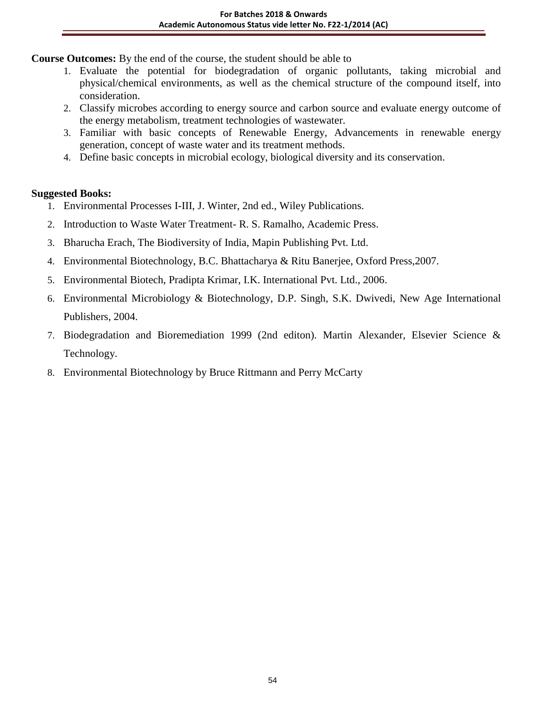**Course Outcomes:** By the end of the course, the student should be able to

- 1. Evaluate the potential for biodegradation of organic pollutants, taking microbial and physical/chemical environments, as well as the chemical structure of the compound itself, into consideration.
- 2. Classify microbes according to energy source and carbon source and evaluate energy outcome of the energy metabolism, treatment technologies of wastewater.
- 3. Familiar with basic concepts of Renewable Energy, Advancements in renewable energy generation, concept of waste water and its treatment methods.
- 4. Define basic concepts in microbial ecology, biological diversity and its conservation.

- 1. Environmental Processes I-III, J. Winter, 2nd ed., Wiley Publications.
- 2. Introduction to Waste Water Treatment- R. S. Ramalho, Academic Press.
- 3. Bharucha Erach, The Biodiversity of India, Mapin Publishing Pvt. Ltd.
- 4. Environmental Biotechnology, B.C. Bhattacharya & Ritu Banerjee, Oxford Press,2007.
- 5. Environmental Biotech, Pradipta Krimar, I.K. International Pvt. Ltd., 2006.
- 6. Environmental Microbiology & Biotechnology, D.P. Singh, S.K. Dwivedi, New Age International Publishers, 2004.
- 7. Biodegradation and Bioremediation 1999 (2nd editon). Martin Alexander, Elsevier Science & Technology.
- 8. Environmental Biotechnology by Bruce Rittmann and Perry McCarty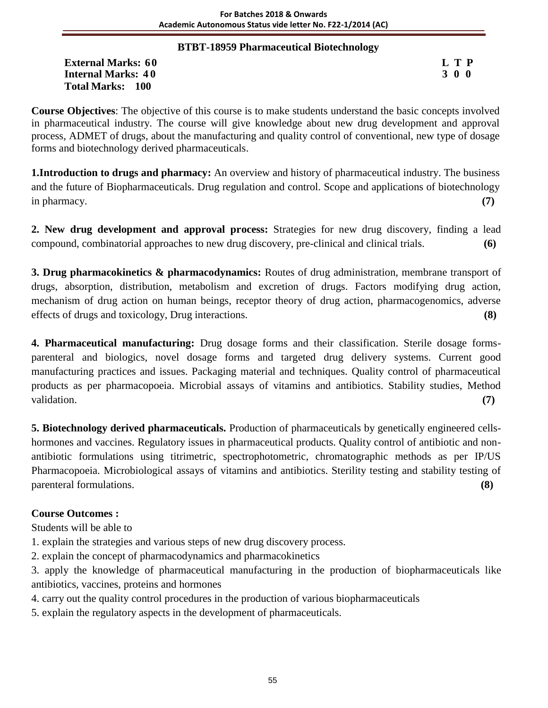### **BTBT-18959 Pharmaceutical Biotechnology**

External Marks: 60 L T P<br>
Internal Marks: 40 3 0 0 **Internal Marks: 40 Total Marks: 100**

**Course Objectives**: The objective of this course is to make students understand the basic concepts involved in pharmaceutical industry. The course will give knowledge about new drug development and approval process, ADMET of drugs, about the manufacturing and quality control of conventional, new type of dosage forms and biotechnology derived pharmaceuticals.

**1.Introduction to drugs and pharmacy:** An overview and history of pharmaceutical industry. The business and the future of Biopharmaceuticals. Drug regulation and control. Scope and applications of biotechnology in pharmacy. **(7)**

**2. New drug development and approval process:** Strategies for new drug discovery, finding a lead compound, combinatorial approaches to new drug discovery, pre-clinical and clinical trials. **(6)**

**3. Drug pharmacokinetics & pharmacodynamics:** Routes of drug administration, membrane transport of drugs, absorption, distribution, metabolism and excretion of drugs. Factors modifying drug action, mechanism of drug action on human beings, receptor theory of drug action, pharmacogenomics, adverse effects of drugs and toxicology, Drug interactions. **(8)**

**4. Pharmaceutical manufacturing:** Drug dosage forms and their classification. Sterile dosage formsparenteral and biologics, novel dosage forms and targeted drug delivery systems. Current good manufacturing practices and issues. Packaging material and techniques. Quality control of pharmaceutical products as per pharmacopoeia. Microbial assays of vitamins and antibiotics. Stability studies, Method validation. **(7)**

**5. Biotechnology derived pharmaceuticals.** Production of pharmaceuticals by genetically engineered cellshormones and vaccines. Regulatory issues in pharmaceutical products. Quality control of antibiotic and nonantibiotic formulations using titrimetric, spectrophotometric, chromatographic methods as per IP/US Pharmacopoeia. Microbiological assays of vitamins and antibiotics. Sterility testing and stability testing of parenteral formulations. **(8)**

# **Course Outcomes :**

Students will be able to

- 1. explain the strategies and various steps of new drug discovery process.
- 2. explain the concept of pharmacodynamics and pharmacokinetics
- 3. apply the knowledge of pharmaceutical manufacturing in the production of biopharmaceuticals like antibiotics, vaccines, proteins and hormones
- 4. carry out the quality control procedures in the production of various biopharmaceuticals
- 5. explain the regulatory aspects in the development of pharmaceuticals.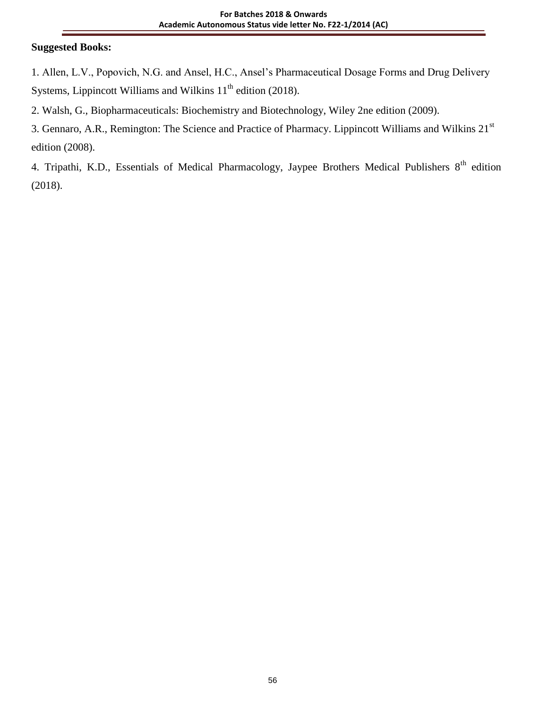### **Suggested Books:**

1. Allen, L.V., Popovich, N.G. and Ansel, H.C., Ansel's Pharmaceutical Dosage Forms and Drug Delivery Systems, Lippincott Williams and Wilkins  $11<sup>th</sup>$  edition (2018).

- 2. Walsh, G., Biopharmaceuticals: Biochemistry and Biotechnology, Wiley 2ne edition (2009).
- 3. Gennaro, A.R., Remington: The Science and Practice of Pharmacy. Lippincott Williams and Wilkins 21st edition (2008).

4. Tripathi, K.D., Essentials of Medical Pharmacology, Jaypee Brothers Medical Publishers 8<sup>th</sup> edition (2018).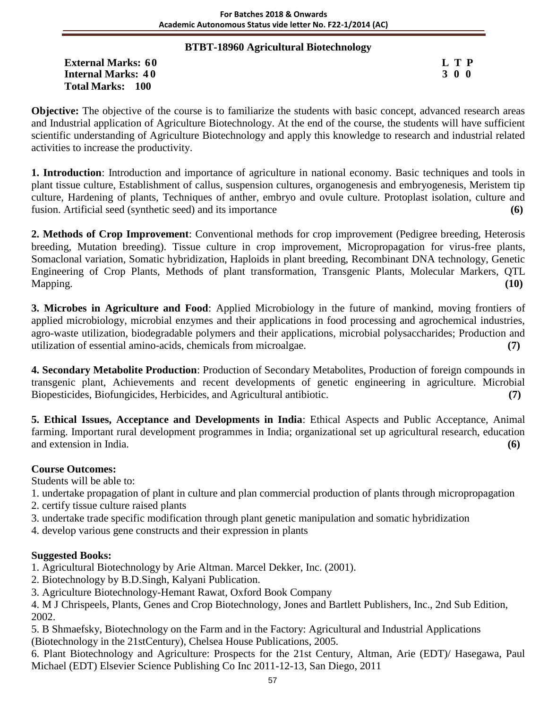### **BTBT-18960 Agricultural Biotechnology**

**External Marks:** 60 **L T P**<br> **Internal Marks:** 40 **J** 3 0 0 **Internal Marks: 40 Total Marks: 100**

**Objective:** The objective of the course is to familiarize the students with basic concept, advanced research areas and Industrial application of Agriculture Biotechnology. At the end of the course, the students will have sufficient scientific understanding of Agriculture Biotechnology and apply this knowledge to research and industrial related activities to increase the productivity.

**1. Introduction**: Introduction and importance of agriculture in national economy. Basic techniques and tools in plant tissue culture, Establishment of callus, suspension cultures, organogenesis and embryogenesis, Meristem tip culture, Hardening of plants, Techniques of anther, embryo and ovule culture. Protoplast isolation, culture and fusion. Artificial seed (synthetic seed) and its importance **(6)**

**2. Methods of Crop Improvement**: Conventional methods for crop improvement (Pedigree breeding, Heterosis breeding, Mutation breeding). Tissue culture in crop improvement, Micropropagation for virus-free plants, Somaclonal variation, Somatic hybridization, Haploids in plant breeding, Recombinant DNA technology, Genetic Engineering of Crop Plants, Methods of plant transformation, Transgenic Plants, Molecular Markers, QTL Mapping. **(10)**

**3. Microbes in Agriculture and Food**: Applied Microbiology in the future of mankind, moving frontiers of applied microbiology, microbial enzymes and their applications in food processing and agrochemical industries, agro-waste utilization, biodegradable polymers and their applications, microbial polysaccharides; Production and utilization of essential amino-acids, chemicals from microalgae. **(7)**

**4. Secondary Metabolite Production**: Production of Secondary Metabolites, Production of foreign compounds in transgenic plant, Achievements and recent developments of genetic engineering in agriculture. Microbial Biopesticides, Biofungicides, Herbicides, and Agricultural antibiotic. **(7)**

**5. Ethical Issues, Acceptance and Developments in India**: Ethical Aspects and Public Acceptance, Animal farming. Important rural development programmes in India; organizational set up agricultural research, education and extension in India. **(6)**

### **Course Outcomes:**

Students will be able to:

- 1. undertake propagation of plant in culture and plan commercial production of plants through micropropagation
- 2. certify tissue culture raised plants
- 3. undertake trade specific modification through plant genetic manipulation and somatic hybridization

4. develop various gene constructs and their expression in plants

### **Suggested Books:**

1. Agricultural Biotechnology by Arie Altman. Marcel Dekker, Inc. (2001).

2. Biotechnology by B.D.Singh, Kalyani Publication.

3. Agriculture Biotechnology-Hemant Rawat, Oxford Book Company

4. M J Chrispeels, Plants, Genes and Crop Biotechnology, Jones and Bartlett Publishers, Inc., 2nd Sub Edition, 2002.

5. B Shmaefsky, Biotechnology on the Farm and in the Factory: Agricultural and Industrial Applications (Biotechnology in the 21stCentury), Chelsea House Publications, 2005.

6. Plant Biotechnology and Agriculture: Prospects for the 21st Century, Altman, Arie (EDT)/ Hasegawa, Paul Michael (EDT) Elsevier Science Publishing Co Inc 2011-12-13, San Diego, 2011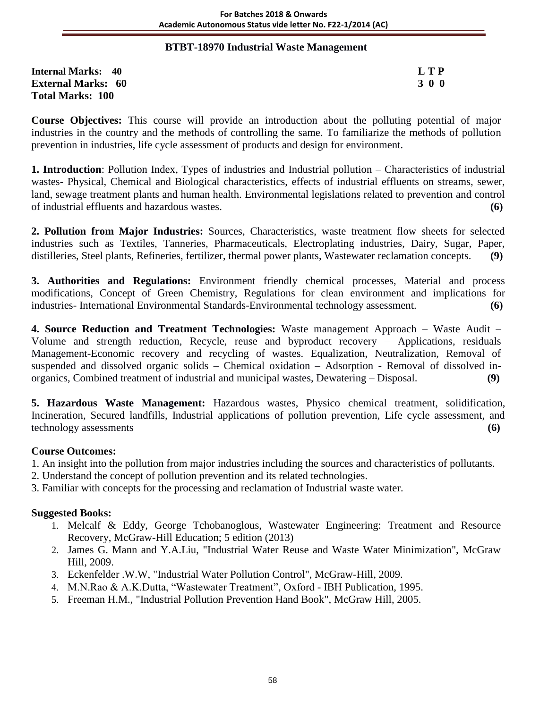### **BTBT-18970 Industrial Waste Management**

**Internal Marks: 40 L T P External Marks: 60 3 0 0** 3 0 0 3 0 0 3 0 0 3 0 0 3 0 0 3 0 0 3 0 0 3 0 0 3 0 0 3 0 0 3 0 0 3 0 4  $\sigma$ **Total Marks: 100** 

**Course Objectives:** This course will provide an introduction about the polluting potential of major industries in the country and the methods of controlling the same. To familiarize the methods of pollution prevention in industries, life cycle assessment of products and design for environment.

**1. Introduction**: Pollution Index, Types of industries and Industrial pollution – Characteristics of industrial wastes- Physical, Chemical and Biological characteristics, effects of industrial effluents on streams, sewer, land, sewage treatment plants and human health. Environmental legislations related to prevention and control of industrial effluents and hazardous wastes. **(6)**

**2. Pollution from Major Industries:** Sources, Characteristics, waste treatment flow sheets for selected industries such as Textiles, Tanneries, Pharmaceuticals, Electroplating industries, Dairy, Sugar, Paper, distilleries, Steel plants, Refineries, fertilizer, thermal power plants, Wastewater reclamation concepts. **(9)**

**3. Authorities and Regulations:** Environment friendly chemical processes, Material and process modifications, Concept of Green Chemistry, Regulations for clean environment and implications for industries- International Environmental Standards-Environmental technology assessment. **(6)**

**4. Source Reduction and Treatment Technologies:** Waste management Approach – Waste Audit – Volume and strength reduction, Recycle, reuse and byproduct recovery – Applications, residuals Management-Economic recovery and recycling of wastes. Equalization, Neutralization, Removal of suspended and dissolved organic solids – Chemical oxidation – Adsorption - Removal of dissolved inorganics, Combined treatment of industrial and municipal wastes, Dewatering – Disposal. **(9)**

**5. Hazardous Waste Management:** Hazardous wastes, Physico chemical treatment, solidification, Incineration, Secured landfills, Industrial applications of pollution prevention, Life cycle assessment, and technology assessments **(6)**

### **Course Outcomes:**

- 1. An insight into the pollution from major industries including the sources and characteristics of pollutants.
- 2. Understand the concept of pollution prevention and its related technologies.
- 3. Familiar with concepts for the processing and reclamation of Industrial waste water.

- 1. Melcalf & Eddy, George Tchobanoglous, Wastewater Engineering: Treatment and Resource Recovery, McGraw-Hill Education; 5 edition (2013)
- 2. James G. Mann and Y.A.Liu, "Industrial Water Reuse and Waste Water Minimization", McGraw Hill, 2009.
- 3. Eckenfelder .W.W, "Industrial Water Pollution Control", McGraw-Hill, 2009.
- 4. M.N.Rao & A.K.Dutta, "Wastewater Treatment", Oxford IBH Publication, 1995.
- 5. Freeman H.M., "Industrial Pollution Prevention Hand Book", McGraw Hill, 2005.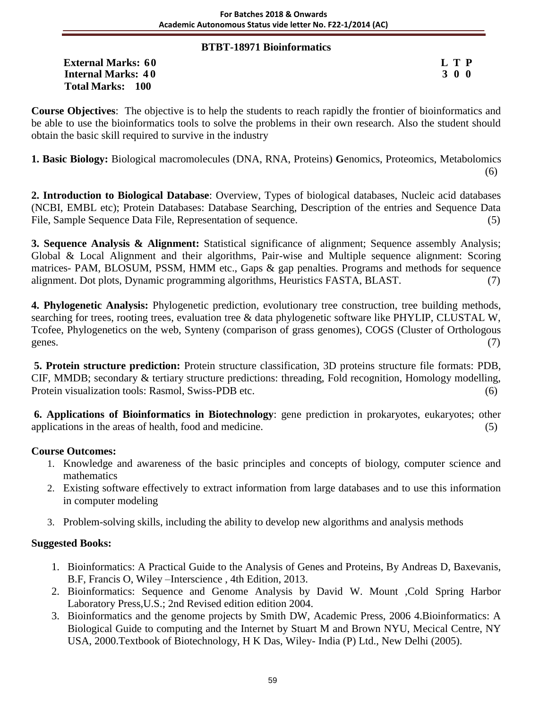### **BTBT-18971 Bioinformatics**

**External Marks:** 60 **L T P**<br> **Internal Marks:** 40 **S Internal Marks: 40 Total Marks: 100**

**Course Objectives**: The objective is to help the students to reach rapidly the frontier of bioinformatics and be able to use the bioinformatics tools to solve the problems in their own research. Also the student should obtain the basic skill required to survive in the industry

**1. Basic Biology:** Biological macromolecules (DNA, RNA, Proteins) **G**enomics, Proteomics, Metabolomics (6)

**2. Introduction to Biological Database**: Overview, Types of biological databases, Nucleic acid databases (NCBI, EMBL etc); Protein Databases: Database Searching, Description of the entries and Sequence Data File, Sample Sequence Data File, Representation of sequence. (5)

**3. Sequence Analysis & Alignment:** Statistical significance of alignment; Sequence assembly Analysis; Global & Local Alignment and their algorithms, Pair-wise and Multiple sequence alignment: Scoring matrices- PAM, BLOSUM, PSSM, HMM etc., Gaps & gap penalties. Programs and methods for sequence alignment. Dot plots, Dynamic programming algorithms, Heuristics FASTA, BLAST. (7)

**4. Phylogenetic Analysis:** Phylogenetic prediction, evolutionary tree construction, tree building methods, searching for trees, rooting trees, evaluation tree & data phylogenetic software like PHYLIP, CLUSTAL W, Tcofee, Phylogenetics on the web, Synteny (comparison of grass genomes), COGS (Cluster of Orthologous genes. (7)

**5. Protein structure prediction:** Protein structure classification, 3D proteins structure file formats: PDB, CIF, MMDB; secondary & tertiary structure predictions: threading, Fold recognition, Homology modelling, Protein visualization tools: Rasmol, Swiss-PDB etc. (6)

**6. Applications of Bioinformatics in Biotechnology**: gene prediction in prokaryotes, eukaryotes; other applications in the areas of health, food and medicine. (5)

### **Course Outcomes:**

- 1. Knowledge and awareness of the basic principles and concepts of biology, computer science and mathematics
- 2. Existing software effectively to extract information from large databases and to use this information in computer modeling
- 3. Problem-solving skills, including the ability to develop new algorithms and analysis methods

- 1. Bioinformatics: A Practical Guide to the Analysis of Genes and Proteins, By Andreas D, Baxevanis, B.F, Francis O, Wiley –Interscience , 4th Edition, 2013.
- 2. Bioinformatics: Sequence and Genome Analysis by David W. Mount ,Cold Spring Harbor Laboratory Press,U.S.; 2nd Revised edition edition 2004.
- 3. Bioinformatics and the genome projects by Smith DW, Academic Press, 2006 4.Bioinformatics: A Biological Guide to computing and the Internet by Stuart M and Brown NYU, Mecical Centre, NY USA, 2000.Textbook of Biotechnology, H K Das, Wiley- India (P) Ltd., New Delhi (2005).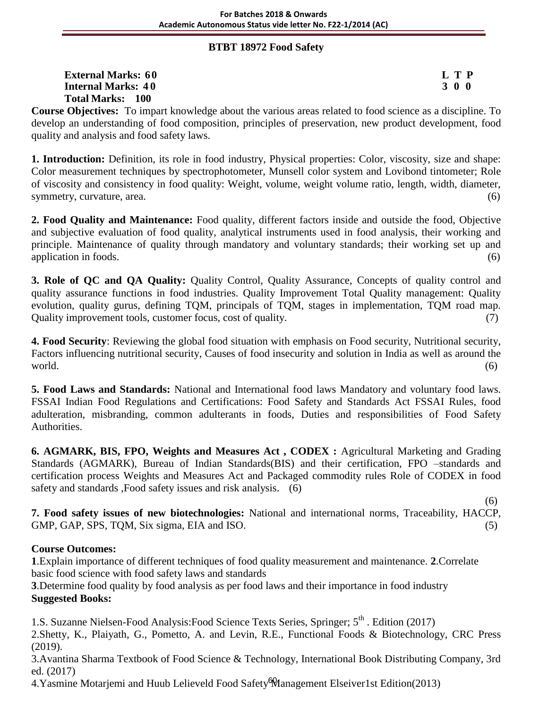### **BTBT 18972 Food Safety**

| <b>External Marks: 60</b> | L T P |
|---------------------------|-------|
| <b>Internal Marks: 40</b> | 3 0 0 |
| <b>Total Marks: 100</b>   |       |

**Course Objectives:** To impart knowledge about the various areas related to food science as a discipline. To develop an understanding of food composition, principles of preservation, new product development, food quality and analysis and food safety laws.

**1. Introduction:** Definition, its role in food industry, Physical properties: Color, viscosity, size and shape: Color measurement techniques by spectrophotometer, Munsell color system and Lovibond tintometer; Role of viscosity and consistency in food quality: Weight, volume, weight volume ratio, length, width, diameter, symmetry, curvature, area.  $(6)$ 

**2. Food Quality and Maintenance:** Food quality, different factors inside and outside the food, Objective and subjective evaluation of food quality, analytical instruments used in food analysis, their working and principle. Maintenance of quality through mandatory and voluntary standards; their working set up and application in foods. (6)

**3. Role of QC and QA Quality:** Quality Control, Quality Assurance, Concepts of quality control and quality assurance functions in food industries. Quality Improvement Total Quality management: Quality evolution, quality gurus, defining TQM, principals of TQM, stages in implementation, TQM road map. Quality improvement tools, customer focus, cost of quality. (7)

**4. Food Security**: Reviewing the global food situation with emphasis on Food security, Nutritional security, Factors influencing nutritional security, Causes of food insecurity and solution in India as well as around the world. (6)

**5. Food Laws and Standards:** National and International food laws Mandatory and voluntary food laws. FSSAI Indian Food Regulations and Certifications: Food Safety and Standards Act FSSAI Rules, food adulteration, misbranding, common adulterants in foods, Duties and responsibilities of Food Safety Authorities.

**6. AGMARK, BIS, FPO, Weights and Measures Act , CODEX :** Agricultural Marketing and Grading Standards (AGMARK), Bureau of Indian Standards(BIS) and their certification, FPO –standards and certification process Weights and Measures Act and Packaged commodity rules Role of CODEX in food safety and standards ,Food safety issues and risk analysis. (6)

 (6) **7. Food safety issues of new biotechnologies:** National and international norms, Traceability, HACCP, GMP, GAP, SPS, TQM, Six sigma, EIA and ISO. (5)

### **Course Outcomes:**

**1**.Explain importance of different techniques of food quality measurement and maintenance. **2**.Correlate basic food science with food safety laws and standards

**3**.Determine food quality by food analysis as per food laws and their importance in food industry **Suggested Books:**

1.S. Suzanne Nielsen-Food Analysis: Food Science Texts Series, Springer; 5<sup>th</sup>. Edition (2017)

2.Shetty, K., Plaiyath, G., Pometto, A. and Levin, R.E., Functional Foods & Biotechnology, CRC Press (2019).

3.Avantina Sharma Textbook of Food Science & Technology, International Book Distributing Company, 3rd ed. (2017)

4. Yasmine Motarjemi and Huub Lelieveld Food Safety Management Elseiver1st Edition(2013)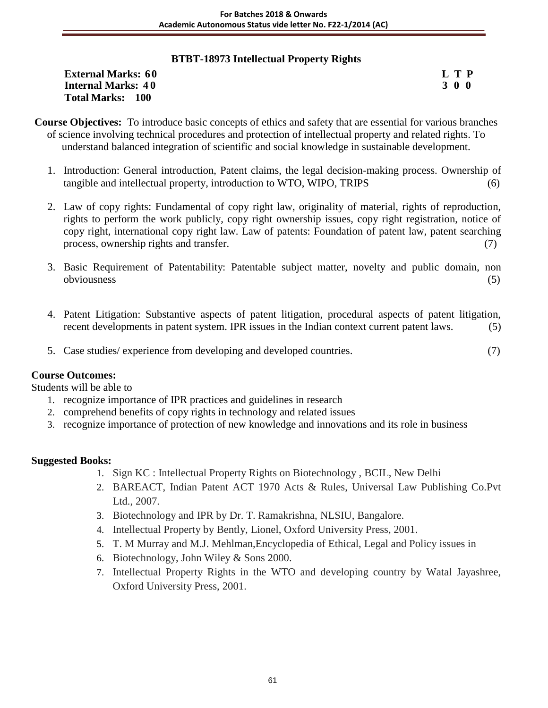# **BTBT-18973 Intellectual Property Rights**

| <b>External Marks: 60</b> | L T P |
|---------------------------|-------|
| <b>Internal Marks: 40</b> | 300   |
| <b>Total Marks: 100</b>   |       |

- **Course Objectives:** To introduce basic concepts of ethics and safety that are essential for various branches of science involving technical procedures and protection of intellectual property and related rights. To understand balanced integration of scientific and social knowledge in sustainable development.
	- 1. Introduction: General introduction, Patent claims, the legal decision-making process. Ownership of tangible and intellectual property, introduction to WTO, WIPO, TRIPS (6)
	- 2. Law of copy rights: Fundamental of copy right law, originality of material, rights of reproduction, rights to perform the work publicly, copy right ownership issues, copy right registration, notice of copy right, international copy right law. Law of patents: Foundation of patent law, patent searching process, ownership rights and transfer. (7)
	- 3. Basic Requirement of Patentability: Patentable subject matter, novelty and public domain, non obviousness (5)
	- 4. Patent Litigation: Substantive aspects of patent litigation, procedural aspects of patent litigation, recent developments in patent system. IPR issues in the Indian context current patent laws. (5)
	- 5. Case studies/ experience from developing and developed countries. (7)

### **Course Outcomes:**

Students will be able to

- 1. recognize importance of IPR practices and guidelines in research
- 2. comprehend benefits of copy rights in technology and related issues
- 3. recognize importance of protection of new knowledge and innovations and its role in business

- 1. Sign KC : Intellectual Property Rights on Biotechnology , BCIL, New Delhi
- 2. BAREACT, Indian Patent ACT 1970 Acts & Rules, Universal Law Publishing Co.Pvt Ltd., 2007.
- 3. Biotechnology and IPR by Dr. T. Ramakrishna, NLSIU, Bangalore.
- 4. Intellectual Property by Bently, Lionel, Oxford University Press, 2001.
- 5. T. M Murray and M.J. Mehlman,Encyclopedia of Ethical, Legal and Policy issues in
- 6. Biotechnology, John Wiley & Sons 2000.
- 7. Intellectual Property Rights in the WTO and developing country by Watal Jayashree, Oxford University Press, 2001.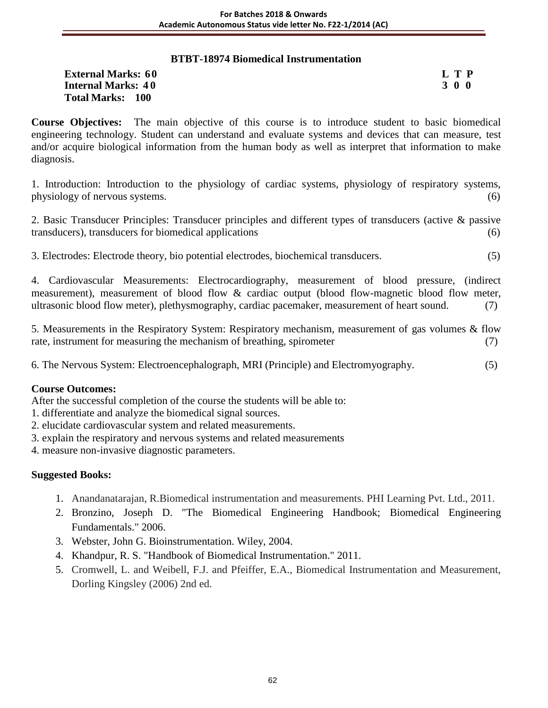# **BTBT-18974 Biomedical Instrumentation**

| <b>External Marks: 60</b> | L T P |
|---------------------------|-------|
| <b>Internal Marks: 40</b> | 300   |
| <b>Total Marks: 100</b>   |       |

**Course Objectives:** The main objective of this course is to introduce student to basic biomedical engineering technology. Student can understand and evaluate systems and devices that can measure, test and/or acquire biological information from the human body as well as interpret that information to make diagnosis.

1. Introduction: Introduction to the physiology of cardiac systems, physiology of respiratory systems, physiology of nervous systems. (6)

2. Basic Transducer Principles: Transducer principles and different types of transducers (active & passive transducers), transducers for biomedical applications (6)

3. Electrodes: Electrode theory, bio potential electrodes, biochemical transducers. (5)

4. Cardiovascular Measurements: Electrocardiography, measurement of blood pressure, (indirect measurement), measurement of blood flow & cardiac output (blood flow-magnetic blood flow meter, ultrasonic blood flow meter), plethysmography, cardiac pacemaker, measurement of heart sound. (7)

5. Measurements in the Respiratory System: Respiratory mechanism, measurement of gas volumes & flow rate, instrument for measuring the mechanism of breathing, spirometer (7)

6. The Nervous System: Electroencephalograph, MRI (Principle) and Electromyography. (5)

### **Course Outcomes:**

After the successful completion of the course the students will be able to:

- 1. differentiate and analyze the biomedical signal sources.
- 2. elucidate cardiovascular system and related measurements.
- 3. explain the respiratory and nervous systems and related measurements

4. measure non-invasive diagnostic parameters.

- 1. Anandanatarajan, R.Biomedical instrumentation and measurements. PHI Learning Pvt. Ltd., 2011.
- 2. Bronzino, Joseph D. "The Biomedical Engineering Handbook; Biomedical Engineering Fundamentals." 2006.
- 3. Webster, John G. Bioinstrumentation. Wiley, 2004.
- 4. Khandpur, R. S. "Handbook of Biomedical Instrumentation." 2011.
- 5. Cromwell, L. and Weibell, F.J. and Pfeiffer, E.A., Biomedical Instrumentation and Measurement, Dorling Kingsley (2006) 2nd ed.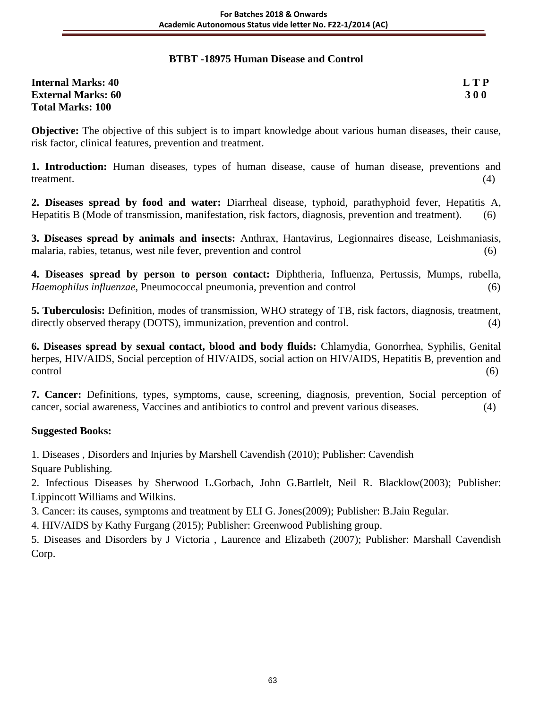# **BTBT -18975 Human Disease and Control**

| <b>Internal Marks: 40</b> | <b>LTP</b> |
|---------------------------|------------|
| <b>External Marks: 60</b> | <b>300</b> |
| <b>Total Marks: 100</b>   |            |

**Objective:** The objective of this subject is to impart knowledge about various human diseases, their cause, risk factor, clinical features, prevention and treatment.

**1. Introduction:** Human diseases, types of human disease, cause of human disease, preventions and treatment. (4)

**2. Diseases spread by food and water:** Diarrheal disease, typhoid, parathyphoid fever, Hepatitis A, Hepatitis B (Mode of transmission, manifestation, risk factors, diagnosis, prevention and treatment). (6)

**3. Diseases spread by animals and insects:** Anthrax, Hantavirus, Legionnaires disease, Leishmaniasis, malaria, rabies, tetanus, west nile fever, prevention and control (6)

**4. Diseases spread by person to person contact:** Diphtheria, Influenza, Pertussis, Mumps, rubella, *Haemophilus influenzae*, Pneumococcal pneumonia, prevention and control (6)

**5. Tuberculosis:** Definition, modes of transmission, WHO strategy of TB, risk factors, diagnosis, treatment, directly observed therapy (DOTS), immunization, prevention and control. (4)

**6. Diseases spread by sexual contact, blood and body fluids:** Chlamydia, Gonorrhea, Syphilis, Genital herpes, HIV/AIDS, Social perception of HIV/AIDS, social action on HIV/AIDS, Hepatitis B, prevention and control (6)

**7. Cancer:** Definitions, types, symptoms, cause, screening, diagnosis, prevention, Social perception of cancer, social awareness, Vaccines and antibiotics to control and prevent various diseases. (4)

### **Suggested Books:**

1. Diseases , Disorders and Injuries by Marshell Cavendish (2010); Publisher: Cavendish

Square Publishing.

2. Infectious Diseases by Sherwood L.Gorbach, John G.Bartlelt, Neil R. Blacklow(2003); Publisher: Lippincott Williams and Wilkins.

3. Cancer: its causes, symptoms and treatment by ELI G. Jones(2009); Publisher: B.Jain Regular.

4. HIV/AIDS by Kathy Furgang (2015); Publisher: Greenwood Publishing group.

5. Diseases and Disorders by J Victoria , Laurence and Elizabeth (2007); Publisher: Marshall Cavendish Corp.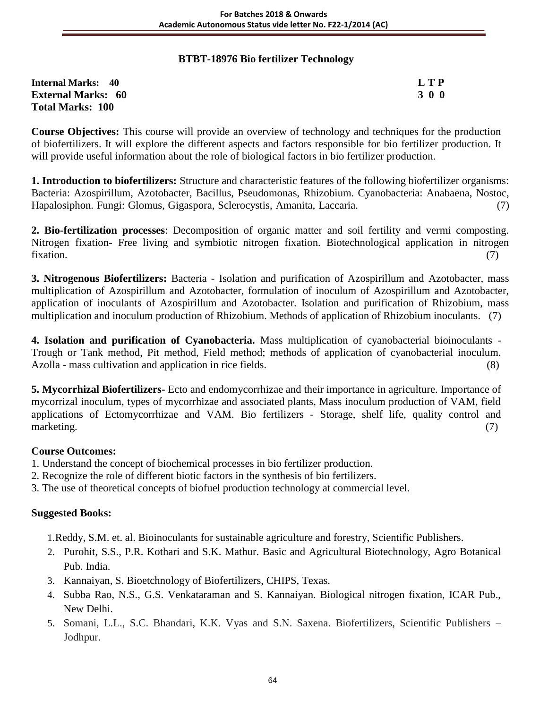# **BTBT-18976 Bio fertilizer Technology**

| <b>Internal Marks: 40</b> | LTP |
|---------------------------|-----|
| <b>External Marks: 60</b> | 300 |
| <b>Total Marks: 100</b>   |     |

**Course Objectives:** This course will provide an overview of technology and techniques for the production of biofertilizers. It will explore the different aspects and factors responsible for bio fertilizer production. It will provide useful information about the role of biological factors in bio fertilizer production.

**1. Introduction to biofertilizers:** Structure and characteristic features of the following biofertilizer organisms: Bacteria: Azospirillum, Azotobacter, Bacillus, Pseudomonas, Rhizobium. Cyanobacteria: Anabaena, Nostoc, Hapalosiphon. Fungi: Glomus, Gigaspora, Sclerocystis, Amanita, Laccaria. (7)

**2. Bio-fertilization processes**: Decomposition of organic matter and soil fertility and vermi composting. Nitrogen fixation- Free living and symbiotic nitrogen fixation. Biotechnological application in nitrogen fixation. (7)

**3. Nitrogenous Biofertilizers:** Bacteria - Isolation and purification of Azospirillum and Azotobacter, mass multiplication of Azospirillum and Azotobacter, formulation of inoculum of Azospirillum and Azotobacter, application of inoculants of Azospirillum and Azotobacter. Isolation and purification of Rhizobium, mass multiplication and inoculum production of Rhizobium. Methods of application of Rhizobium inoculants. (7)

**4. Isolation and purification of Cyanobacteria.** Mass multiplication of cyanobacterial bioinoculants - Trough or Tank method, Pit method, Field method; methods of application of cyanobacterial inoculum. Azolla - mass cultivation and application in rice fields. (8)

**5. Mycorrhizal Biofertilizers-** Ecto and endomycorrhizae and their importance in agriculture. Importance of mycorrizal inoculum, types of mycorrhizae and associated plants, Mass inoculum production of VAM, field applications of Ectomycorrhizae and VAM. Bio fertilizers - Storage, shelf life, quality control and marketing. (7)

### **Course Outcomes:**

- 1. Understand the concept of biochemical processes in bio fertilizer production.
- 2. Recognize the role of different biotic factors in the synthesis of bio fertilizers.
- 3. The use of theoretical concepts of biofuel production technology at commercial level.

### **Suggested Books:**

1.Reddy, S.M. et. al. Bioinoculants for sustainable agriculture and forestry, Scientific Publishers.

- 2. Purohit, S.S., P.R. Kothari and S.K. Mathur. Basic and Agricultural Biotechnology, Agro Botanical Pub. India.
- 3. Kannaiyan, S. Bioetchnology of Biofertilizers, CHIPS, Texas.
- 4. Subba Rao, N.S., G.S. Venkataraman and S. Kannaiyan. Biological nitrogen fixation, ICAR Pub., New Delhi.
- 5. Somani, L.L., S.C. Bhandari, K.K. Vyas and S.N. Saxena. Biofertilizers, Scientific Publishers Jodhpur.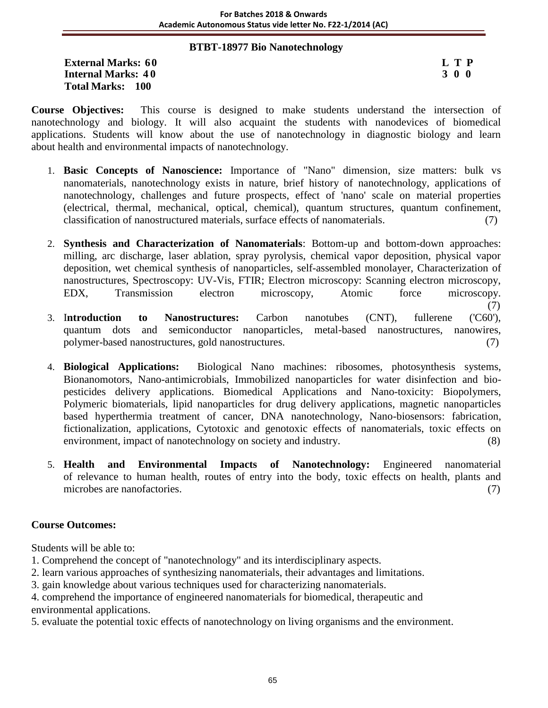#### **BTBT-18977 Bio Nanotechnology**

**External Marks:** 60 **L T P**<br> **Internal Marks:** 40 **S** 3 0 0 **Internal Marks: 40 Total Marks: 100**

**Course Objectives:** This course is designed to make students understand the intersection of nanotechnology and biology. It will also acquaint the students with nanodevices of biomedical applications. Students will know about the use of nanotechnology in diagnostic biology and learn about health and environmental impacts of nanotechnology.

- 1. **Basic Concepts of Nanoscience:** Importance of "Nano" dimension, size matters: bulk vs nanomaterials, nanotechnology exists in nature, brief history of nanotechnology, applications of nanotechnology, challenges and future prospects, effect of 'nano' scale on material properties (electrical, thermal, mechanical, optical, chemical), quantum structures, quantum confinement, classification of nanostructured materials, surface effects of nanomaterials. (7)
- 2. **Synthesis and Characterization of Nanomaterials**: Bottom-up and bottom-down approaches: milling, arc discharge, laser ablation, spray pyrolysis, chemical vapor deposition, physical vapor deposition, wet chemical synthesis of nanoparticles, self-assembled monolayer, Characterization of nanostructures, Spectroscopy: UV-Vis, FTIR; Electron microscopy: Scanning electron microscopy, EDX, Transmission electron microscopy, Atomic force microscopy.
- (7) 3. I**ntroduction to Nanostructures:** Carbon nanotubes (CNT), fullerene ('C60'), quantum dots and semiconductor nanoparticles, metal-based nanostructures, nanowires, polymer-based nanostructures, gold nanostructures. (7)
- 4. **Biological Applications:** Biological Nano machines: ribosomes, photosynthesis systems, Bionanomotors, Nano-antimicrobials, Immobilized nanoparticles for water disinfection and biopesticides delivery applications. Biomedical Applications and Nano-toxicity: Biopolymers, Polymeric biomaterials, lipid nanoparticles for drug delivery applications, magnetic nanoparticles based hyperthermia treatment of cancer, DNA nanotechnology, Nano-biosensors: fabrication, fictionalization, applications, Cytotoxic and genotoxic effects of nanomaterials, toxic effects on environment, impact of nanotechnology on society and industry. (8)
- 5. **Health and Environmental Impacts of Nanotechnology:** Engineered nanomaterial of relevance to human health, routes of entry into the body, toxic effects on health, plants and microbes are nanofactories. (7)

## **Course Outcomes:**

Students will be able to:

- 1. Comprehend the concept of "nanotechnology" and its interdisciplinary aspects.
- 2. learn various approaches of synthesizing nanomaterials, their advantages and limitations.
- 3. gain knowledge about various techniques used for characterizing nanomaterials.
- 4. comprehend the importance of engineered nanomaterials for biomedical, therapeutic and environmental applications.
- 5. evaluate the potential toxic effects of nanotechnology on living organisms and the environment.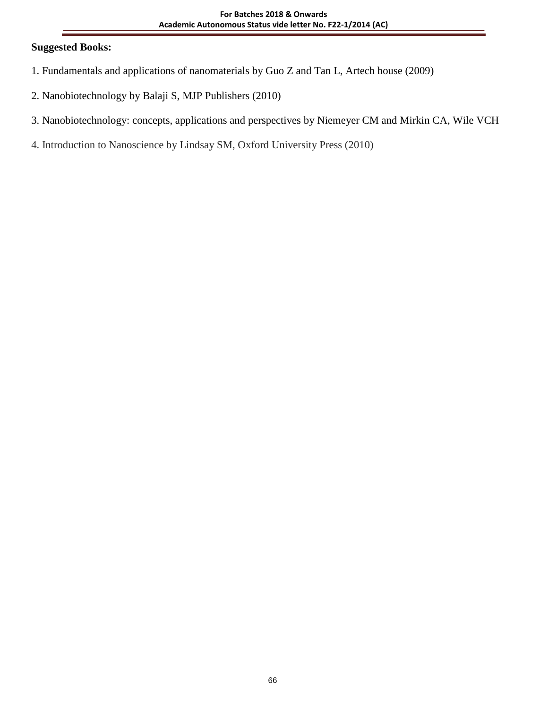# **Suggested Books:**

- 1. Fundamentals and applications of nanomaterials by Guo Z and Tan L, Artech house (2009)
- 2. Nanobiotechnology by Balaji S, MJP Publishers (2010)
- 3. Nanobiotechnology: concepts, applications and perspectives by Niemeyer CM and Mirkin CA, Wile VCH
- 4. Introduction to Nanoscience by Lindsay SM, Oxford University Press (2010)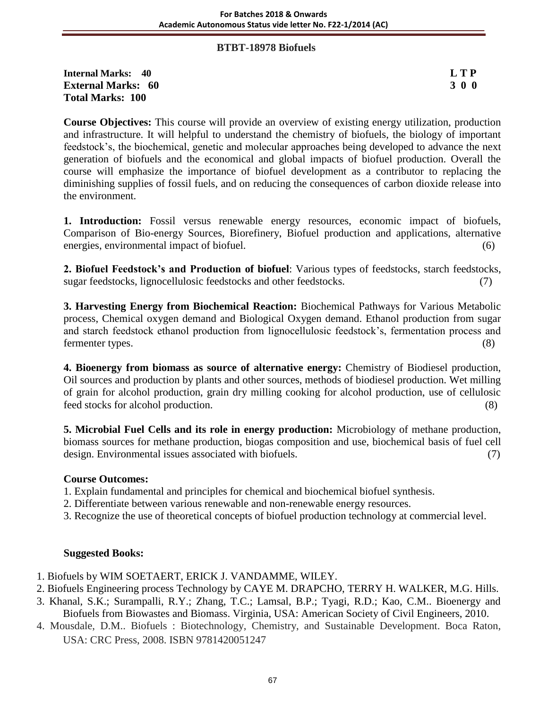#### **BTBT-18978 Biofuels**

**Internal Marks: 40 L T P External Marks: 60 3 0 0** 3 0 0 3 0 0 3 0 0 3 0 0 3 0 0 3 0 0 3 0 0 3 0 0 3 0 0 3 0 4  $\sigma$ **Total Marks: 100** 

**Course Objectives:** This course will provide an overview of existing energy utilization, production and infrastructure. It will helpful to understand the chemistry of biofuels, the biology of important feedstock's, the biochemical, genetic and molecular approaches being developed to advance the next generation of biofuels and the economical and global impacts of biofuel production. Overall the course will emphasize the importance of biofuel development as a contributor to replacing the diminishing supplies of fossil fuels, and on reducing the consequences of carbon dioxide release into the environment.

**1. Introduction:** Fossil versus renewable energy resources, economic impact of biofuels, Comparison of Bio-energy Sources, Biorefinery, Biofuel production and applications, alternative energies, environmental impact of biofuel. (6)

**2. Biofuel Feedstock's and Production of biofuel**: Various types of feedstocks, starch feedstocks, sugar feedstocks, lignocellulosic feedstocks and other feedstocks. (7)

**3. Harvesting Energy from Biochemical Reaction:** Biochemical Pathways for Various Metabolic process, Chemical oxygen demand and Biological Oxygen demand. Ethanol production from sugar and starch feedstock ethanol production from lignocellulosic feedstock's, fermentation process and fermenter types. (8)

**4. Bioenergy from biomass as source of alternative energy:** Chemistry of Biodiesel production, Oil sources and production by plants and other sources, methods of biodiesel production. Wet milling of grain for alcohol production, grain dry milling cooking for alcohol production, use of cellulosic feed stocks for alcohol production. (8)

**5. Microbial Fuel Cells and its role in energy production:** Microbiology of methane production, biomass sources for methane production, biogas composition and use, biochemical basis of fuel cell design. Environmental issues associated with biofuels. (7)

## **Course Outcomes:**

- 1. Explain fundamental and principles for chemical and biochemical biofuel synthesis.
- 2. Differentiate between various renewable and non-renewable energy resources.
- 3. Recognize the use of theoretical concepts of biofuel production technology at commercial level.

#### **Suggested Books:**

- 1. Biofuels by WIM SOETAERT, ERICK J. VANDAMME, WILEY.
- 2. Biofuels Engineering process Technology by CAYE M. DRAPCHO, TERRY H. WALKER, M.G. Hills.
- 3. Khanal, S.K.; Surampalli, R.Y.; Zhang, T.C.; Lamsal, B.P.; Tyagi, R.D.; Kao, C.M.. Bioenergy and Biofuels from Biowastes and Biomass. Virginia, USA: American Society of Civil Engineers, 2010.
- 4. Mousdale, D.M.. Biofuels : Biotechnology, Chemistry, and Sustainable Development. Boca Raton, USA: CRC Press, 2008. ISBN 9781420051247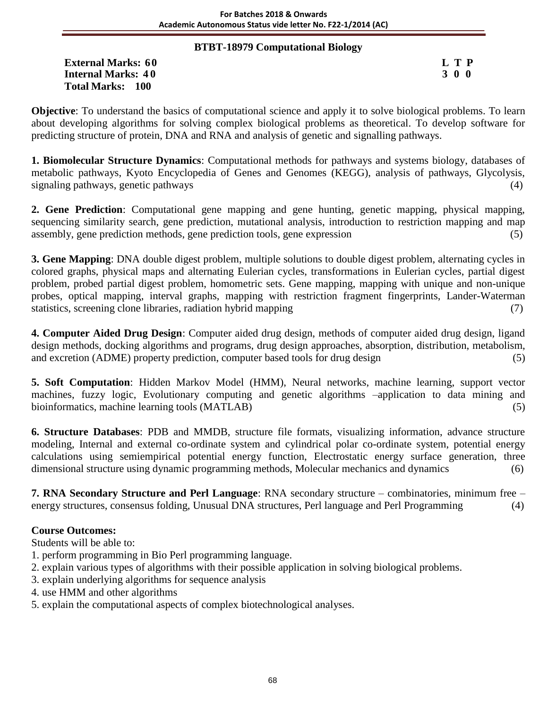## **BTBT-18979 Computational Biology**

**External Marks: 60 L T P Internal Marks: 40 Total Marks: 100**

**Objective**: To understand the basics of computational science and apply it to solve biological problems. To learn about developing algorithms for solving complex biological problems as theoretical. To develop software for predicting structure of protein, DNA and RNA and analysis of genetic and signalling pathways.

**1. Biomolecular Structure Dynamics**: Computational methods for pathways and systems biology, databases of metabolic pathways, Kyoto Encyclopedia of Genes and Genomes (KEGG), analysis of pathways, Glycolysis, signaling pathways, genetic pathways (4)

**2. Gene Prediction**: Computational gene mapping and gene hunting, genetic mapping, physical mapping, sequencing similarity search, gene prediction, mutational analysis, introduction to restriction mapping and map assembly, gene prediction methods, gene prediction tools, gene expression (5)

**3. Gene Mapping**: DNA double digest problem, multiple solutions to double digest problem, alternating cycles in colored graphs, physical maps and alternating Eulerian cycles, transformations in Eulerian cycles, partial digest problem, probed partial digest problem, homometric sets. Gene mapping, mapping with unique and non-unique probes, optical mapping, interval graphs, mapping with restriction fragment fingerprints, Lander-Waterman statistics, screening clone libraries, radiation hybrid mapping (7) (7)

**4. Computer Aided Drug Design**: Computer aided drug design, methods of computer aided drug design, ligand design methods, docking algorithms and programs, drug design approaches, absorption, distribution, metabolism, and excretion (ADME) property prediction, computer based tools for drug design (5)

**5. Soft Computation**: Hidden Markov Model (HMM), Neural networks, machine learning, support vector machines, fuzzy logic, Evolutionary computing and genetic algorithms –application to data mining and bioinformatics, machine learning tools (MATLAB) (5)

**6. Structure Databases**: PDB and MMDB, structure file formats, visualizing information, advance structure modeling, Internal and external co-ordinate system and cylindrical polar co-ordinate system, potential energy calculations using semiempirical potential energy function, Electrostatic energy surface generation, three dimensional structure using dynamic programming methods, Molecular mechanics and dynamics (6)

**7. RNA Secondary Structure and Perl Language**: RNA secondary structure – combinatories, minimum free – energy structures, consensus folding, Unusual DNA structures, Perl language and Perl Programming (4)

## **Course Outcomes:**

Students will be able to:

- 1. perform programming in Bio Perl programming language.
- 2. explain various types of algorithms with their possible application in solving biological problems.
- 3. explain underlying algorithms for sequence analysis
- 4. use HMM and other algorithms
- 5. explain the computational aspects of complex biotechnological analyses.